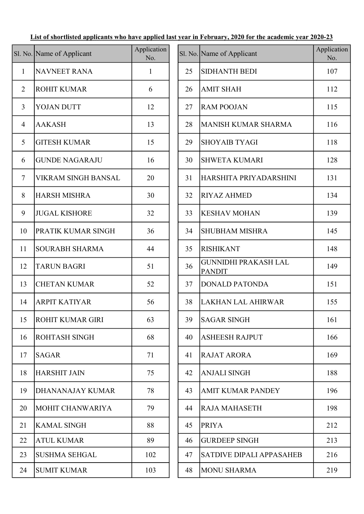## List of shortlisted applicants who have applied last year in February, 2020 for the academic year 2020-23

|                | Sl. No. Name of Applicant  | Application<br>No. |    | Sl. No. Name of Applicant                    |
|----------------|----------------------------|--------------------|----|----------------------------------------------|
| $\mathbf{1}$   | <b>NAVNEET RANA</b>        | 1                  | 25 | <b>SIDHANTH BEDI</b>                         |
| $\overline{2}$ | <b>ROHIT KUMAR</b>         | 6                  | 26 | <b>AMIT SHAH</b>                             |
| $\overline{3}$ | <b>YOJAN DUTT</b>          | 12                 | 27 | <b>RAM POOJAN</b>                            |
| $\overline{4}$ | <b>AAKASH</b>              | 13                 | 28 | <b>MANISH KUMAR SHARMA</b>                   |
| 5              | <b>GITESH KUMAR</b>        | 15                 | 29 | <b>SHOYAIB TYAGI</b>                         |
| 6              | <b>GUNDE NAGARAJU</b>      | 16                 | 30 | <b>SHWETA KUMARI</b>                         |
| $\tau$         | <b>VIKRAM SINGH BANSAL</b> | 20                 | 31 | HARSHITA PRIYADARSHIN                        |
| 8              | <b>HARSH MISHRA</b>        | 30                 | 32 | <b>RIYAZ AHMED</b>                           |
| 9              | <b>JUGAL KISHORE</b>       | 32                 | 33 | <b>KESHAV MOHAN</b>                          |
| 10             | PRATIK KUMAR SINGH         | 36                 | 34 | <b>SHUBHAM MISHRA</b>                        |
| 11             | <b>SOURABH SHARMA</b>      | 44                 | 35 | <b>RISHIKANT</b>                             |
| 12             | <b>TARUN BAGRI</b>         | 51                 | 36 | <b>GUNNIDHI PRAKASH LAL</b><br><b>PANDIT</b> |
| 13             | <b>CHETAN KUMAR</b>        | 52                 | 37 | <b>DONALD PATONDA</b>                        |
| 14             | <b>ARPIT KATIYAR</b>       | 56                 | 38 | <b>LAKHAN LAL AHIRWAR</b>                    |
| 15             | <b>ROHIT KUMAR GIRI</b>    | 63                 | 39 | <b>SAGAR SINGH</b>                           |
| 16             | ROHTASH SINGH              | 68                 | 40 | <b>ASHEESH RAJPUT</b>                        |
| 17             | <b>SAGAR</b>               | 71                 | 41 | <b>RAJAT ARORA</b>                           |
| 18             | <b>HARSHIT JAIN</b>        | 75                 | 42 | <b>ANJALI SINGH</b>                          |
| 19             | DHANANAJAY KUMAR           | 78                 | 43 | <b>AMIT KUMAR PANDEY</b>                     |
| 20             | MOHIT CHANWARIYA           | 79                 | 44 | <b>RAJA MAHASETH</b>                         |
| 21             | <b>KAMAL SINGH</b>         | 88                 | 45 | <b>PRIYA</b>                                 |
| 22             | <b>ATUL KUMAR</b>          | 89                 | 46 | <b>GURDEEP SINGH</b>                         |
| 23             | <b>SUSHMA SEHGAL</b>       | 102                | 47 | <b>SATDIVE DIPALI APPASAH</b>                |
| 24             | <b>SUMIT KUMAR</b>         | 103                | 48 | <b>MONU SHARMA</b>                           |
|                |                            |                    |    |                                              |

|                | No. Name of Applicant      | Application<br>No. |    | Sl. No. Name of Applicant                    | Application<br>No. |
|----------------|----------------------------|--------------------|----|----------------------------------------------|--------------------|
| $\mathbf{1}$   | <b>NAVNEET RANA</b>        | $\mathbf{1}$       | 25 | <b>SIDHANTH BEDI</b>                         | 107                |
| $\overline{2}$ | <b>ROHIT KUMAR</b>         | 6                  | 26 | <b>AMIT SHAH</b>                             | 112                |
| $\overline{3}$ | YOJAN DUTT                 | 12                 | 27 | <b>RAM POOJAN</b>                            | 115                |
| $\overline{4}$ | <b>AAKASH</b>              | 13                 | 28 | MANISH KUMAR SHARMA                          | 116                |
| 5              | <b>GITESH KUMAR</b>        | 15                 | 29 | <b>SHOYAIB TYAGI</b>                         | 118                |
| 6              | <b>GUNDE NAGARAJU</b>      | 16                 | 30 | <b>SHWETA KUMARI</b>                         | 128                |
| $\overline{7}$ | <b>VIKRAM SINGH BANSAL</b> | 20                 | 31 | HARSHITA PRIYADARSHINI                       | 131                |
| 8              | <b>HARSH MISHRA</b>        | 30                 | 32 | <b>RIYAZ AHMED</b>                           | 134                |
| 9              | <b>JUGAL KISHORE</b>       | 32                 | 33 | <b>KESHAV MOHAN</b>                          | 139                |
| 10             | PRATIK KUMAR SINGH         | 36                 | 34 | <b>SHUBHAM MISHRA</b>                        | 145                |
| 11             | <b>SOURABH SHARMA</b>      | 44                 | 35 | <b>RISHIKANT</b>                             | 148                |
| 12             | <b>TARUN BAGRI</b>         | 51                 | 36 | <b>GUNNIDHI PRAKASH LAL</b><br><b>PANDIT</b> | 149                |
| 13             | <b>CHETAN KUMAR</b>        | 52                 | 37 | <b>DONALD PATONDA</b>                        | 151                |
| 14             | <b>ARPIT KATIYAR</b>       | 56                 | 38 | <b>LAKHAN LAL AHIRWAR</b>                    | 155                |
| 15             | <b>ROHIT KUMAR GIRI</b>    | 63                 | 39 | <b>SAGAR SINGH</b>                           | 161                |
| 16             | <b>ROHTASH SINGH</b>       | 68                 | 40 | <b>ASHEESH RAJPUT</b>                        | 166                |
| 17             | <b>SAGAR</b>               | 71                 | 41 | <b>RAJAT ARORA</b>                           | 169                |
| 18             | <b>HARSHIT JAIN</b>        | 75                 | 42 | <b>ANJALI SINGH</b>                          | 188                |
| 19             | <b>DHANANAJAY KUMAR</b>    | 78                 | 43 | <b>AMIT KUMAR PANDEY</b>                     | 196                |
| 20             | MOHIT CHANWARIYA           | 79                 | 44 | <b>RAJA MAHASETH</b>                         | 198                |
| 21             | <b>KAMAL SINGH</b>         | 88                 | 45 | <b>PRIYA</b>                                 | 212                |
| 22             | <b>ATUL KUMAR</b>          | 89                 | 46 | <b>GURDEEP SINGH</b>                         | 213                |
| 23             | <b>SUSHMA SEHGAL</b>       | 102                | 47 | <b>SATDIVE DIPALI APPASAHEB</b>              | 216                |
| 24             | <b>SUMIT KUMAR</b>         | 103                | 48 | <b>MONU SHARMA</b>                           | 219                |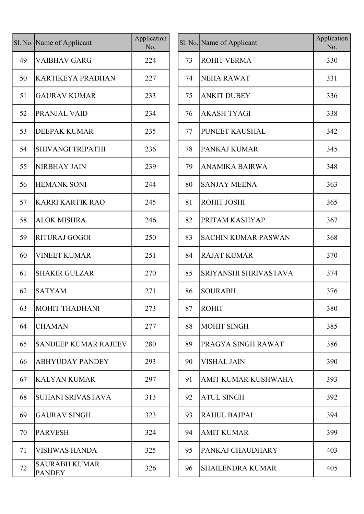|    | Sl. No. Name of Applicant             | Application<br>No. |
|----|---------------------------------------|--------------------|
| 49 | <b>VAIBHAV GARG</b>                   | 224                |
| 50 | <b>KARTIKEYA PRADHAN</b>              | 227                |
| 51 | <b>GAURAV KUMAR</b>                   | 233                |
| 52 | PRANJAL VAID                          | 234                |
| 53 | <b>DEEPAK KUMAR</b>                   | 235                |
| 54 | SHIVANGI TRIPATHI                     | 236                |
| 55 | <b>NIRBHAY JAIN</b>                   | 239                |
| 56 | <b>HEMANK SONI</b>                    | 244                |
| 57 | <b>KARRI KARTIK RAO</b>               | 245                |
| 58 | <b>ALOK MISHRA</b>                    | 246                |
| 59 | <b>RITURAJ GOGOI</b>                  | 250                |
| 60 | <b>VINEET KUMAR</b>                   | 251                |
| 61 | <b>SHAKIR GULZAR</b>                  | 270                |
| 62 | <b>SATYAM</b>                         | 271                |
| 63 | <b>MOHIT THADHANI</b>                 | 273                |
| 64 | <b>CHAMAN</b>                         | 277                |
| 65 | <b>SANDEEP KUMAR RAJEEV</b>           | 280                |
| 66 | <b>ABHYUDAY PANDEY</b>                | 293                |
| 67 | <b>KALYAN KUMAR</b>                   | 297                |
| 68 | SUHANI SRIVASTAVA                     | 313                |
| 69 | <b>GAURAV SINGH</b>                   | 323                |
| 70 | <b>PARVESH</b>                        | 324                |
| 71 | <b>VISHWAS HANDA</b>                  | 325                |
| 72 | <b>SAURABH KUMAR</b><br><b>PANDEY</b> | 326                |

|    | No. Name of Applicant                 | Application<br>No. |    | Sl. No. Name of Applicant  | Application<br>No. |
|----|---------------------------------------|--------------------|----|----------------------------|--------------------|
| 49 | <b>VAIBHAV GARG</b>                   | 224                | 73 | <b>ROHIT VERMA</b>         | 330                |
| 50 | <b>KARTIKEYA PRADHAN</b>              | 227                | 74 | <b>NEHA RAWAT</b>          | 331                |
| 51 | <b>GAURAV KUMAR</b>                   | 233                | 75 | <b>ANKIT DUBEY</b>         | 336                |
| 52 | PRANJAL VAID                          | 234                | 76 | <b>AKASH TYAGI</b>         | 338                |
| 53 | <b>DEEPAK KUMAR</b>                   | 235                | 77 | PUNEET KAUSHAL             | 342                |
| 54 | SHIVANGI TRIPATHI                     | 236                | 78 | PANKAJ KUMAR               | 345                |
| 55 | <b>NIRBHAY JAIN</b>                   | 239                | 79 | <b>ANAMIKA BAIRWA</b>      | 348                |
| 56 | <b>HEMANK SONI</b>                    | 244                | 80 | <b>SANJAY MEENA</b>        | 363                |
| 57 | <b>KARRI KARTIK RAO</b>               | 245                | 81 | ROHIT JOSHI                | 365                |
| 58 | <b>ALOK MISHRA</b>                    | 246                | 82 | PRITAM KASHYAP             | 367                |
| 59 | <b>RITURAJ GOGOI</b>                  | 250                | 83 | <b>SACHIN KUMAR PASWAN</b> | 368                |
| 60 | <b>VINEET KUMAR</b>                   | 251                | 84 | <b>RAJAT KUMAR</b>         | 370                |
| 61 | <b>SHAKIR GULZAR</b>                  | 270                | 85 | SRIYANSHI SHRIVASTAVA      | 374                |
| 62 | <b>SATYAM</b>                         | 271                | 86 | <b>SOURABH</b>             | 376                |
| 63 | MOHIT THADHANI                        | 273                | 87 | <b>ROHIT</b>               | 380                |
| 64 | <b>CHAMAN</b>                         | 277                | 88 | <b>MOHIT SINGH</b>         | 385                |
| 65 | <b>SANDEEP KUMAR RAJEEV</b>           | 280                | 89 | PRAGYA SINGH RAWAT         | 386                |
| 66 | <b>ABHYUDAY PANDEY</b>                | 293                | 90 | <b>VISHAL JAIN</b>         | 390                |
| 67 | <b>KALYAN KUMAR</b>                   | 297                | 91 | AMIT KUMAR KUSHWAHA        | 393                |
| 68 | <b>SUHANI SRIVASTAVA</b>              | 313                | 92 | <b>ATUL SINGH</b>          | 392                |
| 69 | <b>GAURAV SINGH</b>                   | 323                | 93 | <b>RAHUL BAJPAI</b>        | 394                |
| 70 | <b>PARVESH</b>                        | 324                | 94 | <b>AMIT KUMAR</b>          | 399                |
| 71 | <b>VISHWAS HANDA</b>                  | 325                | 95 | PANKAJ CHAUDHARY           | 403                |
| 72 | <b>SAURABH KUMAR</b><br><b>PANDEY</b> | 326                | 96 | <b>SHAILENDRA KUMAR</b>    | 405                |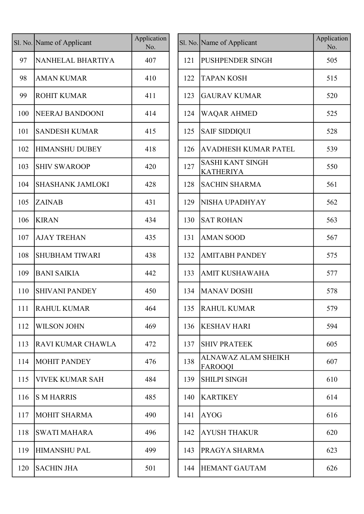| Sl. No. Name of Applicant | Application<br>No. |     | Sl. No. Name of Applicant                   |
|---------------------------|--------------------|-----|---------------------------------------------|
| NANHELAL BHARTIYA         | 407                | 121 | PUSHPENDER SINGH                            |
| <b>AMAN KUMAR</b>         | 410                | 122 | <b>TAPAN KOSH</b>                           |
| <b>ROHIT KUMAR</b>        | 411                | 123 | <b>GAURAV KUMAR</b>                         |
| <b>NEERAJ BANDOONI</b>    | 414                | 124 | WAQAR AHMED                                 |
| <b>SANDESH KUMAR</b>      | 415                | 125 | <b>SAIF SIDDIQUI</b>                        |
| <b>HIMANSHU DUBEY</b>     | 418                | 126 | <b>AVADHESH KUMAR PATE</b>                  |
| <b>SHIV SWAROOP</b>       | 420                | 127 | <b>SASHI KANT SINGH</b><br><b>KATHERIYA</b> |
| <b>SHASHANK JAMLOKI</b>   | 428                | 128 | <b>SACHIN SHARMA</b>                        |
| <b>ZAINAB</b>             | 431                | 129 | NISHA UPADHYAY                              |
| <b>KIRAN</b>              | 434                | 130 | <b>SAT ROHAN</b>                            |
| <b>AJAY TREHAN</b>        | 435                | 131 | <b>AMAN SOOD</b>                            |
| <b>SHUBHAM TIWARI</b>     | 438                | 132 | <b>AMITABH PANDEY</b>                       |
| <b>BANI SAIKIA</b>        | 442                | 133 | <b>AMIT KUSHAWAHA</b>                       |
| <b>SHIVANI PANDEY</b>     | 450                | 134 | <b>MANAV DOSHI</b>                          |
| <b>RAHUL KUMAR</b>        | 464                |     | 135 RAHUL KUMAR                             |
| <b>WILSON JOHN</b>        | 469                | 136 | <b>KESHAV HARI</b>                          |
| RAVI KUMAR CHAWLA         | 472                | 137 | <b>SHIV PRATEEK</b>                         |
| <b>MOHIT PANDEY</b>       | 476                | 138 | ALNAWAZ ALAM SHEIKH<br>FAROOQI              |
| <b>VIVEK KUMAR SAH</b>    | 484                | 139 | <b>SHILPI SINGH</b>                         |
| <b>S M HARRIS</b>         | 485                | 140 | <b>KARTIKEY</b>                             |
| <b>MOHIT SHARMA</b>       | 490                | 141 | <b>AYOG</b>                                 |
| <b>SWATI MAHARA</b>       | 496                | 142 | <b>AYUSH THAKUR</b>                         |
| <b>HIMANSHU PAL</b>       | 499                | 143 | PRAGYA SHARMA                               |
| <b>SACHIN JHA</b>         | 501                | 144 | <b>HEMANT GAUTAM</b>                        |
|                           |                    |     |                                             |

|     | l. No. Name of Applicant | Application<br>No. |     | Sl. No. Name of Applicant                   | Application<br>No. |
|-----|--------------------------|--------------------|-----|---------------------------------------------|--------------------|
| 97  | NANHELAL BHARTIYA        | 407                | 121 | <b>PUSHPENDER SINGH</b>                     | 505                |
| 98  | <b>AMAN KUMAR</b>        | 410                | 122 | <b>TAPAN KOSH</b>                           | 515                |
| 99  | <b>ROHIT KUMAR</b>       | 411                | 123 | <b>GAURAV KUMAR</b>                         | 520                |
| 100 | NEERAJ BANDOONI          | 414                | 124 | <b>WAQAR AHMED</b>                          | 525                |
| 101 | SANDESH KUMAR            | 415                | 125 | <b>SAIF SIDDIQUI</b>                        | 528                |
| 102 | <b>HIMANSHU DUBEY</b>    | 418                | 126 | <b>AVADHESH KUMAR PATEL</b>                 | 539                |
| 103 | <b>SHIV SWAROOP</b>      | 420                | 127 | <b>SASHI KANT SINGH</b><br><b>KATHERIYA</b> | 550                |
| 104 | <b>SHASHANK JAMLOKI</b>  | 428                | 128 | <b>SACHIN SHARMA</b>                        | 561                |
| 105 | <b>ZAINAB</b>            | 431                | 129 | NISHA UPADHYAY                              | 562                |
| 106 | <b>KIRAN</b>             | 434                | 130 | <b>SAT ROHAN</b>                            | 563                |
| 107 | <b>AJAY TREHAN</b>       | 435                | 131 | <b>AMAN SOOD</b>                            | 567                |
| 108 | <b>SHUBHAM TIWARI</b>    | 438                | 132 | <b>AMITABH PANDEY</b>                       | 575                |
| 109 | <b>BANI SAIKIA</b>       | 442                | 133 | <b>AMIT KUSHAWAHA</b>                       | 577                |
| 110 | <b>SHIVANI PANDEY</b>    | 450                | 134 | <b>MANAV DOSHI</b>                          | 578                |
|     | 111 RAHUL KUMAR          | 464                |     | 135 RAHUL KUMAR                             | 579                |
| 112 | <b>WILSON JOHN</b>       | 469                | 136 | <b>KESHAV HARI</b>                          | 594                |
| 113 | RAVI KUMAR CHAWLA        | 472                | 137 | <b>SHIV PRATEEK</b>                         | 605                |
| 114 | <b>MOHIT PANDEY</b>      | 476                | 138 | ALNAWAZ ALAM SHEIKH<br><b>FAROOQI</b>       | 607                |
| 115 | <b>VIVEK KUMAR SAH</b>   | 484                | 139 | <b>SHILPI SINGH</b>                         | 610                |
| 116 | <b>S M HARRIS</b>        | 485                | 140 | <b>KARTIKEY</b>                             | 614                |
| 117 | MOHIT SHARMA             | 490                | 141 | <b>AYOG</b>                                 | 616                |
| 118 | <b>SWATI MAHARA</b>      | 496                | 142 | <b>AYUSH THAKUR</b>                         | 620                |
| 119 | <b>HIMANSHU PAL</b>      | 499                | 143 | PRAGYA SHARMA                               | 623                |
| 120 | <b>SACHIN JHA</b>        | 501                | 144 | <b>HEMANT GAUTAM</b>                        | 626                |
|     |                          |                    |     |                                             |                    |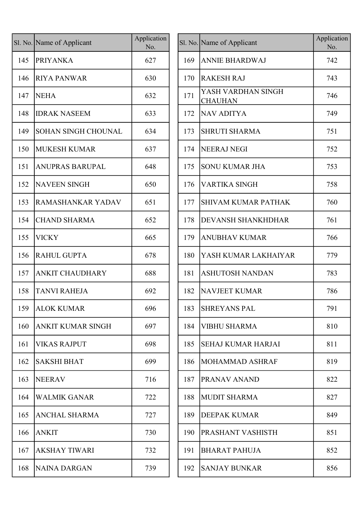|     | Sl. No. Name of Applicant  | Application<br>No. |     | Sl. No. Name of Applicant            |
|-----|----------------------------|--------------------|-----|--------------------------------------|
| 145 | <b>PRIYANKA</b>            | 627                | 169 | <b>ANNIE BHARDWAJ</b>                |
| 146 | <b>RIYA PANWAR</b>         | 630                | 170 | <b>RAKESH RAJ</b>                    |
| 147 | <b>NEHA</b>                | 632                | 171 | YASH VARDHAN SINGH<br><b>CHAUHAN</b> |
| 148 | <b>IDRAK NASEEM</b>        | 633                | 172 | <b>NAV ADITYA</b>                    |
| 149 | <b>SOHAN SINGH CHOUNAL</b> | 634                | 173 | <b>SHRUTI SHARMA</b>                 |
| 150 | <b>MUKESH KUMAR</b>        | 637                | 174 | <b>NEERAJ NEGI</b>                   |
| 151 | <b>ANUPRAS BARUPAL</b>     | 648                | 175 | <b>SONU KUMAR JHA</b>                |
| 152 | <b>NAVEEN SINGH</b>        | 650                | 176 | <b>VARTIKA SINGH</b>                 |
| 153 | RAMASHANKAR YADAV          | 651                | 177 | <b>SHIVAM KUMAR PATHA</b>            |
| 154 | <b>CHAND SHARMA</b>        | 652                | 178 | <b>DEVANSH SHANKHDHAI</b>            |
| 155 | VICKY                      | 665                | 179 | <b>ANUBHAV KUMAR</b>                 |
| 156 | <b>RAHUL GUPTA</b>         | 678                | 180 | YASH KUMAR LAKHAIY.                  |
| 157 | <b>ANKIT CHAUDHARY</b>     | 688                | 181 | <b>ASHUTOSH NANDAN</b>               |
| 158 | <b>TANVI RAHEJA</b>        | 692                | 182 | <b>NAVJEET KUMAR</b>                 |
| 159 | <b>ALOK KUMAR</b>          | 696                | 183 | <b>SHREYANS PAL</b>                  |
| 160 | <b>ANKIT KUMAR SINGH</b>   | 697                | 184 | <b>VIBHU SHARMA</b>                  |
| 161 | VIKAS RAJPUT               | 698                | 185 | SEHAJ KUMAR HARJAI                   |
| 162 | <b>SAKSHI BHAT</b>         | 699                | 186 | <b>MOHAMMAD ASHRAF</b>               |
| 163 | <b>NEERAV</b>              | 716                | 187 | PRANAV ANAND                         |
| 164 | <b>WALMIK GANAR</b>        | 722                | 188 | <b>MUDIT SHARMA</b>                  |
| 165 | ANCHAL SHARMA              | 727                | 189 | DEEPAK KUMAR                         |
| 166 | <b>ANKIT</b>               | 730                | 190 | PRASHANT VASHISTH                    |
| 167 | <b>AKSHAY TIWARI</b>       | 732                | 191 | <b>BHARAT PAHUJA</b>                 |
| 168 | <b>NAINA DARGAN</b>        | 739                | 192 | <b>SANJAY BUNKAR</b>                 |
|     |                            |                    |     |                                      |

|     | l. No. Name of Applicant   | Application<br>No. |     | Sl. No. Name of Applicant            | Application<br>No. |
|-----|----------------------------|--------------------|-----|--------------------------------------|--------------------|
| 145 | <b>PRIYANKA</b>            | 627                | 169 | <b>ANNIE BHARDWAJ</b>                | 742                |
| 146 | <b>RIYA PANWAR</b>         | 630                | 170 | <b>RAKESH RAJ</b>                    | 743                |
| 147 | <b>NEHA</b>                | 632                | 171 | YASH VARDHAN SINGH<br><b>CHAUHAN</b> | 746                |
| 148 | <b>IDRAK NASEEM</b>        | 633                | 172 | NAV ADITYA                           | 749                |
| 149 | <b>SOHAN SINGH CHOUNAL</b> | 634                | 173 | <b>SHRUTI SHARMA</b>                 | 751                |
| 150 | <b>MUKESH KUMAR</b>        | 637                | 174 | NEERAJ NEGI                          | 752                |
| 151 | <b>ANUPRAS BARUPAL</b>     | 648                | 175 | <b>SONU KUMAR JHA</b>                | 753                |
| 152 | <b>NAVEEN SINGH</b>        | 650                | 176 | <b>VARTIKA SINGH</b>                 | 758                |
| 153 | <b>RAMASHANKAR YADAV</b>   | 651                | 177 | <b>SHIVAM KUMAR PATHAK</b>           | 760                |
| 154 | <b>CHAND SHARMA</b>        | 652                | 178 | <b>DEVANSH SHANKHDHAR</b>            | 761                |
| 155 | <b>VICKY</b>               | 665                | 179 | <b>ANUBHAV KUMAR</b>                 | 766                |
| 156 | <b>RAHUL GUPTA</b>         | 678                | 180 | YASH KUMAR LAKHAIYAR                 | 779                |
| 157 | <b>ANKIT CHAUDHARY</b>     | 688                | 181 | <b>ASHUTOSH NANDAN</b>               | 783                |
| 158 | <b>TANVI RAHEJA</b>        | 692                | 182 | <b>NAVJEET KUMAR</b>                 | 786                |
|     | 159 ALOK KUMAR             | 696                | 183 | <b>SHREYANS PAL</b>                  | 791                |
| 160 | <b>ANKIT KUMAR SINGH</b>   | 697                | 184 | <b>VIBHU SHARMA</b>                  | 810                |
| 161 | <b>VIKAS RAJPUT</b>        | 698                | 185 | <b>SEHAJ KUMAR HARJAI</b>            | 811                |
| 162 | <b>SAKSHI BHAT</b>         | 699                | 186 | MOHAMMAD ASHRAF                      | 819                |
| 163 | <b>NEERAV</b>              | 716                | 187 | PRANAV ANAND                         | 822                |
| 164 | <b>WALMIK GANAR</b>        | 722                | 188 | <b>MUDIT SHARMA</b>                  | 827                |
| 165 | <b>ANCHAL SHARMA</b>       | 727                | 189 | <b>DEEPAK KUMAR</b>                  | 849                |
| 166 | <b>ANKIT</b>               | 730                | 190 | <b>PRASHANT VASHISTH</b>             | 851                |
| 167 | <b>AKSHAY TIWARI</b>       | 732                | 191 | <b>BHARAT PAHUJA</b>                 | 852                |
| 168 | NAINA DARGAN               | 739                | 192 | <b>SANJAY BUNKAR</b>                 | 856                |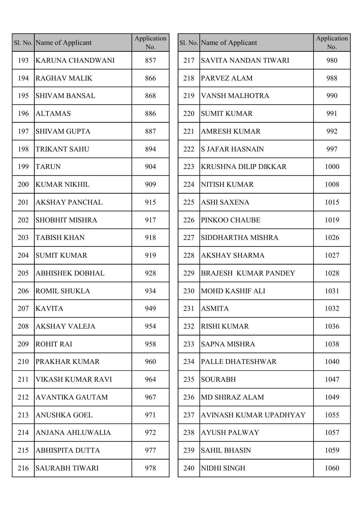|     | Sl. No. Name of Applicant | Application<br>No. |
|-----|---------------------------|--------------------|
| 193 | <b>KARUNA CHANDWANI</b>   | 857                |
| 194 | <b>RAGHAV MALIK</b>       | 866                |
| 195 | <b>SHIVAM BANSAL</b>      | 868                |
| 196 | <b>ALTAMAS</b>            | 886                |
| 197 | <b>SHIVAM GUPTA</b>       | 887                |
| 198 | <b>TRIKANT SAHU</b>       | 894                |
| 199 | <b>TARUN</b>              | 904                |
| 200 | <b>KUMAR NIKHIL</b>       | 909                |
| 201 | <b>AKSHAY PANCHAL</b>     | 915                |
| 202 | SHOBHIT MISHRA            | 917                |
| 203 | <b>TABISH KHAN</b>        | 918                |
| 204 | <b>SUMIT KUMAR</b>        | 919                |
| 205 | <b>ABHISHEK DOBHAL</b>    | 928                |
| 206 | <b>ROMIL SHUKLA</b>       | 934                |
| 207 | <b>KAVITA</b>             | 949                |
| 208 | <b>AKSHAY VALEJA</b>      | 954                |
| 209 | <b>ROHIT RAI</b>          | 958                |
| 210 | PRAKHAR KUMAR             | 960                |
| 211 | VIKASH KUMAR RAVI         | 964                |
| 212 | <b>AVANTIKA GAUTAM</b>    | 967                |
| 213 | <b>ANUSHKA GOEL</b>       | 971                |
| 214 | ANJANA AHLUWALIA          | 972                |
| 215 | <b>ABHISPITA DUTTA</b>    | 977                |
| 216 | <b>SAURABH TIWARI</b>     | 978                |

| l. No. Name of Applicant | Application<br>No. |     |                             | Application<br>No.                                            |
|--------------------------|--------------------|-----|-----------------------------|---------------------------------------------------------------|
| <b>KARUNA CHANDWANI</b>  | 857                | 217 | SAVITA NANDAN TIWARI        | 980                                                           |
| <b>RAGHAV MALIK</b>      | 866                | 218 | PARVEZ ALAM                 | 988                                                           |
| <b>SHIVAM BANSAL</b>     | 868                | 219 | <b>VANSH MALHOTRA</b>       | 990                                                           |
| <b>ALTAMAS</b>           | 886                | 220 | <b>SUMIT KUMAR</b>          | 991                                                           |
| <b>SHIVAM GUPTA</b>      | 887                | 221 | <b>AMRESH KUMAR</b>         | 992                                                           |
| <b>TRIKANT SAHU</b>      | 894                | 222 | <b>S JAFAR HASNAIN</b>      | 997                                                           |
| <b>TARUN</b>             | 904                | 223 | <b>KRUSHNA DILIP DIKKAR</b> | 1000                                                          |
| <b>KUMAR NIKHIL</b>      | 909                | 224 | <b>NITISH KUMAR</b>         | 1008                                                          |
| <b>AKSHAY PANCHAL</b>    | 915                | 225 | <b>ASHI SAXENA</b>          | 1015                                                          |
| <b>SHOBHIT MISHRA</b>    | 917                | 226 | PINKOO CHAUBE               | 1019                                                          |
| <b>TABISH KHAN</b>       | 918                | 227 | SIDDHARTHA MISHRA           | 1026                                                          |
| <b>SUMIT KUMAR</b>       | 919                | 228 | <b>AKSHAY SHARMA</b>        | 1027                                                          |
| <b>ABHISHEK DOBHAL</b>   | 928                | 229 | <b>BRAJESH KUMAR PANDEY</b> | 1028                                                          |
| <b>ROMIL SHUKLA</b>      | 934                | 230 |                             | 1031                                                          |
| 207   KAVITA             | 949                | 231 |                             | 1032                                                          |
| <b>AKSHAY VALEJA</b>     | 954                | 232 | <b>RISHI KUMAR</b>          | 1036                                                          |
| <b>ROHIT RAI</b>         | 958                | 233 | <b>SAPNA MISHRA</b>         | 1038                                                          |
| <b>PRAKHAR KUMAR</b>     | 960                | 234 | PALLE DHATESHWAR            | 1040                                                          |
| VIKASH KUMAR RAVI        | 964                | 235 | <b>SOURABH</b>              | 1047                                                          |
| <b>AVANTIKA GAUTAM</b>   | 967                | 236 | <b>MD SHIRAZ ALAM</b>       | 1049                                                          |
| <b>ANUSHKA GOEL</b>      | 971                | 237 | AVINASH KUMAR UPADHYAY      | 1055                                                          |
| ANJANA AHLUWALIA         | 972                | 238 | <b>AYUSH PALWAY</b>         | 1057                                                          |
| <b>ABHISPITA DUTTA</b>   | 977                | 239 | <b>SAHIL BHASIN</b>         | 1059                                                          |
| <b>SAURABH TIWARI</b>    | 978                | 240 | NIDHI SINGH                 | 1060                                                          |
|                          |                    |     |                             | Sl. No. Name of Applicant<br>MOHD KASHIF ALI<br><b>ASMITA</b> |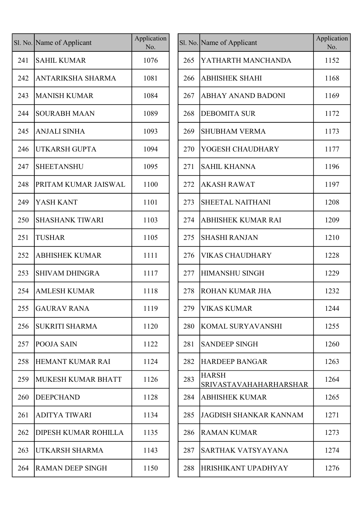|     | Sl. No. Name of Applicant | Application<br>No. |     | Sl. No. Name of               |
|-----|---------------------------|--------------------|-----|-------------------------------|
| 241 | <b>SAHIL KUMAR</b>        | 1076               | 265 | <b>YATHAI</b>                 |
| 242 | <b>ANTARIKSHA SHARMA</b>  | 1081               | 266 | <b>ABHISH</b>                 |
| 243 | <b>MANISH KUMAR</b>       | 1084               | 267 | <b>ABHAY</b>                  |
| 244 | <b>SOURABH MAAN</b>       | 1089               | 268 | <b>DEBOM</b>                  |
| 245 | <b>ANJALI SINHA</b>       | 1093               | 269 | <b>SHUBHA</b>                 |
| 246 | UTKARSH GUPTA             | 1094               | 270 | <b>YOGESI</b>                 |
| 247 | <b>SHEETANSHU</b>         | 1095               | 271 | <b>SAHIL K</b>                |
| 248 | PRITAM KUMAR JAISWAL      | 1100               | 272 | <b>AKASH</b>                  |
| 249 | YASH KANT                 | 1101               | 273 | <b>SHEETA</b>                 |
| 250 | <b>SHASHANK TIWARI</b>    | 1103               | 274 | <b>ABHISH</b>                 |
| 251 | <b>TUSHAR</b>             | 1105               | 275 | <b>SHASHI</b>                 |
| 252 | <b>ABHISHEK KUMAR</b>     | 1111               | 276 | <b>VIKAS</b>                  |
| 253 | <b>SHIVAM DHINGRA</b>     | 1117               | 277 | <b>HIMANS</b>                 |
| 254 | <b>AMLESH KUMAR</b>       | 1118               | 278 | <b>ROHAN</b>                  |
| 255 | <b>GAURAV RANA</b>        | 1119               | 279 | <b>VIKAS</b>                  |
| 256 | <b>SUKRITI SHARMA</b>     | 1120               | 280 | <b>KOMAL</b>                  |
| 257 | POOJA SAIN                | 1122               | 281 | <b>SANDEE</b>                 |
| 258 | HEMANT KUMAR RAI          | 1124               | 282 | <b>HARDEI</b>                 |
| 259 | <b>MUKESH KUMAR BHATT</b> | 1126               | 283 | <b>HARSH</b><br><b>SRIVAS</b> |
| 260 | <b>DEEPCHAND</b>          | 1128               | 284 | <b>ABHISH</b>                 |
| 261 | <b>ADITYA TIWARI</b>      | 1134               | 285 | <b>JAGDISI</b>                |
| 262 | DIPESH KUMAR ROHILLA      | 1135               | 286 | <b>RAMAN</b>                  |
| 263 | UTKARSH SHARMA            | 1143               | 287 | <b>SARTHA</b>                 |
| 264 | <b>RAMAN DEEP SINGH</b>   | 1150               | 288 | <b>HRISHIK</b>                |

|     | l. No. Name of Applicant  | Application<br>No. |     | Sl. No. Name of Applicant              | Application<br>No. |
|-----|---------------------------|--------------------|-----|----------------------------------------|--------------------|
| 241 | <b>SAHIL KUMAR</b>        | 1076               | 265 | YATHARTH MANCHANDA                     | 1152               |
| 242 | ANTARIKSHA SHARMA         | 1081               | 266 | <b>ABHISHEK SHAHI</b>                  | 1168               |
| 243 | <b>MANISH KUMAR</b>       | 1084               | 267 | <b>ABHAY ANAND BADONI</b>              | 1169               |
| 244 | <b>SOURABH MAAN</b>       | 1089               | 268 | <b>DEBOMITA SUR</b>                    | 1172               |
| 245 | <b>ANJALI SINHA</b>       | 1093               | 269 | <b>SHUBHAM VERMA</b>                   | 1173               |
| 246 | <b>UTKARSH GUPTA</b>      | 1094               | 270 | YOGESH CHAUDHARY                       | 1177               |
| 247 | <b>SHEETANSHU</b>         | 1095               | 271 | <b>SAHIL KHANNA</b>                    | 1196               |
| 248 | PRITAM KUMAR JAISWAL      | 1100               | 272 | <b>AKASH RAWAT</b>                     | 1197               |
| 249 | YASH KANT                 | 1101               | 273 | <b>SHEETAL NAITHANI</b>                | 1208               |
| 250 | <b>SHASHANK TIWARI</b>    | 1103               | 274 | ABHISHEK KUMAR RAI                     | 1209               |
| 251 | <b>TUSHAR</b>             | 1105               | 275 | <b>SHASHI RANJAN</b>                   | 1210               |
| 252 | <b>ABHISHEK KUMAR</b>     | 1111               | 276 | <b>VIKAS CHAUDHARY</b>                 | 1228               |
| 253 | <b>SHIVAM DHINGRA</b>     | 1117               | 277 | <b>HIMANSHU SINGH</b>                  | 1229               |
| 254 | <b>AMLESH KUMAR</b>       | 1118               | 278 | <b>ROHAN KUMAR JHA</b>                 | 1232               |
|     | 255 GAURAV RANA           | 1119               |     | 279   VIKAS KUMAR                      | 1244               |
| 256 | <b>SUKRITI SHARMA</b>     | 1120               | 280 | <b>KOMAL SURYAVANSHI</b>               | 1255               |
| 257 | <b>POOJA SAIN</b>         | 1122               | 281 | <b>SANDEEP SINGH</b>                   | 1260               |
| 258 | HEMANT KUMAR RAI          | 1124               | 282 | <b>HARDEEP BANGAR</b>                  | 1263               |
| 259 | <b>MUKESH KUMAR BHATT</b> | 1126               | 283 | <b>HARSH</b><br>SRIVASTAVAHAHARHARSHAR | 1264               |
| 260 | <b>DEEPCHAND</b>          | 1128               | 284 | <b>ABHISHEK KUMAR</b>                  | 1265               |
| 261 | <b>ADITYA TIWARI</b>      | 1134               | 285 | <b>JAGDISH SHANKAR KANNAM</b>          | 1271               |
| 262 | DIPESH KUMAR ROHILLA      | 1135               | 286 | <b>RAMAN KUMAR</b>                     | 1273               |
| 263 | UTKARSH SHARMA            | 1143               | 287 | SARTHAK VATSYAYANA                     | 1274               |
| 264 | RAMAN DEEP SINGH          | 1150               | 288 | HRISHIKANT UPADHYAY                    | 1276               |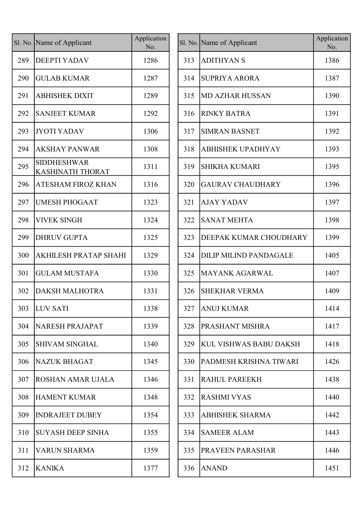|     | Sl. No. Name of Applicant                     | Application<br>No. |
|-----|-----------------------------------------------|--------------------|
| 289 | <b>DEEPTI YADAV</b>                           | 1286               |
| 290 | <b>GULAB KUMAR</b>                            | 1287               |
| 291 | <b>ABHISHEK DIXIT</b>                         | 1289               |
| 292 | <b>SANJEET KUMAR</b>                          | 1292               |
| 293 | <b>JYOTI YADAV</b>                            | 1306               |
| 294 | <b>AKSHAY PANWAR</b>                          | 1308               |
| 295 | <b>SIDDHESHWAR</b><br><b>KASHINATH THORAT</b> | 1311               |
| 296 | <b>ATESHAM FIROZ KHAN</b>                     | 1316               |
| 297 | <b>UMESH PHOGAAT</b>                          | 1323               |
| 298 | <b>VIVEK SINGH</b>                            | 1324               |
| 299 | <b>DHRUV GUPTA</b>                            | 1325               |
| 300 | <b>AKHILESH PRATAP SHAHI</b>                  | 1329               |
| 301 | <b>GULAM MUSTAFA</b>                          | 1330               |
| 302 | <b>DAKSH MALHOTRA</b>                         | 1331               |
| 303 | <b>LUV SATI</b>                               | 1338               |
| 304 | <b>NARESH PRAJAPAT</b>                        | 1339               |
| 305 | <b>SHIVAM SINGHAL</b>                         | 1340               |
| 306 | <b>NAZUK BHAGAT</b>                           | 1345               |
| 307 | <b>ROSHAN AMAR UJALA</b>                      | 1346               |
| 308 | <b>HAMENT KUMAR</b>                           | 1348               |
| 309 | <b>INDRAJEET DUBEY</b>                        | 1354               |
| 310 | <b>SUYASH DEEP SINHA</b>                      | 1355               |
| 311 | <b>VARUN SHARMA</b>                           | 1359               |
| 312 | <b>KANIKA</b>                                 | 1377               |

|     | l. No. Name of Applicant               | Application<br>No. |     | Sl. No. Name of Applicant     | Application<br>No. |
|-----|----------------------------------------|--------------------|-----|-------------------------------|--------------------|
| 289 | <b>DEEPTI YADAV</b>                    | 1286               | 313 | <b>ADITHYAN S</b>             | 1386               |
| 290 | <b>GULAB KUMAR</b>                     | 1287               | 314 | <b>SUPRIYA ARORA</b>          | 1387               |
| 291 | <b>ABHISHEK DIXIT</b>                  | 1289               | 315 | <b>MD AZHAR HUSSAN</b>        | 1390               |
| 292 | <b>SANJEET KUMAR</b>                   | 1292               | 316 | <b>RINKY BATRA</b>            | 1391               |
| 293 | <b>JYOTI YADAV</b>                     | 1306               | 317 | <b>SIMRAN BASNET</b>          | 1392               |
| 294 | <b>AKSHAY PANWAR</b>                   | 1308               | 318 | <b>ABHISHEK UPADHYAY</b>      | 1393               |
| 295 | <b>SIDDHESHWAR</b><br>KASHINATH THORAT | 1311               | 319 | <b>SHIKHA KUMARI</b>          | 1395               |
| 296 | <b>ATESHAM FIROZ KHAN</b>              | 1316               | 320 | <b>GAURAV CHAUDHARY</b>       | 1396               |
| 297 | <b>UMESH PHOGAAT</b>                   | 1323               | 321 | <b>AJAY YADAV</b>             | 1397               |
| 298 | <b>VIVEK SINGH</b>                     | 1324               | 322 | <b>SANAT MEHTA</b>            | 1398               |
| 299 | <b>DHRUV GUPTA</b>                     | 1325               | 323 | DEEPAK KUMAR CHOUDHARY        | 1399               |
| 300 | AKHILESH PRATAP SHAHI                  | 1329               | 324 | <b>DILIP MILIND PANDAGALE</b> | 1405               |
| 301 | <b>GULAM MUSTAFA</b>                   | 1330               | 325 | MAYANK AGARWAL                | 1407               |
| 302 | <b>DAKSH MALHOTRA</b>                  | 1331               | 326 | <b>SHEKHAR VERMA</b>          | 1409               |
|     | 303  LUV SATI                          | 1338               |     | 327 ANUJ KUMAR                | 1414               |
| 304 | NARESH PRAJAPAT                        | 1339               | 328 | <b>PRASHANT MISHRA</b>        | 1417               |
| 305 | <b>SHIVAM SINGHAL</b>                  | 1340               | 329 | KUL VISHWAS BABU DAKSH        | 1418               |
| 306 | <b>NAZUK BHAGAT</b>                    | 1345               | 330 | PADMESH KRISHNA TIWARI        | 1426               |
| 307 | <b>ROSHAN AMAR UJALA</b>               | 1346               | 331 | <b>RAHUL PAREEKH</b>          | 1438               |
| 308 | <b>HAMENT KUMAR</b>                    | 1348               | 332 | RASHMI VYAS                   | 1440               |
| 309 | <b>INDRAJEET DUBEY</b>                 | 1354               | 333 | <b>ABHISHEK SHARMA</b>        | 1442               |
| 310 | <b>SUYASH DEEP SINHA</b>               | 1355               | 334 | <b>SAMEER ALAM</b>            | 1443               |
| 311 | <b>VARUN SHARMA</b>                    | 1359               | 335 | <b>PRAVEEN PARASHAR</b>       | 1446               |
| 312 | KANIKA                                 | 1377               | 336 | <b>ANAND</b>                  | 1451               |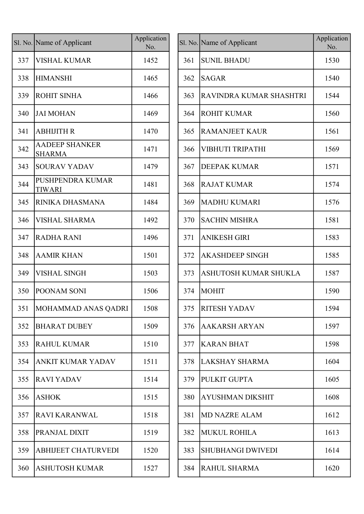|     | Sl. No. Name of Applicant                | Application<br>No. |
|-----|------------------------------------------|--------------------|
| 337 | <b>VISHAL KUMAR</b>                      | 1452               |
| 338 | <b>HIMANSHI</b>                          | 1465               |
| 339 | <b>ROHIT SINHA</b>                       | 1466               |
| 340 | <b>JAI MOHAN</b>                         | 1469               |
| 341 | <b>ABHIJITH R</b>                        | 1470               |
| 342 | <b>AADEEP SHANKER</b><br><b>SHARMA</b>   | 1471               |
| 343 | <b>SOURAV YADAV</b>                      | 1479               |
| 344 | <b>PUSHPENDRA KUMAR</b><br><b>TIWARI</b> | 1481               |
| 345 | RINIKA DHASMANA                          | 1484               |
| 346 | <b>VISHAL SHARMA</b>                     | 1492               |
| 347 | <b>RADHA RANI</b>                        | 1496               |
| 348 | <b>AAMIR KHAN</b>                        | 1501               |
| 349 | <b>VISHAL SINGH</b>                      | 1503               |
| 350 | POONAM SONI                              | 1506               |
| 351 | MOHAMMAD ANAS QADRI                      | 1508               |
| 352 | <b>BHARAT DUBEY</b>                      | 1509               |
| 353 | <b>RAHUL KUMAR</b>                       | 1510               |
| 354 | <b>ANKIT KUMAR YADAV</b>                 | 1511               |
| 355 | <b>RAVI YADAV</b>                        | 1514               |
| 356 | <b>ASHOK</b>                             | 1515               |
| 357 | <b>RAVI KARANWAL</b>                     | 1518               |
| 358 | PRANJAL DIXIT                            | 1519               |
| 359 | <b>ABHIJEET CHATURVEDI</b>               | 1520               |
| 360 | <b>ASHUTOSH KUMAR</b>                    | 1527               |

|     | l. No. Name of Applicant               | Application<br>No. |     | Sl. No. Name of Applicant | Application<br>No. |
|-----|----------------------------------------|--------------------|-----|---------------------------|--------------------|
| 337 | <b>VISHAL KUMAR</b>                    | 1452               | 361 | <b>SUNIL BHADU</b>        | 1530               |
| 338 | <b>HIMANSHI</b>                        | 1465               | 362 | <b>SAGAR</b>              | 1540               |
| 339 | <b>ROHIT SINHA</b>                     | 1466               | 363 | RAVINDRA KUMAR SHASHTRI   | 1544               |
| 340 | <b>JAI MOHAN</b>                       | 1469               | 364 | <b>ROHIT KUMAR</b>        | 1560               |
| 341 | <b>ABHIJITH R</b>                      | 1470               | 365 | <b>RAMANJEET KAUR</b>     | 1561               |
| 342 | <b>AADEEP SHANKER</b><br><b>SHARMA</b> | 1471               | 366 | VIBHUTI TRIPATHI          | 1569               |
| 343 | <b>SOURAV YADAV</b>                    | 1479               | 367 | <b>DEEPAK KUMAR</b>       | 1571               |
| 344 | PUSHPENDRA KUMAR<br><b>TIWARI</b>      | 1481               | 368 | <b>RAJAT KUMAR</b>        | 1574               |
| 345 | RINIKA DHASMANA                        | 1484               | 369 | <b>MADHU KUMARI</b>       | 1576               |
| 346 | <b>VISHAL SHARMA</b>                   | 1492               | 370 | <b>SACHIN MISHRA</b>      | 1581               |
| 347 | <b>RADHA RANI</b>                      | 1496               | 371 | <b>ANIKESH GIRI</b>       | 1583               |
| 348 | <b>AAMIR KHAN</b>                      | 1501               | 372 | <b>AKASHDEEP SINGH</b>    | 1585               |
| 349 | <b>VISHAL SINGH</b>                    | 1503               | 373 | ASHUTOSH KUMAR SHUKLA     | 1587               |
| 350 | POONAM SONI                            | 1506               | 374 | <b>MOHIT</b>              | 1590               |
| 351 | MOHAMMAD ANAS QADRI                    | 1508               |     | 375  RITESH YADAV         | 1594               |
| 352 | <b>BHARAT DUBEY</b>                    | 1509               | 376 | AAKARSH ARYAN             | 1597               |
| 353 | <b>RAHUL KUMAR</b>                     | 1510               | 377 | <b>KARAN BHAT</b>         | 1598               |
| 354 | <b>ANKIT KUMAR YADAV</b>               | 1511               | 378 | LAKSHAY SHARMA            | 1604               |
| 355 | <b>RAVI YADAV</b>                      | 1514               | 379 | PULKIT GUPTA              | 1605               |
| 356 | <b>ASHOK</b>                           | 1515               | 380 | <b>AYUSHMAN DIKSHIT</b>   | 1608               |
| 357 | <b>RAVI KARANWAL</b>                   | 1518               | 381 | <b>MD NAZRE ALAM</b>      | 1612               |
| 358 | PRANJAL DIXIT                          | 1519               | 382 | MUKUL ROHILA              | 1613               |
| 359 | <b>ABHIJEET CHATURVEDI</b>             | 1520               | 383 | <b>SHUBHANGI DWIVEDI</b>  | 1614               |
| 360 | <b>ASHUTOSH KUMAR</b>                  | 1527               | 384 | RAHUL SHARMA              | 1620               |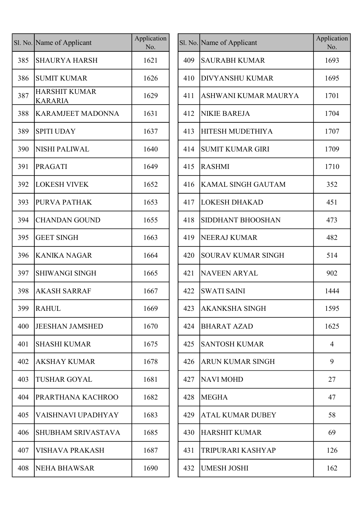|     | Sl. No. Name of Applicant              | Application<br>No. |
|-----|----------------------------------------|--------------------|
| 385 | <b>SHAURYA HARSH</b>                   | 1621               |
| 386 | <b>SUMIT KUMAR</b>                     | 1626               |
| 387 | <b>HARSHIT KUMAR</b><br><b>KARARIA</b> | 1629               |
| 388 | <b>KARAMJEET MADONNA</b>               | 1631               |
| 389 | <b>SPITI UDAY</b>                      | 1637               |
| 390 | <b>NISHI PALIWAL</b>                   | 1640               |
| 391 | <b>PRAGATI</b>                         | 1649               |
| 392 | <b>LOKESH VIVEK</b>                    | 1652               |
| 393 | PURVA PATHAK                           | 1653               |
| 394 | <b>CHANDAN GOUND</b>                   | 1655               |
| 395 | <b>GEET SINGH</b>                      | 1663               |
| 396 | <b>KANIKA NAGAR</b>                    | 1664               |
| 397 | <b>SHIWANGI SINGH</b>                  | 1665               |
| 398 | <b>AKASH SARRAF</b>                    | 1667               |
| 399 | <b>RAHUL</b>                           | 1669               |
| 400 | <b>JEESHAN JAMSHED</b>                 | 1670               |
| 401 | SHASHI KUMAR                           | 1675               |
| 402 | <b>AKSHAY KUMAR</b>                    | 1678               |
| 403 | TUSHAR GOYAL                           | 1681               |
| 404 | PRARTHANA KACHROO                      | 1682               |
| 405 | VAISHNAVI UPADHYAY                     | 1683               |
| 406 | SHUBHAM SRIVASTAVA                     | 1685               |
| 407 | <b>VISHAVA PRAKASH</b>                 | 1687               |
| 408 | <b>NEHA BHAWSAR</b>                    | 1690               |

|     | l. No. Name of Applicant               | Application<br>No. |     | Sl. No. Name of Applicant | Application<br>No. |
|-----|----------------------------------------|--------------------|-----|---------------------------|--------------------|
| 385 | <b>SHAURYA HARSH</b>                   | 1621               | 409 | <b>SAURABH KUMAR</b>      | 1693               |
| 386 | <b>SUMIT KUMAR</b>                     | 1626               | 410 | <b>DIVYANSHU KUMAR</b>    | 1695               |
| 387 | <b>HARSHIT KUMAR</b><br><b>KARARIA</b> | 1629               | 411 | ASHWANI KUMAR MAURYA      | 1701               |
| 388 | <b>KARAMJEET MADONNA</b>               | 1631               | 412 | <b>NIKIE BAREJA</b>       | 1704               |
| 389 | <b>SPITI UDAY</b>                      | 1637               | 413 | <b>HITESH MUDETHIYA</b>   | 1707               |
| 390 | <b>NISHI PALIWAL</b>                   | 1640               | 414 | <b>SUMIT KUMAR GIRI</b>   | 1709               |
| 391 | <b>PRAGATI</b>                         | 1649               | 415 | RASHMI                    | 1710               |
| 392 | <b>LOKESH VIVEK</b>                    | 1652               | 416 | KAMAL SINGH GAUTAM        | 352                |
| 393 | PURVA PATHAK                           | 1653               | 417 | LOKESH DHAKAD             | 451                |
| 394 | <b>CHANDAN GOUND</b>                   | 1655               | 418 | <b>SIDDHANT BHOOSHAN</b>  | 473                |
| 395 | <b>GEET SINGH</b>                      | 1663               | 419 | <b>NEERAJ KUMAR</b>       | 482                |
| 396 | <b>KANIKA NAGAR</b>                    | 1664               | 420 | <b>SOURAV KUMAR SINGH</b> | 514                |
| 397 | <b>SHIWANGI SINGH</b>                  | 1665               | 421 | <b>NAVEEN ARYAL</b>       | 902                |
| 398 | <b>AKASH SARRAF</b>                    | 1667               | 422 | <b>SWATI SAINI</b>        | 1444               |
| 399 | <b>RAHUL</b>                           | 1669               |     | 423   AKANKSHA SINGH      | 1595               |
| 400 | <b>JEESHAN JAMSHED</b>                 | 1670               | 424 | <b>BHARAT AZAD</b>        | 1625               |
| 401 | <b>SHASHI KUMAR</b>                    | 1675               | 425 | <b>SANTOSH KUMAR</b>      | 4                  |
| 402 | <b>AKSHAY KUMAR</b>                    | 1678               | 426 | <b>ARUN KUMAR SINGH</b>   | 9                  |
| 403 | <b>TUSHAR GOYAL</b>                    | 1681               | 427 | NAVI MOHD                 | 27                 |
| 404 | PRARTHANA KACHROO                      | 1682               | 428 | <b>MEGHA</b>              | 47                 |
| 405 | VAISHNAVI UPADHYAY                     | 1683               | 429 | <b>ATAL KUMAR DUBEY</b>   | 58                 |
| 406 | SHUBHAM SRIVASTAVA                     | 1685               | 430 | <b>HARSHIT KUMAR</b>      | 69                 |
| 407 | <b>VISHAVA PRAKASH</b>                 | 1687               | 431 | TRIPURARI KASHYAP         | 126                |
| 408 | <b>NEHA BHAWSAR</b>                    | 1690               | 432 | <b>UMESH JOSHI</b>        | 162                |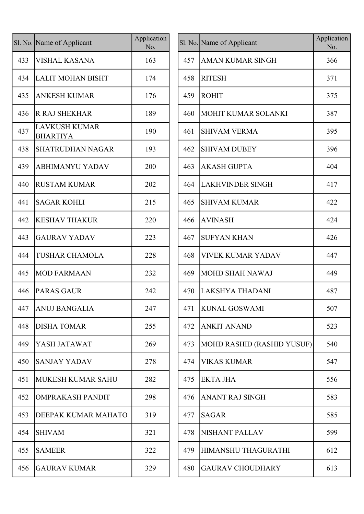|     | Sl. No. Name of Applicant               | Application<br>No. |
|-----|-----------------------------------------|--------------------|
| 433 | <b>VISHAL KASANA</b>                    | 163                |
| 434 | <b>LALIT MOHAN BISHT</b>                | 174                |
| 435 | <b>ANKESH KUMAR</b>                     | 176                |
| 436 | <b>R RAJ SHEKHAR</b>                    | 189                |
| 437 | <b>LAVKUSH KUMAR</b><br><b>BHARTIYA</b> | 190                |
| 438 | SHATRUDHAN NAGAR                        | 193                |
| 439 | <b>ABHIMANYU YADAV</b>                  | 200                |
| 440 | <b>RUSTAM KUMAR</b>                     | 202                |
| 441 | SAGAR KOHLI                             | 215                |
| 442 | <b>KESHAV THAKUR</b>                    | 220                |
| 443 | <b>GAURAV YADAV</b>                     | 223                |
| 444 | <b>TUSHAR CHAMOLA</b>                   | 228                |
| 445 | <b>MOD FARMAAN</b>                      | 232                |
| 446 | <b>PARAS GAUR</b>                       | 242                |
| 447 | <b>ANUJ BANGALIA</b>                    | 247                |
| 448 | <b>DISHA TOMAR</b>                      | 255                |
| 449 | YASH JATAWAT                            | 269                |
| 450 | SANJAY YADAV                            | 278                |
| 451 | MUKESH KUMAR SAHU                       | 282                |
| 452 | <b>OMPRAKASH PANDIT</b>                 | 298                |
| 453 | DEEPAK KUMAR MAHATO                     | 319                |
| 454 | <b>SHIVAM</b>                           | 321                |
| 455 | <b>SAMEER</b>                           | 322                |
| 456 | <b>GAURAV KUMAR</b>                     | 329                |

|     | l. No. Name of Applicant                | Application<br>No. |     | Sl. No. Name of Applicant         | Application<br>No. |
|-----|-----------------------------------------|--------------------|-----|-----------------------------------|--------------------|
| 433 | <b>VISHAL KASANA</b>                    | 163                | 457 | <b>AMAN KUMAR SINGH</b>           | 366                |
| 434 | <b>LALIT MOHAN BISHT</b>                | 174                | 458 | <b>RITESH</b>                     | 371                |
| 435 | <b>ANKESH KUMAR</b>                     | 176                | 459 | <b>ROHIT</b>                      | 375                |
| 436 | <b>R RAJ SHEKHAR</b>                    | 189                | 460 | MOHIT KUMAR SOLANKI               | 387                |
| 437 | <b>LAVKUSH KUMAR</b><br><b>BHARTIYA</b> | 190                | 461 | <b>SHIVAM VERMA</b>               | 395                |
| 438 | <b>SHATRUDHAN NAGAR</b>                 | 193                | 462 | <b>SHIVAM DUBEY</b>               | 396                |
| 439 | <b>ABHIMANYU YADAV</b>                  | 200                | 463 | <b>AKASH GUPTA</b>                | 404                |
| 440 | <b>RUSTAM KUMAR</b>                     | 202                | 464 | <b>LAKHVINDER SINGH</b>           | 417                |
| 441 | <b>SAGAR KOHLI</b>                      | 215                | 465 | <b>SHIVAM KUMAR</b>               | 422                |
| 442 | <b>KESHAV THAKUR</b>                    | 220                | 466 | <b>AVINASH</b>                    | 424                |
| 443 | <b>GAURAV YADAV</b>                     | 223                | 467 | <b>SUFYAN KHAN</b>                | 426                |
| 444 | <b>TUSHAR CHAMOLA</b>                   | 228                | 468 | <b>VIVEK KUMAR YADAV</b>          | 447                |
| 445 | MOD FARMAAN                             | 232                | 469 | MOHD SHAH NAWAJ                   | 449                |
| 446 | <b>PARAS GAUR</b>                       | 242                | 470 | LAKSHYA THADANI                   | 487                |
|     | 447   ANUJ BANGALIA                     | 247                |     | 471 KUNAL GOSWAMI                 | 507                |
| 448 | <b>DISHA TOMAR</b>                      | 255                | 472 | <b>ANKIT ANAND</b>                | 523                |
| 449 | YASH JATAWAT                            | 269                | 473 | <b>MOHD RASHID (RASHID YUSUF)</b> | 540                |
| 450 | <b>SANJAY YADAV</b>                     | 278                | 474 | <b>VIKAS KUMAR</b>                | 547                |
| 451 | <b>MUKESH KUMAR SAHU</b>                | 282                | 475 | <b>EKTA JHA</b>                   | 556                |
| 452 | <b>OMPRAKASH PANDIT</b>                 | 298                | 476 | <b>ANANT RAJ SINGH</b>            | 583                |
| 453 | DEEPAK KUMAR MAHATO                     | 319                | 477 | <b>SAGAR</b>                      | 585                |
| 454 | <b>SHIVAM</b>                           | 321                | 478 | <b>NISHANT PALLAV</b>             | 599                |
| 455 | <b>SAMEER</b>                           | 322                | 479 | HIMANSHU THAGURATHI               | 612                |
| 456 | <b>GAURAV KUMAR</b>                     | 329                | 480 | <b>GAURAV CHOUDHARY</b>           | 613                |
|     |                                         |                    |     |                                   |                    |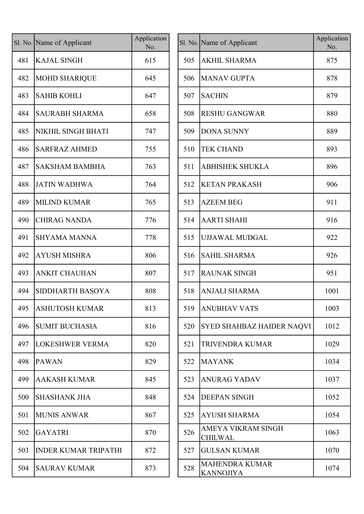|     | Sl. No. Name of Applicant   | Application<br>No. |     | Sl. No. Name of Applicant                 |
|-----|-----------------------------|--------------------|-----|-------------------------------------------|
| 481 | <b>KAJAL SINGH</b>          | 615                | 505 | <b>AKHIL SHARMA</b>                       |
| 482 | <b>MOHD SHARIQUE</b>        | 645                | 506 | <b>MANAV GUPTA</b>                        |
| 483 | <b>SAHIB KOHLI</b>          | 647                | 507 | <b>SACHIN</b>                             |
| 484 | <b>SAURABH SHARMA</b>       | 658                | 508 | <b>RESHU GANGWAR</b>                      |
| 485 | NIKHIL SINGH BHATI          | 747                | 509 | <b>DONA SUNNY</b>                         |
| 486 | <b>SARFRAZ AHMED</b>        | 755                | 510 | <b>TEK CHAND</b>                          |
| 487 | <b>SAKSHAM BAMBHA</b>       | 763                | 511 | <b>ABHISHEK SHUKLA</b>                    |
| 488 | <b>JATIN WADHWA</b>         | 764                | 512 | <b>KETAN PRAKASH</b>                      |
| 489 | <b>MILIND KUMAR</b>         | 765                | 513 | <b>AZEEM BEG</b>                          |
| 490 | <b>CHIRAG NANDA</b>         | 776                | 514 | <b>AARTI SHAHI</b>                        |
| 491 | <b>SHYAMA MANNA</b>         | 778                | 515 | UJJAWAL MUDGAL                            |
| 492 | <b>AYUSH MISHRA</b>         | 806                | 516 | <b>SAHIL SHARMA</b>                       |
| 493 | <b>ANKIT CHAUHAN</b>        | 807                | 517 | <b>RAUNAK SINGH</b>                       |
| 494 | SIDDHARTH BASOYA            | 808                | 518 | <b>ANJALI SHARMA</b>                      |
| 495 | <b>ASHUTOSH KUMAR</b>       | 813                | 519 | <b>ANUBHAV VATS</b>                       |
| 496 | <b>SUMIT BUCHASIA</b>       | 816                | 520 | <b>SYED SHAHBAZ HAIDER</b>                |
| 497 | <b>LOKESHWER VERMA</b>      | 820                | 521 | TRIVENDRA KUMAR                           |
| 498 | <b>PAWAN</b>                | 829                | 522 | <b>MAYANK</b>                             |
| 499 | <b>AAKASH KUMAR</b>         | 845                | 523 | <b>ANURAG YADAV</b>                       |
| 500 | <b>SHASHANK JHA</b>         | 848                | 524 | <b>DEEPAN SINGH</b>                       |
| 501 | <b>MUNIS ANWAR</b>          | 867                | 525 | <b>AYUSH SHARMA</b>                       |
| 502 | <b>GAYATRI</b>              | 870                | 526 | AMEYA VIKRAM SINGH<br><b>CHILWAL</b>      |
| 503 | <b>INDER KUMAR TRIPATHI</b> | 872                | 527 | <b>GULSAN KUMAR</b>                       |
| 504 | <b>SAURAV KUMAR</b>         | 873                | 528 | <b>MAHENDRA KUMAR</b><br><b>KANNOJIYA</b> |

|     | l. No. Name of Applicant | Application<br>No. |     | Sl. No. Name of Applicant                 | Application<br>No. |
|-----|--------------------------|--------------------|-----|-------------------------------------------|--------------------|
| 481 | <b>KAJAL SINGH</b>       | 615                | 505 | <b>AKHIL SHARMA</b>                       | 875                |
| 482 | MOHD SHARIQUE            | 645                | 506 | <b>MANAV GUPTA</b>                        | 878                |
| 483 | <b>SAHIB KOHLI</b>       | 647                | 507 | <b>SACHIN</b>                             | 879                |
| 484 | <b>SAURABH SHARMA</b>    | 658                | 508 | <b>RESHU GANGWAR</b>                      | 880                |
| 485 | NIKHIL SINGH BHATI       | 747                | 509 | <b>DONA SUNNY</b>                         | 889                |
| 486 | <b>SARFRAZ AHMED</b>     | 755                | 510 | <b>TEK CHAND</b>                          | 893                |
| 487 | <b>SAKSHAM BAMBHA</b>    | 763                | 511 | <b>ABHISHEK SHUKLA</b>                    | 896                |
| 488 | <b>JATIN WADHWA</b>      | 764                | 512 | <b>KETAN PRAKASH</b>                      | 906                |
| 489 | MILIND KUMAR             | 765                | 513 | <b>AZEEM BEG</b>                          | 911                |
| 490 | <b>CHIRAG NANDA</b>      | 776                | 514 | <b>AARTI SHAHI</b>                        | 916                |
| 491 | <b>SHYAMA MANNA</b>      | 778                | 515 | <b>UJJAWAL MUDGAL</b>                     | 922                |
| 492 | <b>AYUSH MISHRA</b>      | 806                | 516 | <b>SAHIL SHARMA</b>                       | 926                |
| 493 | <b>ANKIT CHAUHAN</b>     | 807                | 517 | <b>RAUNAK SINGH</b>                       | 951                |
| 494 | <b>SIDDHARTH BASOYA</b>  | 808                | 518 | <b>ANJALI SHARMA</b>                      | 1001               |
| 495 | <b>ASHUTOSH KUMAR</b>    | 813                |     | 519 ANUBHAV VATS                          | 1003               |
| 496 | SUMIT BUCHASIA           | 816                | 520 | SYED SHAHBAZ HAIDER NAQVI                 | 1012               |
| 497 | <b>LOKESHWER VERMA</b>   | 820                | 521 | <b>TRIVENDRA KUMAR</b>                    | 1029               |
| 498 | <b>PAWAN</b>             | 829                | 522 | <b>MAYANK</b>                             | 1034               |
| 499 | <b>AAKASH KUMAR</b>      | 845                | 523 | <b>ANURAG YADAV</b>                       | 1037               |
| 500 | <b>SHASHANK JHA</b>      | 848                | 524 | <b>DEEPAN SINGH</b>                       | 1052               |
| 501 | <b>MUNIS ANWAR</b>       | 867                | 525 | <b>AYUSH SHARMA</b>                       | 1054               |
| 502 | <b>GAYATRI</b>           | 870                | 526 | AMEYA VIKRAM SINGH<br><b>CHILWAL</b>      | 1063               |
| 503 | INDER KUMAR TRIPATHI     | 872                | 527 | <b>GULSAN KUMAR</b>                       | 1070               |
| 504 | <b>SAURAV KUMAR</b>      | 873                | 528 | <b>MAHENDRA KUMAR</b><br><b>KANNOJIYA</b> | 1074               |
|     |                          |                    |     |                                           |                    |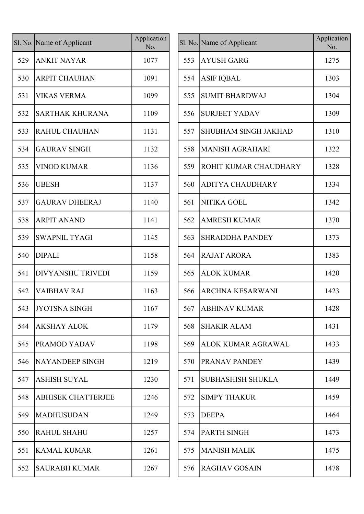|     | Sl. No. Name of Applicant | Application<br>No. |
|-----|---------------------------|--------------------|
| 529 | <b>ANKIT NAYAR</b>        | 1077               |
| 530 | <b>ARPIT CHAUHAN</b>      | 1091               |
| 531 | <b>VIKAS VERMA</b>        | 1099               |
| 532 | <b>SARTHAK KHURANA</b>    | 1109               |
| 533 | <b>RAHUL CHAUHAN</b>      | 1131               |
| 534 | <b>GAURAV SINGH</b>       | 1132               |
| 535 | <b>VINOD KUMAR</b>        | 1136               |
| 536 | <b>UBESH</b>              | 1137               |
| 537 | <b>GAURAV DHEERAJ</b>     | 1140               |
| 538 | <b>ARPIT ANAND</b>        | 1141               |
| 539 | <b>SWAPNIL TYAGI</b>      | 1145               |
| 540 | <b>DIPALI</b>             | 1158               |
| 541 | <b>DIVYANSHU TRIVEDI</b>  | 1159               |
| 542 | <b>VAIBHAV RAJ</b>        | 1163               |
| 543 | <b>JYOTSNA SINGH</b>      | 1167               |
| 544 | <b>AKSHAY ALOK</b>        | 1179               |
| 545 | PRAMOD YADAV              | 1198               |
| 546 | <b>NAYANDEEP SINGH</b>    | 1219               |
| 547 | <b>ASHISH SUYAL</b>       | 1230               |
| 548 | <b>ABHISEK CHATTERJEE</b> | 1246               |
| 549 | <b>MADHUSUDAN</b>         | 1249               |
| 550 | <b>RAHUL SHAHU</b>        | 1257               |
| 551 | <b>KAMAL KUMAR</b>        | 1261               |
| 552 | <b>SAURABH KUMAR</b>      | 1267               |

|     | l. No. Name of Applicant  | Application<br>No. |     | Sl. No. Name of Applicant    | Application<br>No. |
|-----|---------------------------|--------------------|-----|------------------------------|--------------------|
| 529 | <b>ANKIT NAYAR</b>        | 1077               | 553 | <b>AYUSH GARG</b>            | 1275               |
| 530 | <b>ARPIT CHAUHAN</b>      | 1091               | 554 | <b>ASIF IQBAL</b>            | 1303               |
| 531 | <b>VIKAS VERMA</b>        | 1099               | 555 | <b>SUMIT BHARDWAJ</b>        | 1304               |
| 532 | <b>SARTHAK KHURANA</b>    | 1109               | 556 | <b>SURJEET YADAV</b>         | 1309               |
| 533 | <b>RAHUL CHAUHAN</b>      | 1131               | 557 | <b>SHUBHAM SINGH JAKHAD</b>  | 1310               |
| 534 | <b>GAURAV SINGH</b>       | 1132               | 558 | <b>MANISH AGRAHARI</b>       | 1322               |
| 535 | <b>VINOD KUMAR</b>        | 1136               | 559 | <b>ROHIT KUMAR CHAUDHARY</b> | 1328               |
| 536 | <b>UBESH</b>              | 1137               | 560 | <b>ADITYA CHAUDHARY</b>      | 1334               |
| 537 | <b>GAURAV DHEERAJ</b>     | 1140               | 561 | <b>NITIKA GOEL</b>           | 1342               |
| 538 | <b>ARPIT ANAND</b>        | 1141               | 562 | <b>AMRESH KUMAR</b>          | 1370               |
| 539 | <b>SWAPNIL TYAGI</b>      | 1145               | 563 | <b>SHRADDHA PANDEY</b>       | 1373               |
| 540 | <b>DIPALI</b>             | 1158               | 564 | <b>RAJAT ARORA</b>           | 1383               |
| 541 | <b>DIVYANSHU TRIVEDI</b>  | 1159               | 565 | <b>ALOK KUMAR</b>            | 1420               |
| 542 | <b>VAIBHAV RAJ</b>        | 1163               | 566 | <b>ARCHNA KESARWANI</b>      | 1423               |
| 543 | JYOTSNA SINGH             | 1167               |     | 567 ABHINAV KUMAR            | 1428               |
| 544 | <b>AKSHAY ALOK</b>        | 1179               | 568 | <b>SHAKIR ALAM</b>           | 1431               |
| 545 | PRAMOD YADAV              | 1198               | 569 | ALOK KUMAR AGRAWAL           | 1433               |
| 546 | NAYANDEEP SINGH           | 1219               | 570 | <b>PRANAV PANDEY</b>         | 1439               |
| 547 | <b>ASHISH SUYAL</b>       | 1230               | 571 | <b>SUBHASHISH SHUKLA</b>     | 1449               |
| 548 | <b>ABHISEK CHATTERJEE</b> | 1246               | 572 | <b>SIMPY THAKUR</b>          | 1459               |
| 549 | MADHUSUDAN                | 1249               | 573 | <b>DEEPA</b>                 | 1464               |
| 550 | <b>RAHUL SHAHU</b>        | 1257               | 574 | PARTH SINGH                  | 1473               |
| 551 | <b>KAMAL KUMAR</b>        | 1261               | 575 | <b>MANISH MALIK</b>          | 1475               |
| 552 | <b>SAURABH KUMAR</b>      | 1267               | 576 | RAGHAV GOSAIN                | 1478               |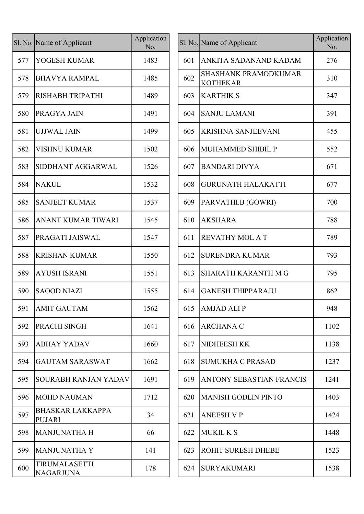|     | Sl. No. Name of Applicant                | Application<br>No. |     | Sl. No. Name of Applicant                      |
|-----|------------------------------------------|--------------------|-----|------------------------------------------------|
| 577 | YOGESH KUMAR                             | 1483               | 601 | ANKITA SADANAND KADAM                          |
| 578 | <b>BHAVYA RAMPAL</b>                     | 1485               | 602 | <b>SHASHANK PRAMODKUMAR</b><br><b>KOTHEKAR</b> |
| 579 | <b>RISHABH TRIPATHI</b>                  | 1489               | 603 | <b>KARTHIK S</b>                               |
| 580 | PRAGYA JAIN                              | 1491               | 604 | <b>SANJU LAMANI</b>                            |
| 581 | <b>UJJWAL JAIN</b>                       | 1499               | 605 | <b>KRISHNA SANJEEVANI</b>                      |
| 582 | <b>VISHNU KUMAR</b>                      | 1502               | 606 | <b>MUHAMMED SHIBIL P</b>                       |
| 583 | SIDDHANT AGGARWAL                        | 1526               | 607 | <b>BANDARI DIVYA</b>                           |
| 584 | <b>NAKUL</b>                             | 1532               | 608 | <b>GURUNATH HALAKATTI</b>                      |
| 585 | <b>SANJEET KUMAR</b>                     | 1537               | 609 | PARVATHI.B (GOWRI)                             |
| 586 | ANANT KUMAR TIWARI                       | 1545               | 610 | <b>AKSHARA</b>                                 |
| 587 | PRAGATI JAISWAL                          | 1547               | 611 | <b>REVATHY MOL A T</b>                         |
| 588 | <b>KRISHAN KUMAR</b>                     | 1550               | 612 | <b>SURENDRA KUMAR</b>                          |
| 589 | <b>AYUSH ISRANI</b>                      | 1551               | 613 | <b>SHARATH KARANTH M G</b>                     |
| 590 | <b>SAOOD NIAZI</b>                       | 1555               | 614 | <b>GANESH THIPPARAJU</b>                       |
| 591 | <b>AMIT GAUTAM</b>                       | 1562               | 615 | <b>AMJAD ALIP</b>                              |
| 592 | <b>PRACHI SINGH</b>                      | 1641               | 616 | <b>ARCHANA C</b>                               |
| 593 | <b>ABHAY YADAV</b>                       | 1660               | 617 | <b>NIDHEESH KK</b>                             |
| 594 | <b>GAUTAM SARASWAT</b>                   | 1662               | 618 | <b>SUMUKHA C PRASAD</b>                        |
| 595 | <b>SOURABH RANJAN YADAV</b>              | 1691               | 619 | ANTONY SEBASTIAN FRANCI                        |
| 596 | <b>MOHD NAUMAN</b>                       | 1712               | 620 | <b>MANISH GODLIN PINTO</b>                     |
| 597 | <b>BHASKAR LAKKAPPA</b><br><b>PUJARI</b> | 34                 | 621 | <b>ANEESH V P</b>                              |
| 598 | <b>MANJUNATHA H</b>                      | 66                 | 622 | <b>MUKIL K S</b>                               |
| 599 | <b>MANJUNATHA Y</b>                      | 141                | 623 | <b>ROHIT SURESH DHEBE</b>                      |
| 600 | TIRUMALASETTI<br><b>NAGARJUNA</b>        | 178                | 624 | <b>SURYAKUMARI</b>                             |
|     |                                          |                    |     |                                                |

|     | l. No. Name of Applicant          | Application<br>No. |     | Sl. No. Name of Applicant                      | Application<br>No. |
|-----|-----------------------------------|--------------------|-----|------------------------------------------------|--------------------|
| 577 | YOGESH KUMAR                      | 1483               | 601 | ANKITA SADANAND KADAM                          | 276                |
| 578 | <b>BHAVYA RAMPAL</b>              | 1485               | 602 | <b>SHASHANK PRAMODKUMAR</b><br><b>KOTHEKAR</b> | 310                |
| 579 | RISHABH TRIPATHI                  | 1489               | 603 | <b>KARTHIK S</b>                               | 347                |
| 580 | <b>PRAGYA JAIN</b>                | 1491               | 604 | <b>SANJU LAMANI</b>                            | 391                |
| 581 | <b>UJJWAL JAIN</b>                | 1499               | 605 | <b>KRISHNA SANJEEVANI</b>                      | 455                |
| 582 | <b>VISHNU KUMAR</b>               | 1502               | 606 | MUHAMMED SHIBIL P                              | 552                |
| 583 | SIDDHANT AGGARWAL                 | 1526               | 607 | <b>BANDARI DIVYA</b>                           | 671                |
| 584 | <b>NAKUL</b>                      | 1532               | 608 | <b>GURUNATH HALAKATTI</b>                      | 677                |
| 585 | <b>SANJEET KUMAR</b>              | 1537               | 609 | PARVATHI.B (GOWRI)                             | 700                |
| 586 | ANANT KUMAR TIWARI                | 1545               | 610 | <b>AKSHARA</b>                                 | 788                |
| 587 | PRAGATI JAISWAL                   | 1547               | 611 | <b>REVATHY MOL A T</b>                         | 789                |
| 588 | <b>KRISHAN KUMAR</b>              | 1550               | 612 | <b>SURENDRA KUMAR</b>                          | 793                |
| 589 | <b>AYUSH ISRANI</b>               | 1551               | 613 | SHARATH KARANTH M G                            | 795                |
| 590 | <b>SAOOD NIAZI</b>                | 1555               | 614 | <b>GANESH THIPPARAJU</b>                       | 862                |
| 591 | <b>AMIT GAUTAM</b>                | 1562               | 615 | <b>AMJAD ALIP</b>                              | 948                |
| 592 | PRACHI SINGH                      | 1641               | 616 | <b>ARCHANA C</b>                               | 1102               |
| 593 | <b>ABHAY YADAV</b>                | 1660               | 617 | <b>NIDHEESH KK</b>                             | 1138               |
| 594 | <b>GAUTAM SARASWAT</b>            | 1662               | 618 | <b>SUMUKHA C PRASAD</b>                        | 1237               |
| 595 | <b>SOURABH RANJAN YADAV</b>       | 1691               | 619 | ANTONY SEBASTIAN FRANCIS                       | 1241               |
| 596 | MOHD NAUMAN                       | 1712               | 620 | MANISH GODLIN PINTO                            | 1403               |
| 597 | <b>BHASKAR LAKKAPPA</b><br>PUJARI | 34                 | 621 | <b>ANEESH V P</b>                              | 1424               |
| 598 | <b>MANJUNATHA H</b>               | 66                 | 622 | MUKIL K S                                      | 1448               |
| 599 | MANJUNATHA Y                      | 141                | 623 | <b>ROHIT SURESH DHEBE</b>                      | 1523               |
| 600 | TIRUMALASETTI<br><b>NAGARJUNA</b> | 178                | 624 | <b>SURYAKUMARI</b>                             | 1538               |
|     |                                   |                    |     |                                                |                    |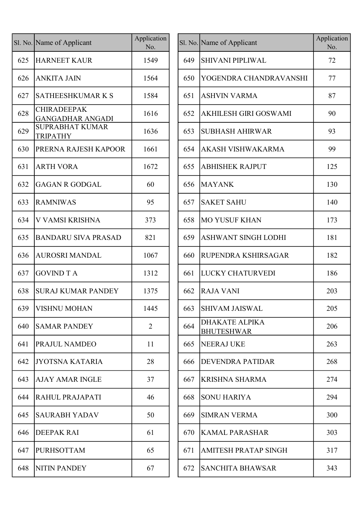|     | Sl. No. Name of Applicant                     | Application<br>No. |     | Sl. No. Name of Applicant                  |
|-----|-----------------------------------------------|--------------------|-----|--------------------------------------------|
| 625 | <b>HARNEET KAUR</b>                           | 1549               | 649 | <b>SHIVANI PIPLIWAL</b>                    |
| 626 | <b>ANKITA JAIN</b>                            | 1564               | 650 | YOGENDRA CHANI                             |
| 627 | <b>SATHEESHKUMARKS</b>                        | 1584               | 651 | <b>ASHVIN VARMA</b>                        |
| 628 | <b>CHIRADEEPAK</b><br><b>GANGADHAR ANGADI</b> | 1616               | 652 | <b>AKHILESH GIRI GO</b>                    |
| 629 | <b>SUPRABHAT KUMAR</b><br><b>TRIPATHY</b>     | 1636               | 653 | <b>SUBHASH AHIRWA</b>                      |
| 630 | PRERNA RAJESH KAPOOR                          | 1661               | 654 | <b>AKASH VISHWAKA</b>                      |
| 631 | <b>ARTH VORA</b>                              | 1672               | 655 | <b>ABHISHEK RAJPUT</b>                     |
| 632 | <b>GAGAN R GODGAL</b>                         | 60                 | 656 | <b>MAYANK</b>                              |
| 633 | <b>RAMNIWAS</b>                               | 95                 | 657 | <b>SAKET SAHU</b>                          |
| 634 | V VAMSI KRISHNA                               | 373                | 658 | <b>MO YUSUF KHAN</b>                       |
| 635 | <b>BANDARU SIVA PRASAD</b>                    | 821                | 659 | <b>ASHWANT SINGH L</b>                     |
| 636 | <b>AUROSRI MANDAL</b>                         | 1067               | 660 | <b>RUPENDRA KSHIRS</b>                     |
| 637 | <b>GOVIND T A</b>                             | 1312               | 661 | <b>LUCKY CHATURVE</b>                      |
| 638 | <b>SURAJ KUMAR PANDEY</b>                     | 1375               | 662 | <b>RAJA VANI</b>                           |
| 639 | <b>VISHNU MOHAN</b>                           | 1445               | 663 | <b>SHIVAM JAISWAL</b>                      |
| 640 | <b>SAMAR PANDEY</b>                           | $\overline{2}$     | 664 | <b>DHAKATE ALPIKA</b><br><b>BHUTESHWAR</b> |
| 641 | PRAJUL NAMDEO                                 | 11                 | 665 | <b>NEERAJ UKE</b>                          |
| 642 | JYOTSNA KATARIA                               | 28                 | 666 | <b>DEVENDRA PATIDA</b>                     |
| 643 | <b>AJAY AMAR INGLE</b>                        | 37                 | 667 | <b>KRISHNA SHARMA</b>                      |
| 644 | RAHUL PRAJAPATI                               | 46                 | 668 | <b>SONU HARIYA</b>                         |
| 645 | <b>SAURABH YADAV</b>                          | 50                 | 669 | <b>SIMRAN VERMA</b>                        |
| 646 | <b>DEEPAK RAI</b>                             | 61                 | 670 | <b>KAMAL PARASHAR</b>                      |
| 647 | <b>PURHSOTTAM</b>                             | 65                 | 671 | <b>AMITESH PRATAP S</b>                    |
| 648 | <b>NITIN PANDEY</b>                           | 67                 | 672 | <b>SANCHITA BHAWS</b>                      |

|     | l. No. Name of Applicant                      | Application<br>No. |     | Sl. No. Name of Applicant                  | Application<br>No. |
|-----|-----------------------------------------------|--------------------|-----|--------------------------------------------|--------------------|
| 625 | <b>HARNEET KAUR</b>                           | 1549               | 649 | <b>SHIVANI PIPLIWAL</b>                    | 72                 |
| 626 | <b>ANKITA JAIN</b>                            | 1564               | 650 | YOGENDRA CHANDRAVANSHI                     | 77                 |
| 627 | <b>SATHEESHKUMARKS</b>                        | 1584               | 651 | <b>ASHVIN VARMA</b>                        | 87                 |
| 628 | <b>CHIRADEEPAK</b><br><b>GANGADHAR ANGADI</b> | 1616               | 652 | AKHILESH GIRI GOSWAMI                      | 90                 |
| 629 | <b>SUPRABHAT KUMAR</b><br><b>TRIPATHY</b>     | 1636               | 653 | <b>SUBHASH AHIRWAR</b>                     | 93                 |
| 630 | PRERNA RAJESH KAPOOR                          | 1661               | 654 | <b>AKASH VISHWAKARMA</b>                   | 99                 |
| 631 | <b>ARTH VORA</b>                              | 1672               | 655 | <b>ABHISHEK RAJPUT</b>                     | 125                |
| 632 | <b>GAGAN R GODGAL</b>                         | 60                 | 656 | <b>MAYANK</b>                              | 130                |
| 633 | <b>RAMNIWAS</b>                               | 95                 | 657 | <b>SAKET SAHU</b>                          | 140                |
| 634 | V VAMSI KRISHNA                               | 373                | 658 | <b>MO YUSUF KHAN</b>                       | 173                |
| 635 | <b>BANDARU SIVA PRASAD</b>                    | 821                | 659 | <b>ASHWANT SINGH LODHI</b>                 | 181                |
| 636 | <b>AUROSRI MANDAL</b>                         | 1067               | 660 | RUPENDRA KSHIRSAGAR                        | 182                |
| 637 | <b>GOVIND T A</b>                             | 1312               | 661 | <b>LUCKY CHATURVEDI</b>                    | 186                |
| 638 | <b>SURAJ KUMAR PANDEY</b>                     | 1375               | 662 | <b>RAJA VANI</b>                           | 203                |
|     | 639  VISHNU MOHAN                             | 1445               |     | 663 SHIVAM JAISWAL                         | 205                |
| 640 | <b>SAMAR PANDEY</b>                           | $\overline{2}$     | 664 | <b>DHAKATE ALPIKA</b><br><b>BHUTESHWAR</b> | 206                |
| 641 | <b>PRAJUL NAMDEO</b>                          | 11                 | 665 | <b>NEERAJ UKE</b>                          | 263                |
| 642 | JYOTSNA KATARIA                               | 28                 | 666 | <b>DEVENDRA PATIDAR</b>                    | 268                |
| 643 | <b>AJAY AMAR INGLE</b>                        | 37                 | 667 | <b>KRISHNA SHARMA</b>                      | 274                |
| 644 | RAHUL PRAJAPATI                               | 46                 | 668 | <b>SONU HARIYA</b>                         | 294                |
| 645 | <b>SAURABH YADAV</b>                          | 50                 | 669 | <b>SIMRAN VERMA</b>                        | 300                |
| 646 | <b>DEEPAK RAI</b>                             | 61                 | 670 | <b>KAMAL PARASHAR</b>                      | 303                |
| 647 | PURHSOTTAM                                    | 65                 | 671 | <b>AMITESH PRATAP SINGH</b>                | 317                |
| 648 | NITIN PANDEY                                  | 67                 | 672 | <b>SANCHITA BHAWSAR</b>                    | 343                |
|     |                                               |                    |     |                                            |                    |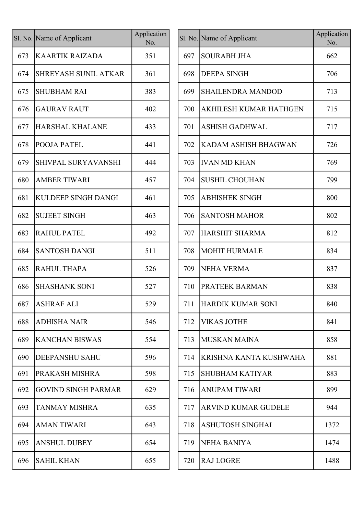|     | Sl. No. Name of Applicant   | Application<br>No. |
|-----|-----------------------------|--------------------|
| 673 | <b>KAARTIK RAIZADA</b>      | 351                |
| 674 | <b>SHREYASH SUNIL ATKAR</b> | 361                |
| 675 | <b>SHUBHAM RAI</b>          | 383                |
| 676 | <b>GAURAV RAUT</b>          | 402                |
| 677 | <b>HARSHAL KHALANE</b>      | 433                |
| 678 | POOJA PATEL                 | 441                |
| 679 | <b>SHIVPAL SURYAVANSHI</b>  | 444                |
| 680 | <b>AMBER TIWARI</b>         | 457                |
| 681 | <b>KULDEEP SINGH DANGI</b>  | 461                |
| 682 | <b>SUJEET SINGH</b>         | 463                |
| 683 | <b>RAHUL PATEL</b>          | 492                |
| 684 | <b>SANTOSH DANGI</b>        | 511                |
| 685 | <b>RAHUL THAPA</b>          | 526                |
| 686 | <b>SHASHANK SONI</b>        | 527                |
| 687 | <b>ASHRAF ALI</b>           | 529                |
| 688 | <b>ADHISHA NAIR</b>         | 546                |
| 689 | <b>KANCHAN BISWAS</b>       | 554                |
| 690 | <b>DEEPANSHU SAHU</b>       | 596                |
| 691 | PRAKASH MISHRA              | 598                |
| 692 | <b>GOVIND SINGH PARMAR</b>  | 629                |
| 693 | <b>TANMAY MISHRA</b>        | 635                |
| 694 | <b>AMAN TIWARI</b>          | 643                |
| 695 | <b>ANSHUL DUBEY</b>         | 654                |
| 696 | <b>SAHIL KHAN</b>           | 655                |

|     | l. No. Name of Applicant    | Application<br>No. |     | Sl. No. Name of Applicant     | Application<br>No. |
|-----|-----------------------------|--------------------|-----|-------------------------------|--------------------|
| 673 | <b>KAARTIK RAIZADA</b>      | 351                | 697 | <b>SOURABH JHA</b>            | 662                |
| 674 | <b>SHREYASH SUNIL ATKAR</b> | 361                | 698 | <b>DEEPA SINGH</b>            | 706                |
| 675 | <b>SHUBHAM RAI</b>          | 383                | 699 | <b>SHAILENDRA MANDOD</b>      | 713                |
| 676 | <b>GAURAV RAUT</b>          | 402                | 700 | <b>AKHILESH KUMAR HATHGEN</b> | 715                |
| 677 | <b>HARSHAL KHALANE</b>      | 433                | 701 | <b>ASHISH GADHWAL</b>         | 717                |
| 678 | <b>POOJA PATEL</b>          | 441                | 702 | KADAM ASHISH BHAGWAN          | 726                |
| 679 | SHIVPAL SURYAVANSHI         | 444                | 703 | <b>IVAN MD KHAN</b>           | 769                |
| 680 | <b>AMBER TIWARI</b>         | 457                | 704 | SUSHIL CHOUHAN                | 799                |
| 681 | <b>KULDEEP SINGH DANGI</b>  | 461                | 705 | <b>ABHISHEK SINGH</b>         | 800                |
| 682 | <b>SUJEET SINGH</b>         | 463                | 706 | <b>SANTOSH MAHOR</b>          | 802                |
| 683 | <b>RAHUL PATEL</b>          | 492                | 707 | HARSHIT SHARMA                | 812                |
| 684 | <b>SANTOSH DANGI</b>        | 511                | 708 | <b>MOHIT HURMALE</b>          | 834                |
| 685 | <b>RAHUL THAPA</b>          | 526                | 709 | NEHA VERMA                    | 837                |
| 686 | <b>SHASHANK SONI</b>        | 527                | 710 | <b>PRATEEK BARMAN</b>         | 838                |
| 687 | <b>ASHRAF ALI</b>           | 529                |     | 711 HARDIK KUMAR SONI         | 840                |
| 688 | <b>ADHISHA NAIR</b>         | 546                | 712 | <b>VIKAS JOTHE</b>            | 841                |
| 689 | <b>KANCHAN BISWAS</b>       | 554                | 713 | MUSKAN MAINA                  | 858                |
| 690 | <b>DEEPANSHU SAHU</b>       | 596                | 714 | KRISHNA KANTA KUSHWAHA        | 881                |
| 691 | PRAKASH MISHRA              | 598                | 715 | <b>SHUBHAM KATIYAR</b>        | 883                |
| 692 | <b>GOVIND SINGH PARMAR</b>  | 629                | 716 | <b>ANUPAM TIWARI</b>          | 899                |
| 693 | <b>TANMAY MISHRA</b>        | 635                | 717 | <b>ARVIND KUMAR GUDELE</b>    | 944                |
| 694 | <b>AMAN TIWARI</b>          | 643                | 718 | ASHUTOSH SINGHAI              | 1372               |
| 695 | <b>ANSHUL DUBEY</b>         | 654                | 719 | NEHA BANIYA                   | 1474               |
| 696 | <b>SAHIL KHAN</b>           | 655                | 720 | <b>RAJ LOGRE</b>              | 1488               |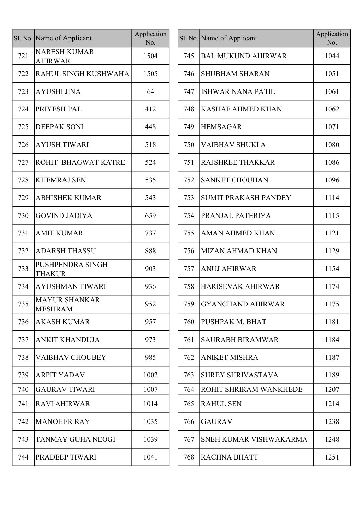|     | Sl. No. Name of Applicant                | Application<br>No. |
|-----|------------------------------------------|--------------------|
| 721 | <b>NARESH KUMAR</b><br><b>AHIRWAR</b>    | 1504               |
| 722 | RAHUL SINGH KUSHWAHA                     | 1505               |
| 723 | <b>AYUSHI JINA</b>                       | 64                 |
| 724 | PRIYESH PAL                              | 412                |
| 725 | <b>DEEPAK SONI</b>                       | 448                |
| 726 | <b>AYUSH TIWARI</b>                      | 518                |
| 727 | ROHIT BHAGWAT KATRE                      | 524                |
| 728 | <b>KHEMRAJ SEN</b>                       | 535                |
| 729 | <b>ABHISHEK KUMAR</b>                    | 543                |
| 730 | <b>GOVIND JADIYA</b>                     | 659                |
| 731 | <b>AMIT KUMAR</b>                        | 737                |
| 732 | <b>ADARSH THASSU</b>                     | 888                |
| 733 | <b>PUSHPENDRA SINGH</b><br><b>THAKUR</b> | 903                |
| 734 | <b>AYUSHMAN TIWARI</b>                   | 936                |
| 735 | <b>MAYUR SHANKAR</b><br><b>MESHRAM</b>   | 952                |
| 736 | <b>AKASH KUMAR</b>                       | 957                |
| 737 | <b>ANKIT KHANDUJA</b>                    | 973                |
| 738 | <b>VAIBHAV CHOUBEY</b>                   | 985                |
| 739 | <b>ARPIT YADAV</b>                       | 1002               |
| 740 | <b>GAURAV TIWARI</b>                     | 1007               |
| 741 | <b>RAVI AHIRWAR</b>                      | 1014               |
| 742 | <b>MANOHER RAY</b>                       | 1035               |
| 743 | <b>TANMAY GUHA NEOGI</b>                 | 1039               |
| 744 | PRADEEP TIWARI                           | 1041               |

|     | l. No. Name of Applicant               | Application<br>No. |     | Sl. No. Name of Applicant     | Application<br>No. |
|-----|----------------------------------------|--------------------|-----|-------------------------------|--------------------|
| 721 | <b>NARESH KUMAR</b><br><b>AHIRWAR</b>  | 1504               | 745 | <b>BAL MUKUND AHIRWAR</b>     | 1044               |
| 722 | RAHUL SINGH KUSHWAHA                   | 1505               | 746 | <b>SHUBHAM SHARAN</b>         | 1051               |
| 723 | <b>AYUSHI JINA</b>                     | 64                 | 747 | ISHWAR NANA PATIL             | 1061               |
| 724 | <b>PRIYESH PAL</b>                     | 412                | 748 | <b>KASHAF AHMED KHAN</b>      | 1062               |
| 725 | <b>DEEPAK SONI</b>                     | 448                | 749 | <b>HEMSAGAR</b>               | 1071               |
| 726 | <b>AYUSH TIWARI</b>                    | 518                | 750 | <b>VAIBHAV SHUKLA</b>         | 1080               |
| 727 | <b>ROHIT BHAGWAT KATRE</b>             | 524                | 751 | <b>RAJSHREE THAKKAR</b>       | 1086               |
| 728 | <b>KHEMRAJ SEN</b>                     | 535                | 752 | <b>SANKET CHOUHAN</b>         | 1096               |
| 729 | <b>ABHISHEK KUMAR</b>                  | 543                | 753 | <b>SUMIT PRAKASH PANDEY</b>   | 1114               |
| 730 | <b>GOVIND JADIYA</b>                   | 659                | 754 | <b>PRANJAL PATERIYA</b>       | 1115               |
| 731 | <b>AMIT KUMAR</b>                      | 737                | 755 | <b>AMAN AHMED KHAN</b>        | 1121               |
| 732 | <b>ADARSH THASSU</b>                   | 888                | 756 | MIZAN AHMAD KHAN              | 1129               |
| 733 | PUSHPENDRA SINGH<br><b>THAKUR</b>      | 903                | 757 | <b>ANUJ AHIRWAR</b>           | 1154               |
| 734 | <b>AYUSHMAN TIWARI</b>                 | 936                | 758 | <b>HARISEVAK AHIRWAR</b>      | 1174               |
| 735 | <b>MAYUR SHANKAR</b><br><b>MESHRAM</b> | 952                |     | 759   GYANCHAND AHIRWAR       | 1175               |
| 736 | <b>AKASH KUMAR</b>                     | 957                | 760 | PUSHPAK M. BHAT               | 1181               |
| 737 | <b>ANKIT KHANDUJA</b>                  | 973                | 761 | <b>SAURABH BIRAMWAR</b>       | 1184               |
| 738 | <b>VAIBHAV CHOUBEY</b>                 | 985                | 762 | <b>ANIKET MISHRA</b>          | 1187               |
| 739 | <b>ARPIT YADAV</b>                     | 1002               | 763 | <b>SHREY SHRIVASTAVA</b>      | 1189               |
| 740 | <b>GAURAV TIWARI</b>                   | 1007               | 764 | ROHIT SHRIRAM WANKHEDE        | 1207               |
| 741 | <b>RAVI AHIRWAR</b>                    | 1014               | 765 | <b>RAHUL SEN</b>              | 1214               |
| 742 | <b>MANOHER RAY</b>                     | 1035               | 766 | <b>GAURAV</b>                 | 1238               |
| 743 | <b>TANMAY GUHA NEOGI</b>               | 1039               | 767 | <b>SNEH KUMAR VISHWAKARMA</b> | 1248               |
| 744 | <b>PRADEEP TIWARI</b>                  | 1041               | 768 | <b>RACHNA BHATT</b>           | 1251               |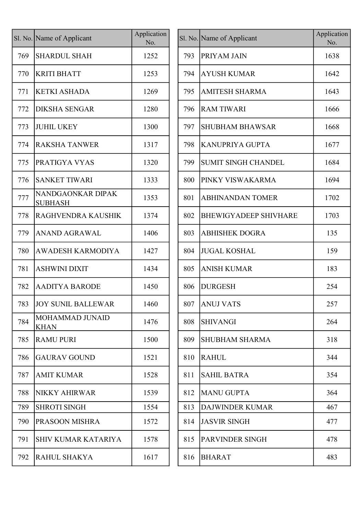|     | Sl. No. Name of Applicant           | Application<br>No. |     | Sl. No. Name of Applicant    | Applicati<br>No. |
|-----|-------------------------------------|--------------------|-----|------------------------------|------------------|
| 769 | <b>SHARDUL SHAH</b>                 | 1252               | 793 | <b>PRIYAM JAIN</b>           | 1638             |
| 770 | <b>KRITI BHATT</b>                  | 1253               | 794 | <b>AYUSH KUMAR</b>           | 1642             |
| 771 | <b>KETKI ASHADA</b>                 | 1269               | 795 | <b>AMITESH SHARMA</b>        | 1643             |
| 772 | <b>DIKSHA SENGAR</b>                | 1280               | 796 | <b>RAM TIWARI</b>            | 1666             |
| 773 | <b>JUHIL UKEY</b>                   | 1300               | 797 | <b>SHUBHAM BHAWSAR</b>       | 1668             |
| 774 | <b>RAKSHA TANWER</b>                | 1317               | 798 | <b>KANUPRIYA GUPTA</b>       | 1677             |
| 775 | PRATIGYA VYAS                       | 1320               | 799 | <b>SUMIT SINGH CHANDEL</b>   | 1684             |
| 776 | <b>SANKET TIWARI</b>                | 1333               | 800 | PINKY VISWAKARMA             | 1694             |
| 777 | NANDGAONKAR DIPAK<br><b>SUBHASH</b> | 1353               | 801 | <b>ABHINANDAN TOMER</b>      | 1702             |
| 778 | RAGHVENDRA KAUSHIK                  | 1374               | 802 | <b>BHEWIGYADEEP SHIVHARE</b> | 1703             |
| 779 | <b>ANAND AGRAWAL</b>                | 1406               | 803 | <b>ABHISHEK DOGRA</b>        | 135              |
| 780 | <b>AWADESH KARMODIYA</b>            | 1427               | 804 | <b>JUGAL KOSHAL</b>          | 159              |
| 781 | <b>ASHWINI DIXIT</b>                | 1434               | 805 | <b>ANISH KUMAR</b>           | 183              |
| 782 | <b>AADITYA BARODE</b>               | 1450               | 806 | <b>DURGESH</b>               | 254              |
| 783 | <b>JOY SUNIL BALLEWAR</b>           | 1460               | 807 | <b>ANUJ VATS</b>             | 257              |
| 784 | MOHAMMAD JUNAID<br><b>KHAN</b>      | 1476               | 808 | <b>SHIVANGI</b>              | 264              |
| 785 | <b>RAMU PURI</b>                    | 1500               | 809 | <b>SHUBHAM SHARMA</b>        | 318              |
| 786 | <b>GAURAV GOUND</b>                 | 1521               | 810 | <b>RAHUL</b>                 | 344              |
| 787 | <b>AMIT KUMAR</b>                   | 1528               | 811 | <b>SAHIL BATRA</b>           | 354              |
| 788 | <b>NIKKY AHIRWAR</b>                | 1539               | 812 | <b>MANU GUPTA</b>            | 364              |
| 789 | <b>SHROTI SINGH</b>                 | 1554               | 813 | DAJWINDER KUMAR              | 467              |
| 790 | PRASOON MISHRA                      | 1572               | 814 | <b>JASVIR SINGH</b>          | 477              |
| 791 | <b>SHIV KUMAR KATARIYA</b>          | 1578               | 815 | PARVINDER SINGH              | 478              |
| 792 | <b>RAHUL SHAKYA</b>                 | 1617               | 816 | <b>BHARAT</b>                | 483              |
|     |                                     |                    |     |                              |                  |

| Name of Applicant                   | Application<br>No. |     | Sl. No. Name of Applicant    | Application<br>No. |
|-------------------------------------|--------------------|-----|------------------------------|--------------------|
| <b>SHARDUL SHAH</b>                 | 1252               | 793 | <b>PRIYAM JAIN</b>           | 1638               |
| KRITI BHATT                         | 1253               | 794 | <b>AYUSH KUMAR</b>           | 1642               |
| KETKI ASHADA                        | 1269               | 795 | <b>AMITESH SHARMA</b>        | 1643               |
| DIKSHA SENGAR                       | 1280               | 796 | <b>RAM TIWARI</b>            | 1666               |
| <b>JUHIL UKEY</b>                   | 1300               | 797 | <b>SHUBHAM BHAWSAR</b>       | 1668               |
| <b>RAKSHA TANWER</b>                | 1317               | 798 | <b>KANUPRIYA GUPTA</b>       | 1677               |
| PRATIGYA VYAS                       | 1320               | 799 | <b>SUMIT SINGH CHANDEL</b>   | 1684               |
| <b>SANKET TIWARI</b>                | 1333               | 800 | PINKY VISWAKARMA             | 1694               |
| NANDGAONKAR DIPAK<br><b>SUBHASH</b> | 1353               | 801 | <b>ABHINANDAN TOMER</b>      | 1702               |
| RAGHVENDRA KAUSHIK                  | 1374               | 802 | <b>BHEWIGYADEEP SHIVHARE</b> | 1703               |
| <b>ANAND AGRAWAL</b>                | 1406               | 803 | <b>ABHISHEK DOGRA</b>        | 135                |
| AWADESH KARMODIYA                   | 1427               | 804 | <b>JUGAL KOSHAL</b>          | 159                |
| ASHWINI DIXIT                       | 1434               | 805 | <b>ANISH KUMAR</b>           | 183                |
| <b>AADITYA BARODE</b>               | 1450               | 806 | <b>DURGESH</b>               | 254                |
| JOY SUNIL BALLEWAR                  | 1460               | 807 | <b>ANUJ VATS</b>             | 257                |
| MOHAMMAD JUNAID<br>KHAN             | 1476               | 808 | <b>SHIVANGI</b>              | 264                |
| RAMU PURI                           | 1500               | 809 | <b>SHUBHAM SHARMA</b>        | 318                |
| <b>GAURAV GOUND</b>                 | 1521               | 810 | <b>RAHUL</b>                 | 344                |
| AMIT KUMAR                          | 1528               | 811 | <b>SAHIL BATRA</b>           | 354                |
| NIKKY AHIRWAR                       | 1539               | 812 | <b>MANU GUPTA</b>            | 364                |
| <b>SHROTI SINGH</b>                 | 1554               | 813 | <b>DAJWINDER KUMAR</b>       | 467                |
| PRASOON MISHRA                      | 1572               | 814 | <b>JASVIR SINGH</b>          | 477                |
| SHIV KUMAR KATARIYA                 | 1578               | 815 | PARVINDER SINGH              | 478                |
| RAHUL SHAKYA                        | 1617               | 816 | <b>BHARAT</b>                | 483                |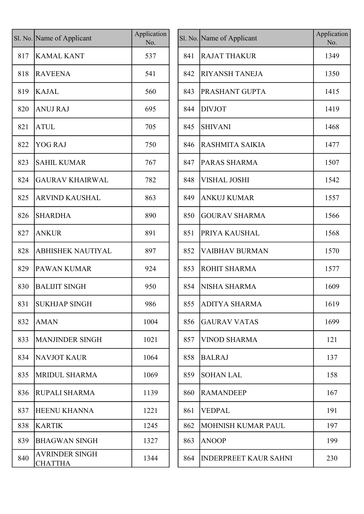|     | Sl. No. Name of Applicant               | Application<br>No. |     | Sl. No. Name of Applicant    | Applicat<br>No. |
|-----|-----------------------------------------|--------------------|-----|------------------------------|-----------------|
| 817 | <b>KAMAL KANT</b>                       | 537                | 841 | <b>RAJAT THAKUR</b>          | 1349            |
| 818 | <b>RAVEENA</b>                          | 541                | 842 | <b>RIYANSH TANEJA</b>        | 1350            |
| 819 | <b>KAJAL</b>                            | 560                | 843 | <b>PRASHANT GUPTA</b>        | 1415            |
| 820 | <b>ANUJ RAJ</b>                         | 695                | 844 | <b>DIVJOT</b>                | 1419            |
| 821 | <b>ATUL</b>                             | 705                | 845 | <b>SHIVANI</b>               | 1468            |
| 822 | <b>YOG RAJ</b>                          | 750                | 846 | RASHMITA SAIKIA              | 1477            |
| 823 | <b>SAHIL KUMAR</b>                      | 767                | 847 | PARAS SHARMA                 | 1507            |
| 824 | <b>GAURAV KHAIRWAL</b>                  | 782                | 848 | <b>VISHAL JOSHI</b>          | 1542            |
| 825 | <b>ARVIND KAUSHAL</b>                   | 863                | 849 | <b>ANKUJ KUMAR</b>           | 1557            |
| 826 | <b>SHARDHA</b>                          | 890                | 850 | <b>GOURAV SHARMA</b>         | 1566            |
| 827 | <b>ANKUR</b>                            | 891                | 851 | PRIYA KAUSHAL                | 1568            |
| 828 | <b>ABHISHEK NAUTIYAL</b>                | 897                | 852 | <b>VAIBHAV BURMAN</b>        | 1570            |
| 829 | <b>PAWAN KUMAR</b>                      | 924                | 853 | <b>ROHIT SHARMA</b>          | 1577            |
| 830 | <b>BALIJIT SINGH</b>                    | 950                | 854 | NISHA SHARMA                 | 1609            |
| 831 | <b>SUKHJAP SINGH</b>                    | 986                |     | 855 ADITYA SHARMA            | 1619            |
| 832 | <b>AMAN</b>                             | 1004               | 856 | <b>GAURAV VATAS</b>          | 1699            |
| 833 | MANJINDER SINGH                         | 1021               | 857 | <b>VINOD SHARMA</b>          | 121             |
| 834 | <b>NAVJOT KAUR</b>                      | 1064               | 858 | <b>BALRAJ</b>                | 137             |
| 835 | <b>MRIDUL SHARMA</b>                    | 1069               | 859 | <b>SOHAN LAL</b>             | 158             |
| 836 | <b>RUPALI SHARMA</b>                    | 1139               | 860 | <b>RAMANDEEP</b>             | 167             |
| 837 | <b>HEENU KHANNA</b>                     | 1221               | 861 | <b>VEDPAL</b>                | 191             |
| 838 | <b>KARTIK</b>                           | 1245               | 862 | <b>MOHNISH KUMAR PAUL</b>    | 197             |
| 839 | <b>BHAGWAN SINGH</b>                    | 1327               | 863 | <b>ANOOP</b>                 | 199             |
| 840 | <b>AVRINDER SINGH</b><br><b>CHATTHA</b> | 1344               | 864 | <b>INDERPREET KAUR SAHNI</b> | 230             |

| Name of Applicant                       | Application<br>No. |     | Sl. No. Name of Applicant    | Application<br>No. |
|-----------------------------------------|--------------------|-----|------------------------------|--------------------|
| <b>KAMAL KANT</b>                       | 537                | 841 | <b>RAJAT THAKUR</b>          | 1349               |
| <b>RAVEENA</b>                          | 541                | 842 | <b>RIYANSH TANEJA</b>        | 1350               |
| KAJAL                                   | 560                | 843 | <b>PRASHANT GUPTA</b>        | 1415               |
| ANUJ RAJ                                | 695                | 844 | <b>DIVJOT</b>                | 1419               |
| ATUL                                    | 705                | 845 | <b>SHIVANI</b>               | 1468               |
| <b>YOG RAJ</b>                          | 750                | 846 | RASHMITA SAIKIA              | 1477               |
| <b>SAHIL KUMAR</b>                      | 767                | 847 | PARAS SHARMA                 | 1507               |
| <b>GAURAV KHAIRWAL</b>                  | 782                | 848 | <b>VISHAL JOSHI</b>          | 1542               |
| ARVIND KAUSHAL                          | 863                | 849 | <b>ANKUJ KUMAR</b>           | 1557               |
| <b>SHARDHA</b>                          | 890                | 850 | <b>GOURAV SHARMA</b>         | 1566               |
| <b>ANKUR</b>                            | 891                | 851 | PRIYA KAUSHAL                | 1568               |
| <b>ABHISHEK NAUTIYAL</b>                | 897                | 852 | <b>VAIBHAV BURMAN</b>        | 1570               |
| PAWAN KUMAR                             | 924                | 853 | <b>ROHIT SHARMA</b>          | 1577               |
| <b>BALIJIT SINGH</b>                    | 950                | 854 | NISHA SHARMA                 | 1609               |
| <b>SUKHJAP SINGH</b>                    | 986                |     | 855 ADITYA SHARMA            | 1619               |
| <b>AMAN</b>                             | 1004               | 856 | <b>GAURAV VATAS</b>          | 1699               |
| <b>MANJINDER SINGH</b>                  | 1021               | 857 | <b>VINOD SHARMA</b>          | 121                |
| NAVJOT KAUR                             | 1064               | 858 | <b>BALRAJ</b>                | 137                |
| <b>MRIDUL SHARMA</b>                    | 1069               | 859 | <b>SOHAN LAL</b>             | 158                |
| RUPALI SHARMA                           | 1139               | 860 | <b>RAMANDEEP</b>             | 167                |
| HEENU KHANNA                            | 1221               | 861 | <b>VEDPAL</b>                | 191                |
| <b>KARTIK</b>                           | 1245               | 862 | MOHNISH KUMAR PAUL           | 197                |
| BHAGWAN SINGH                           | 1327               | 863 | <b>ANOOP</b>                 | 199                |
| <b>AVRINDER SINGH</b><br><b>CHATTHA</b> | 1344               | 864 | <b>INDERPREET KAUR SAHNI</b> | 230                |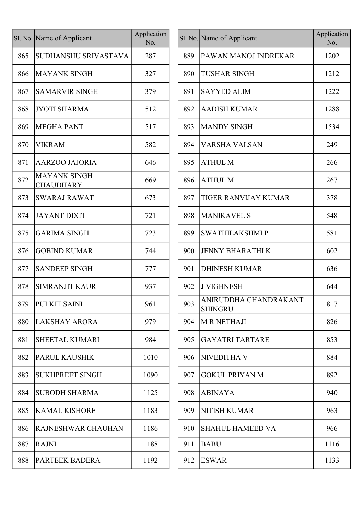|     | Sl. No. Name of Applicant               | Application<br>No. |     | Sl. No. Name of Applicant               |
|-----|-----------------------------------------|--------------------|-----|-----------------------------------------|
| 865 | SUDHANSHU SRIVASTAVA                    | 287                | 889 | PAWAN MANOJ INDREKAR                    |
| 866 | <b>MAYANK SINGH</b>                     | 327                | 890 | <b>TUSHAR SINGH</b>                     |
| 867 | <b>SAMARVIR SINGH</b>                   | 379                | 891 | <b>SAYYED ALIM</b>                      |
| 868 | <b>JYOTI SHARMA</b>                     | 512                | 892 | <b>AADISH KUMAR</b>                     |
| 869 | <b>MEGHA PANT</b>                       | 517                | 893 | <b>MANDY SINGH</b>                      |
| 870 | <b>VIKRAM</b>                           | 582                | 894 | <b>VARSHA VALSAN</b>                    |
| 871 | <b>AARZOO JAJORIA</b>                   | 646                | 895 | <b>ATHUL M</b>                          |
| 872 | <b>MAYANK SINGH</b><br><b>CHAUDHARY</b> | 669                | 896 | <b>ATHUL M</b>                          |
| 873 | <b>SWARAJ RAWAT</b>                     | 673                | 897 | <b>TIGER RANVIJAY KUMAR</b>             |
| 874 | <b>JAYANT DIXIT</b>                     | 721                | 898 | <b>MANIKAVEL S</b>                      |
| 875 | <b>GARIMA SINGH</b>                     | 723                | 899 | <b>SWATHILAKSHMIP</b>                   |
| 876 | <b>GOBIND KUMAR</b>                     | 744                | 900 | <b>JENNY BHARATHIK</b>                  |
| 877 | <b>SANDEEP SINGH</b>                    | 777                | 901 | <b>DHINESH KUMAR</b>                    |
| 878 | <b>SIMRANJIT KAUR</b>                   | 937                | 902 | <b>J VIGHNESH</b>                       |
| 879 | PULKIT SAINI                            | 961                | 903 | ANIRUDDHA CHANDRAKANT<br><b>SHINGRU</b> |
| 880 | <b>LAKSHAY ARORA</b>                    | 979                | 904 | <b>M R NETHAJI</b>                      |
| 881 | <b>SHEETAL KUMARI</b>                   | 984                | 905 | <b>GAYATRI TARTARE</b>                  |
| 882 | <b>PARUL KAUSHIK</b>                    | 1010               | 906 | NIVEDITHA V                             |
| 883 | <b>SUKHPREET SINGH</b>                  | 1090               | 907 | <b>GOKUL PRIYAN M</b>                   |
| 884 | <b>SUBODH SHARMA</b>                    | 1125               | 908 | <b>ABINAYA</b>                          |
| 885 | <b>KAMAL KISHORE</b>                    | 1183               | 909 | <b>NITISH KUMAR</b>                     |
| 886 | <b>RAJNESHWAR CHAUHAN</b>               | 1186               | 910 | <b>SHAHUL HAMEED VA</b>                 |
| 887 | <b>RAJNI</b>                            | 1188               | 911 | <b>BABU</b>                             |
| 888 | PARTEEK BADERA                          | 1192               | 912 | <b>ESWAR</b>                            |

|     | l. No. Name of Applicant                | Application<br>No. |     | Sl. No. Name of Applicant               | Application<br>No. |
|-----|-----------------------------------------|--------------------|-----|-----------------------------------------|--------------------|
| 865 | SUDHANSHU SRIVASTAVA                    | 287                | 889 | <b>PAWAN MANOJ INDREKAR</b>             | 1202               |
| 866 | MAYANK SINGH                            | 327                | 890 | <b>TUSHAR SINGH</b>                     | 1212               |
| 867 | <b>SAMARVIR SINGH</b>                   | 379                | 891 | <b>SAYYED ALIM</b>                      | 1222               |
| 868 | <b>JYOTI SHARMA</b>                     | 512                | 892 | <b>AADISH KUMAR</b>                     | 1288               |
| 869 | <b>MEGHA PANT</b>                       | 517                | 893 | <b>MANDY SINGH</b>                      | 1534               |
| 870 | <b>VIKRAM</b>                           | 582                | 894 | <b>VARSHA VALSAN</b>                    | 249                |
| 871 | <b>AARZOO JAJORIA</b>                   | 646                | 895 | <b>ATHUL M</b>                          | 266                |
| 872 | <b>MAYANK SINGH</b><br><b>CHAUDHARY</b> | 669                | 896 | <b>ATHUL M</b>                          | 267                |
| 873 | <b>SWARAJ RAWAT</b>                     | 673                | 897 | <b>TIGER RANVIJAY KUMAR</b>             | 378                |
| 874 | JAYANT DIXIT                            | 721                | 898 | <b>MANIKAVEL S</b>                      | 548                |
| 875 | <b>GARIMA SINGH</b>                     | 723                | 899 | <b>SWATHILAKSHMIP</b>                   | 581                |
| 876 | <b>GOBIND KUMAR</b>                     | 744                | 900 | <b>JENNY BHARATHIK</b>                  | 602                |
| 877 | <b>SANDEEP SINGH</b>                    | 777                | 901 | <b>DHINESH KUMAR</b>                    | 636                |
| 878 | <b>SIMRANJIT KAUR</b>                   | 937                | 902 | <b>J VIGHNESH</b>                       | 644                |
|     | 879 PULKIT SAINI                        | 961                | 903 | ANIRUDDHA CHANDRAKANT<br><b>SHINGRU</b> | 817                |
| 880 | LAKSHAY ARORA                           | 979                | 904 | M R NETHAJI                             | 826                |
| 881 | <b>SHEETAL KUMARI</b>                   | 984                | 905 | <b>GAYATRI TARTARE</b>                  | 853                |
| 882 | <b>PARUL KAUSHIK</b>                    | 1010               | 906 | <b>NIVEDITHA V</b>                      | 884                |
| 883 | <b>SUKHPREET SINGH</b>                  | 1090               | 907 | <b>GOKUL PRIYAN M</b>                   | 892                |
| 884 | <b>SUBODH SHARMA</b>                    | 1125               | 908 | <b>ABINAYA</b>                          | 940                |
| 885 | <b>KAMAL KISHORE</b>                    | 1183               | 909 | <b>NITISH KUMAR</b>                     | 963                |
| 886 | <b>RAJNESHWAR CHAUHAN</b>               | 1186               | 910 | <b>SHAHUL HAMEED VA</b>                 | 966                |
| 887 | <b>RAJNI</b>                            | 1188               | 911 | <b>BABU</b>                             | 1116               |
| 888 | PARTEEK BADERA                          | 1192               | 912 | <b>ESWAR</b>                            | 1133               |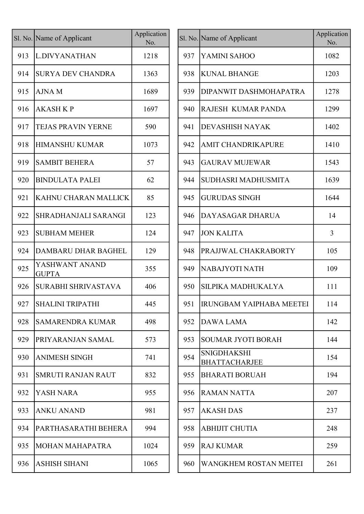|     | Sl. No. Name of Applicant      | Application<br>No. |     | Sl. No. Name of Applicar                 |
|-----|--------------------------------|--------------------|-----|------------------------------------------|
| 913 | L.DIVYANATHAN                  | 1218               | 937 | YAMINI SAHOO                             |
| 914 | <b>SURYA DEV CHANDRA</b>       | 1363               | 938 | <b>KUNAL BHANG</b>                       |
| 915 | <b>AJNAM</b>                   | 1689               | 939 | <b>DIPANWIT DAS</b>                      |
| 916 | <b>AKASH K P</b>               | 1697               | 940 | RAJESH KUMA                              |
| 917 | <b>TEJAS PRAVIN YERNE</b>      | 590                | 941 | <b>DEVASHISH NA</b>                      |
| 918 | <b>HIMANSHU KUMAR</b>          | 1073               | 942 | <b>AMIT CHANDR</b>                       |
| 919 | <b>SAMBIT BEHERA</b>           | 57                 | 943 | <b>GAURAV MUJE</b>                       |
| 920 | <b>BINDULATA PALEI</b>         | 62                 | 944 | <b>SUDHASRI MAI</b>                      |
| 921 | KAHNU CHARAN MALLICK           | 85                 | 945 | <b>GURUDAS SINC</b>                      |
| 922 | SHRADHANJALI SARANGI           | 123                | 946 | DAYASAGAR D                              |
| 923 | <b>SUBHAM MEHER</b>            | 124                | 947 | <b>JON KALITA</b>                        |
| 924 | <b>DAMBARU DHAR BAGHEL</b>     | 129                | 948 | PRAJJWAL CHA                             |
| 925 | YASHWANT ANAND<br><b>GUPTA</b> | 355                | 949 | NABAJYOTI NA                             |
| 926 | <b>SURABHI SHRIVASTAVA</b>     | 406                | 950 | <b>SILPIKA MADH</b>                      |
| 927 | <b>SHALINI TRIPATHI</b>        | 445                | 951 | <b>IRUNGBAM YA</b>                       |
| 928 | <b>SAMARENDRA KUMAR</b>        | 498                | 952 | <b>DAWA LAMA</b>                         |
| 929 | PRIYARANJAN SAMAL              | 573                | 953 | <b>SOUMAR JYOT</b>                       |
| 930 | <b>ANIMESH SINGH</b>           | 741                | 954 | <b>SNIGDHAKSHI</b><br><b>BHATTACHARJ</b> |
| 931 | <b>SMRUTI RANJAN RAUT</b>      | 832                | 955 | <b>BHARATI BORU</b>                      |
| 932 | YASH NARA                      | 955                | 956 | <b>RAMAN NATTA</b>                       |
| 933 | <b>ANKU ANAND</b>              | 981                | 957 | <b>AKASH DAS</b>                         |
| 934 | PARTHASARATHI BEHERA           | 994                | 958 | <b>ABHIJIT CHUTI</b>                     |
| 935 | <b>MOHAN MAHAPATRA</b>         | 1024               | 959 | <b>RAJ KUMAR</b>                         |
| 936 | <b>ASHISH SIHANI</b>           | 1065               | 960 | <b>WANGKHEM R</b>                        |
|     |                                |                    |     |                                          |

| l. No. Name of Applicant       | No.  |     | Sl. No. Name of Applicant                  | Application<br>No.              |
|--------------------------------|------|-----|--------------------------------------------|---------------------------------|
| L.DIVYANATHAN                  | 1218 | 937 | YAMINI SAHOO                               | 1082                            |
| <b>SURYA DEV CHANDRA</b>       | 1363 | 938 | <b>KUNAL BHANGE</b>                        | 1203                            |
| <b>AJNAM</b>                   | 1689 | 939 | DIPANWIT DASHMOHAPATRA                     | 1278                            |
| <b>AKASH K P</b>               | 1697 | 940 | RAJESH KUMAR PANDA                         | 1299                            |
| <b>TEJAS PRAVIN YERNE</b>      | 590  | 941 | <b>DEVASHISH NAYAK</b>                     | 1402                            |
| <b>HIMANSHU KUMAR</b>          | 1073 | 942 | AMIT CHANDRIKAPURE                         | 1410                            |
| <b>SAMBIT BEHERA</b>           | 57   | 943 | <b>GAURAV MUJEWAR</b>                      | 1543                            |
| <b>BINDULATA PALEI</b>         | 62   | 944 | <b>SUDHASRI MADHUSMITA</b>                 | 1639                            |
| KAHNU CHARAN MALLICK           | 85   | 945 | <b>GURUDAS SINGH</b>                       | 1644                            |
| <b>SHRADHANJALI SARANGI</b>    | 123  | 946 | DAYASAGAR DHARUA                           | 14                              |
| <b>SUBHAM MEHER</b>            | 124  | 947 | <b>JON KALITA</b>                          | $\overline{3}$                  |
| DAMBARU DHAR BAGHEL            | 129  | 948 | PRAJJWAL CHAKRABORTY                       | 105                             |
| YASHWANT ANAND<br><b>GUPTA</b> | 355  | 949 | NABAJYOTI NATH                             | 109                             |
| <b>SURABHI SHRIVASTAVA</b>     | 406  | 950 | SILPIKA MADHUKALYA                         | 111                             |
| <b>SHALINI TRIPATHI</b>        | 445  | 951 |                                            | 114                             |
| <b>SAMARENDRA KUMAR</b>        | 498  | 952 | <b>DAWA LAMA</b>                           | 142                             |
| PRIYARANJAN SAMAL              | 573  | 953 | <b>SOUMAR JYOTI BORAH</b>                  | 144                             |
| <b>ANIMESH SINGH</b>           | 741  | 954 | <b>SNIGDHAKSHI</b><br><b>BHATTACHARJEE</b> | 154                             |
| <b>SMRUTI RANJAN RAUT</b>      | 832  | 955 | <b>BHARATI BORUAH</b>                      | 194                             |
| YASH NARA                      | 955  | 956 | RAMAN NATTA                                | 207                             |
| <b>ANKU ANAND</b>              | 981  | 957 | <b>AKASH DAS</b>                           | 237                             |
| PARTHASARATHI BEHERA           | 994  | 958 | <b>ABHIJIT CHUTIA</b>                      | 248                             |
| MOHAN MAHAPATRA                | 1024 | 959 | <b>RAJ KUMAR</b>                           | 259                             |
| <b>ASHISH SIHANI</b>           | 1065 | 960 | WANGKHEM ROSTAN MEITEI                     | 261                             |
|                                |      |     |                                            | <b>IRUNGBAM YAIPHABA MEETEI</b> |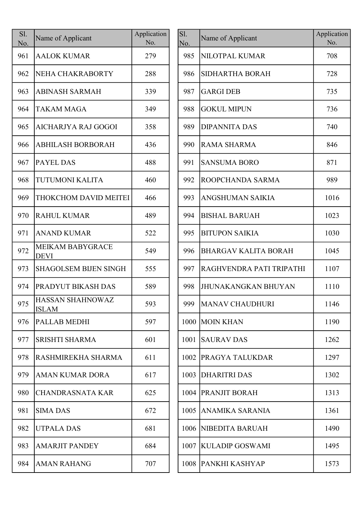| Sl.<br>No. | Name of Applicant                       | Application<br>No. |
|------------|-----------------------------------------|--------------------|
| 961        | <b>AALOK KUMAR</b>                      | 279                |
| 962        | NEHA CHAKRABORTY                        | 288                |
| 963        | <b>ABINASH SARMAH</b>                   | 339                |
| 964        | <b>TAKAM MAGA</b>                       | 349                |
| 965        | AICHARJYA RAJ GOGOI                     | 358                |
| 966        | <b>ABHILASH BORBORAH</b>                | 436                |
| 967        | <b>PAYEL DAS</b>                        | 488                |
| 968        | <b>TUTUMONI KALITA</b>                  | 460                |
| 969        | THOKCHOM DAVID MEITEI                   | 466                |
| 970        | <b>RAHUL KUMAR</b>                      | 489                |
| 971        | <b>ANAND KUMAR</b>                      | 522                |
| 972        | <b>MEIKAM BABYGRACE</b><br><b>DEVI</b>  | 549                |
| 973        | <b>SHAGOLSEM BIJEN SINGH</b>            | 555                |
| 974        | PRADYUT BIKASH DAS                      | 589                |
| 975        | <b>HASSAN SHAHNOWAZ</b><br><b>ISLAM</b> | 593                |
| 976        | PALLAB MEDHI                            | 597                |
| 977        | <b>SRISHTI SHARMA</b>                   | 601                |
| 978        | RASHMIREKHA SHARMA                      | 611                |
| 979        | <b>AMAN KUMAR DORA</b>                  | 617                |
| 980        | <b>CHANDRASNATA KAR</b>                 | 625                |
| 981        | <b>SIMA DAS</b>                         | 672                |
| 982        | <b>UTPALA DAS</b>                       | 681                |
| 983        | <b>AMARJIT PANDEY</b>                   | 684                |
| 984        | <b>AMAN RAHANG</b>                      | 707                |

| S1.<br>No. | Name of Applicant                       | Application<br>No. | Sl.<br>No. | Name of Applicant           | Application<br>No. |
|------------|-----------------------------------------|--------------------|------------|-----------------------------|--------------------|
| 961        | <b>AALOK KUMAR</b>                      | 279                | 985        | NILOTPAL KUMAR              | 708                |
| 962        | NEHA CHAKRABORTY                        | 288                | 986        | SIDHARTHA BORAH             | 728                |
| 963        | <b>ABINASH SARMAH</b>                   | 339                | 987        | <b>GARGI DEB</b>            | 735                |
| 964        | <b>TAKAM MAGA</b>                       | 349                | 988        | <b>GOKUL MIPUN</b>          | 736                |
| 965        | AICHARJYA RAJ GOGOI                     | 358                | 989        | <b>DIPANNITA DAS</b>        | 740                |
| 966        | <b>ABHILASH BORBORAH</b>                | 436                | 990        | <b>RAMA SHARMA</b>          | 846                |
| 967        | <b>PAYEL DAS</b>                        | 488                | 991        | <b>SANSUMA BORO</b>         | 871                |
| 968        | TUTUMONI KALITA                         | 460                | 992        | ROOPCHANDA SARMA            | 989                |
| 969        | THOKCHOM DAVID MEITEI                   | 466                | 993        | <b>ANGSHUMAN SAIKIA</b>     | 1016               |
| 970        | <b>RAHUL KUMAR</b>                      | 489                | 994        | <b>BISHAL BARUAH</b>        | 1023               |
| 971        | <b>ANAND KUMAR</b>                      | 522                | 995        | <b>BITUPON SAIKIA</b>       | 1030               |
| 972        | <b>MEIKAM BABYGRACE</b><br><b>DEVI</b>  | 549                | 996        | <b>BHARGAV KALITA BORAH</b> | 1045               |
| 973        | <b>SHAGOLSEM BIJEN SINGH</b>            | 555                | 997        | RAGHVENDRA PATI TRIPATHI    | 1107               |
| 974        | <b>PRADYUT BIKASH DAS</b>               | 589                | 998        | <b>JHUNAKANGKAN BHUYAN</b>  | 1110               |
| 975        | <b>HASSAN SHAHNOWAZ</b><br><b>ISLAM</b> | 593                |            | 999   MANAV CHAUDHURI       | 1146               |
| 976        | PALLAB MEDHI                            | 597                |            | 1000 MOIN KHAN              | 1190               |
| 977        | <b>SRISHTI SHARMA</b>                   | 601                | 1001       | <b>SAURAV DAS</b>           | 1262               |
| 978        | RASHMIREKHA SHARMA                      | 611                | 1002       | <b>PRAGYA TALUKDAR</b>      | 1297               |
| 979        | <b>AMAN KUMAR DORA</b>                  | 617                |            | 1003 DHARITRI DAS           | 1302               |
| 980        | <b>CHANDRASNATA KAR</b>                 | 625                |            | 1004 PRANJIT BORAH          | 1313               |
| 981        | <b>SIMA DAS</b>                         | 672                | 1005       | <b>ANAMIKA SARANIA</b>      | 1361               |
| 982        | <b>UTPALA DAS</b>                       | 681                |            | 1006 NIBEDITA BARUAH        | 1490               |
| 983        | <b>AMARJIT PANDEY</b>                   | 684                |            | 1007 KULADIP GOSWAMI        | 1495               |
| 984        | <b>AMAN RAHANG</b>                      | 707                |            | 1008 PANKHI KASHYAP         | 1573               |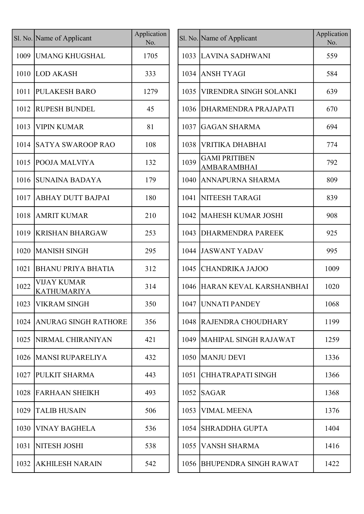|      | Sl. No. Name of Applicant                | Application<br>No. |      | Sl. No. Name of Applicant           |
|------|------------------------------------------|--------------------|------|-------------------------------------|
| 1009 | <b>UMANG KHUGSHAL</b>                    | 1705               |      | 1033 LAVINA SADHW                   |
| 1010 | LOD AKASH                                | 333                | 1034 | <b>ANSH TYAGI</b>                   |
| 1011 | <b>PULAKESH BARO</b>                     | 1279               | 1035 | <b>VIRENDRA SING</b>                |
| 1012 | <b>RUPESH BUNDEL</b>                     | 45                 | 1036 | <b>DHARMENDRA</b> I                 |
| 1013 | <b>VIPIN KUMAR</b>                       | 81                 | 1037 | <b>GAGAN SHARM</b>                  |
| 1014 | <b>SATYA SWAROOP RAO</b>                 | 108                | 1038 | <b>VRITIKA DHABH</b>                |
| 1015 | <b>POOJA MALVIYA</b>                     | 132                | 1039 | <b>GAMI PRITIBEN</b><br>AMBARAMBHAI |
| 1016 | <b>SUNAINA BADAYA</b>                    | 179                | 1040 | ANNAPURNA SH                        |
| 1017 | <b>ABHAY DUTT BAJPAI</b>                 | 180                | 1041 | <b>NITEESH TARAC</b>                |
| 1018 | <b>AMRIT KUMAR</b>                       | 210                | 1042 | <b>MAHESH KUMA</b>                  |
| 1019 | <b>KRISHAN BHARGAW</b>                   | 253                | 1043 | <b>DHARMENDRA</b> I                 |
| 1020 | <b>MANISH SINGH</b>                      | 295                | 1044 | <b>JASWANT YADA</b>                 |
| 1021 | <b>BHANU PRIYA BHATIA</b>                | 312                | 1045 | <b>CHANDRIKA JAJ</b>                |
| 1022 | <b>VIJAY KUMAR</b><br><b>KATHUMARIYA</b> | 314                | 1046 | <b>HARAN KEVAL I</b>                |
| 1023 | <b>VIKRAM SINGH</b>                      | 350                |      | 1047 UNNATI PANDE                   |
| 1024 | <b>ANURAG SINGH RATHORE</b>              | 356                | 1048 | <b>RAJENDRA CHO</b>                 |
| 1025 | NIRMAL CHIRANIYAN                        | 421                | 1049 | <b>MAHIPAL SINGH</b>                |
| 1026 | <b>MANSI RUPARELIYA</b>                  | 432                | 1050 | <b>MANJU DEVI</b>                   |
| 1027 | <b>PULKIT SHARMA</b>                     | 443                | 1051 | <b>CHHATRAPATIS</b>                 |
| 1028 | <b>FARHAAN SHEIKH</b>                    | 493                | 1052 | <b>SAGAR</b>                        |
| 1029 | <b>TALIB HUSAIN</b>                      | 506                | 1053 | VIMAL MEENA                         |
| 1030 | <b>VINAY BAGHELA</b>                     | 536                | 1054 | <b>SHRADDHA GUF</b>                 |
| 1031 | <b>NITESH JOSHI</b>                      | 538                | 1055 | <b>VANSH SHARMA</b>                 |
| 1032 | <b>AKHILESH NARAIN</b>                   | 542                | 1056 | BHUPENDRA SIN                       |

|      | I. No. Name of Applicant                 | Application<br>No. |      | Sl. No. Name of Applicant           | Application<br>No. |
|------|------------------------------------------|--------------------|------|-------------------------------------|--------------------|
| 1009 | <b>UMANG KHUGSHAL</b>                    | 1705               |      | 1033 LAVINA SADHWANI                | 559                |
|      | 1010 LOD AKASH                           | 333                | 1034 | <b>ANSH TYAGI</b>                   | 584                |
| 1011 | <b>PULAKESH BARO</b>                     | 1279               | 1035 | <b>VIRENDRA SINGH SOLANKI</b>       | 639                |
| 1012 | <b>RUPESH BUNDEL</b>                     | 45                 | 1036 | DHARMENDRA PRAJAPATI                | 670                |
| 1013 | <b>VIPIN KUMAR</b>                       | 81                 | 1037 | GAGAN SHARMA                        | 694                |
| 1014 | <b>SATYA SWAROOP RAO</b>                 | 108                | 1038 | VRITIKA DHABHAI                     | 774                |
| 1015 | <b>POOJA MALVIYA</b>                     | 132                | 1039 | <b>GAMI PRITIBEN</b><br>AMBARAMBHAI | 792                |
| 1016 | <b>SUNAINA BADAYA</b>                    | 179                | 1040 | ANNAPURNA SHARMA                    | 809                |
| 1017 | <b>ABHAY DUTT BAJPAI</b>                 | 180                | 1041 | NITEESH TARAGI                      | 839                |
| 1018 | <b>AMRIT KUMAR</b>                       | 210                | 1042 | MAHESH KUMAR JOSHI                  | 908                |
| 1019 | <b>KRISHAN BHARGAW</b>                   | 253                | 1043 | <b>DHARMENDRA PAREEK</b>            | 925                |
| 1020 | <b>MANISH SINGH</b>                      | 295                | 1044 | <b>JASWANT YADAV</b>                | 995                |
| 1021 | <b>BHANU PRIYA BHATIA</b>                | 312                | 1045 | <b>CHANDRIKA JAJOO</b>              | 1009               |
| 1022 | <b>VIJAY KUMAR</b><br><b>KATHUMARIYA</b> | 314                | 1046 | HARAN KEVAL KARSHANBHAI             | 1020               |
|      | 1023 VIKRAM SINGH                        | 350                |      | 1047 UNNATI PANDEY                  | 1068               |
| 1024 | <b>ANURAG SINGH RATHORE</b>              | 356                | 1048 | RAJENDRA CHOUDHARY                  | 1199               |
| 1025 | NIRMAL CHIRANIYAN                        | 421                |      | 1049   MAHIPAL SINGH RAJAWAT        | 1259               |
| 1026 | <b>MANSI RUPARELIYA</b>                  | 432                |      | 1050 MANJU DEVI                     | 1336               |
| 1027 | <b>PULKIT SHARMA</b>                     | 443                | 1051 | CHHATRAPATI SINGH                   | 1366               |
| 1028 | <b>FARHAAN SHEIKH</b>                    | 493                | 1052 | <b>SAGAR</b>                        | 1368               |
| 1029 | <b>TALIB HUSAIN</b>                      | 506                | 1053 | <b>VIMAL MEENA</b>                  | 1376               |
| 1030 | <b>VINAY BAGHELA</b>                     | 536                | 1054 | <b>SHRADDHA GUPTA</b>               | 1404               |
| 1031 | NITESH JOSHI                             | 538                | 1055 | <b>VANSH SHARMA</b>                 | 1416               |
| 1032 | <b>AKHILESH NARAIN</b>                   | 542                | 1056 | BHUPENDRA SINGH RAWAT               | 1422               |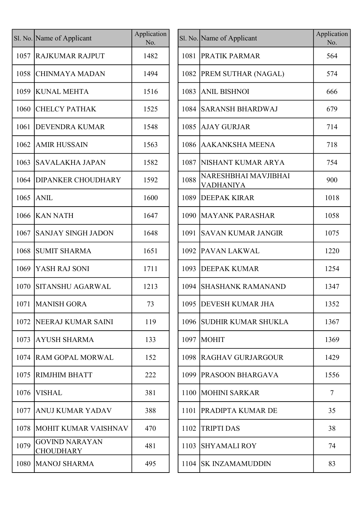|      | Sl. No. Name of Applicant                 | Application<br>No. |      | Sl. No. Name of Applicant                | Applicat<br>No. |
|------|-------------------------------------------|--------------------|------|------------------------------------------|-----------------|
| 1057 | <b>RAJKUMAR RAJPUT</b>                    | 1482               | 1081 | <b>PRATIK PARMAR</b>                     | 564             |
| 1058 | CHINMAYA MADAN                            | 1494               |      | 1082   PREM SUTHAR (NAGAL)               | 574             |
|      | 1059 KUNAL MEHTA                          | 1516               |      | 1083 ANIL BISHNOI                        | 666             |
| 1060 | <b>CHELCY PATHAK</b>                      | 1525               |      | 1084 SARANSH BHARDWAJ                    | 679             |
| 1061 | <b>DEVENDRA KUMAR</b>                     | 1548               |      | 1085 AJAY GURJAR                         | 714             |
| 1062 | <b>AMIR HUSSAIN</b>                       | 1563               |      | 1086 AAKANKSHA MEENA                     | 718             |
| 1063 | SAVALAKHA JAPAN                           | 1582               | 1087 | <b>NISHANT KUMAR ARYA</b>                | 754             |
| 1064 | <b>DIPANKER CHOUDHARY</b>                 | 1592               | 1088 | NARESHBHAI MAVJIBHAI<br><b>VADHANIYA</b> | 900             |
| 1065 | <b>ANIL</b>                               | 1600               | 1089 | <b>DEEPAK KIRAR</b>                      | 1018            |
|      | 1066 KAN NATH                             | 1647               |      | 1090 MAYANK PARASHAR                     | 1058            |
| 1067 | <b>SANJAY SINGH JADON</b>                 | 1648               | 1091 | <b>SAVAN KUMAR JANGIR</b>                | 1075            |
| 1068 | <b>SUMIT SHARMA</b>                       | 1651               |      | 1092 PAVAN LAKWAL                        | 1220            |
| 1069 | YASH RAJ SONI                             | 1711               |      | 1093 DEEPAK KUMAR                        | 1254            |
| 1070 | <b>SITANSHU AGARWAL</b>                   | 1213               |      | 1094 SHASHANK RAMANAND                   | 1347            |
|      | 1071   MANISH GORA                        | 73                 |      | 1095 DEVESH KUMAR JHA                    | 1352            |
| 1072 | <b>NEERAJ KUMAR SAINI</b>                 | 119                |      | 1096 SUDHIR KUMAR SHUKLA                 | 1367            |
| 1073 | AYUSH SHARMA                              | 133                |      | 1097   MOHIT                             | 1369            |
| 1074 | <b>RAM GOPAL MORWAL</b>                   | 152                |      | 1098 RAGHAV GURJARGOUR                   | 1429            |
| 1075 | <b>RIMJHIM BHATT</b>                      | 222                |      | 1099   PRASOON BHARGAVA                  | 1556            |
| 1076 | <b>VISHAL</b>                             | 381                |      | 1100   MOHINI SARKAR                     | $\overline{7}$  |
| 1077 | <b>ANUJ KUMAR YADAV</b>                   | 388                | 1101 | <b>PRADIPTA KUMAR DE</b>                 | 35              |
| 1078 | MOHIT KUMAR VAISHNAV                      | 470                | 1102 | <b>TRIPTI DAS</b>                        | 38              |
| 1079 | <b>GOVIND NARAYAN</b><br><b>CHOUDHARY</b> | 481                | 1103 | <b>SHYAMALI ROY</b>                      | 74              |
|      | 1080   MANOJ SHARMA                       | 495                |      | 1104 SK INZAMAMUDDIN                     | 83              |
|      |                                           |                    |      |                                          |                 |

| Name of Applicant                  | Application<br>No. |      | Sl. No. Name of Applicant                | Application<br>No. |
|------------------------------------|--------------------|------|------------------------------------------|--------------------|
| RAJKUMAR RAJPUT                    | 1482               | 1081 | <b>PRATIK PARMAR</b>                     | 564                |
| CHINMAYA MADAN                     | 1494               |      | 1082   PREM SUTHAR (NAGAL)               | 574                |
| KUNAL MEHTA                        | 1516               | 1083 | <b>ANIL BISHNOI</b>                      | 666                |
| <b>CHELCY PATHAK</b>               | 1525               |      | 1084 SARANSH BHARDWAJ                    | 679                |
| DEVENDRA KUMAR                     | 1548               |      | 1085 AJAY GURJAR                         | 714                |
| <b>AMIR HUSSAIN</b>                | 1563               |      | 1086 AAKANKSHA MEENA                     | 718                |
| SAVALAKHA JAPAN                    | 1582               | 1087 | <b>NISHANT KUMAR ARYA</b>                | 754                |
| <b>DIPANKER CHOUDHARY</b>          | 1592               | 1088 | NARESHBHAI MAVJIBHAI<br><b>VADHANIYA</b> | 900                |
| ANIL                               | 1600               | 1089 | <b>DEEPAK KIRAR</b>                      | 1018               |
| <b>KAN NATH</b>                    | 1647               | 1090 | <b>MAYANK PARASHAR</b>                   | 1058               |
| <b>SANJAY SINGH JADON</b>          | 1648               | 1091 | <b>SAVAN KUMAR JANGIR</b>                | 1075               |
| <b>SUMIT SHARMA</b>                | 1651               | 1092 | <b>PAVAN LAKWAL</b>                      | 1220               |
| YASH RAJ SONI                      | 1711               |      | 1093 DEEPAK KUMAR                        | 1254               |
| <b>SITANSHU AGARWAL</b>            | 1213               | 1094 | <b>SHASHANK RAMANAND</b>                 | 1347               |
| <b>MANISH GORA</b>                 | 73                 |      | 1095 DEVESH KUMAR JHA                    | 1352               |
| NEERAJ KUMAR SAINI                 | 119                | 1096 | <b>SUDHIR KUMAR SHUKLA</b>               | 1367               |
| AYUSH SHARMA                       | 133                | 1097 | <b>MOHIT</b>                             | 1369               |
| RAM GOPAL MORWAL                   | 152                | 1098 | <b>RAGHAV GURJARGOUR</b>                 | 1429               |
| RIMJHIM BHATT                      | 222                |      | 1099 PRASOON BHARGAVA                    | 1556               |
| VISHAL                             | 381                | 1100 | <b>MOHINI SARKAR</b>                     | $\overline{7}$     |
| ANUJ KUMAR YADAV                   | 388                | 1101 | <b>PRADIPTA KUMAR DE</b>                 | 35                 |
| MOHIT KUMAR VAISHNAV               | 470                | 1102 | <b>TRIPTI DAS</b>                        | 38                 |
| <b>GOVIND NARAYAN</b><br>CHOUDHARY | 481                | 1103 | <b>SHYAMALI ROY</b>                      | 74                 |
| MANOJ SHARMA                       | 495                |      | 1104 SK INZAMAMUDDIN                     | 83                 |
|                                    |                    |      |                                          |                    |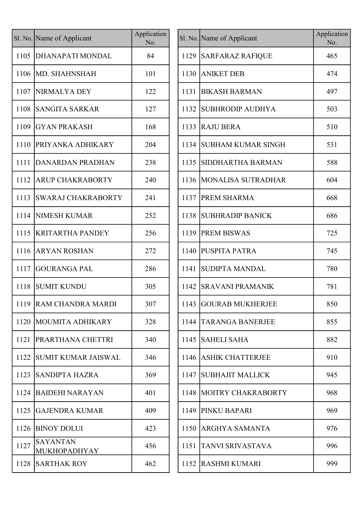|      | Sl. No. Name of Applicant              | Application<br>No. |      | Sl. No. Name of Applicant | Applica<br>No. |
|------|----------------------------------------|--------------------|------|---------------------------|----------------|
|      | 1105   DHANAPATI MONDAL                | 84                 |      | 1129 SARFARAZ RAFIQUE     | 465            |
|      | 1106 MD. SHAHNSHAH                     | 101                | 1130 | <b>ANIKET DEB</b>         | 474            |
|      | 1107 NIRMALYA DEY                      | 122                | 1131 | <b>BIKASH BARMAN</b>      | 497            |
| 1108 | SANGITA SARKAR                         | 127                | 1132 | <b>SUBHRODIP AUDHYA</b>   | 503            |
| 1109 | <b>GYAN PRAKASH</b>                    | 168                | 1133 | <b>RAJU BERA</b>          | 510            |
| 1110 | <b>PRIYANKA ADHIKARY</b>               | 204                | 1134 | <b>SUBHAM KUMAR SINGH</b> | 531            |
| 1111 | DANARDAN PRADHAN                       | 238                | 1135 | <b>SIDDHARTHA BARMAN</b>  | 588            |
| 1112 | <b>ARUP CHAKRABORTY</b>                | 240                |      | 1136   MONALISA SUTRADHAR | 604            |
| 1113 | <b>SWARAJ CHAKRABORTY</b>              | 241                | 1137 | <b>PREM SHARMA</b>        | 668            |
|      | 1114 NIMESH KUMAR                      | 252                | 1138 | <b>SUBHRADIP BANICK</b>   | 686            |
| 1115 | <b>KRITARTHA PANDEY</b>                | 256                | 1139 | <b>PREM BISWAS</b>        | 725            |
| 1116 | <b>ARYAN ROSHAN</b>                    | 272                | 1140 | <b>PUSPITA PATRA</b>      | 745            |
| 1117 | <b>GOURANGA PAL</b>                    | 286                | 1141 | SUDIPTA MANDAL            | 780            |
| 1118 | <b>SUMIT KUNDU</b>                     | 305                | 1142 | <b>SRAVANI PRAMANIK</b>   | 781            |
|      | 1119 RAM CHANDRA MARDI                 | 307                |      | 1143 GOURAB MUKHERJEE     | 850            |
|      | 1120   MOUMITA ADHIKARY                | 328                | 1144 | <b>TARANGA BANERJEE</b>   | 855            |
| 1121 | PRARTHANA CHETTRI                      | 340                | 1145 | <b>SAHELI SAHA</b>        | 882            |
| 1122 | <b>SUMIT KUMAR JAISWAL</b>             | 346                | 1146 | <b>ASHIK CHATTERJEE</b>   | 910            |
| 1123 | <b>SANDIPTA HAZRA</b>                  | 369                | 1147 | <b>SUBHAJIT MALLICK</b>   | 945            |
| 1124 | BAIDEHI NARAYAN                        | 401                | 1148 | MOITRY CHAKRABORTY        | 968            |
| 1125 | <b>GAJENDRA KUMAR</b>                  | 409                | 1149 | PINKU BAPARI              | 969            |
| 1126 | <b>BINOY DOLUI</b>                     | 423                | 1150 | <b>ARGHYA SAMANTA</b>     | 976            |
| 1127 | <b>SAYANTAN</b><br><b>MUKHOPADHYAY</b> | 456                | 1151 | <b>TANVI SRIVASTAVA</b>   | 996            |
| 1128 | <b>SARTHAK ROY</b>                     | 462                | 1152 | <b>RASHMI KUMARI</b>      | 999            |

|      | Sl. No. Name of Applicant       | Application<br>No. |      | Sl. No. Name of Applicant | Application<br>No. |
|------|---------------------------------|--------------------|------|---------------------------|--------------------|
| 1105 | DHANAPATI MONDAL                | 84                 |      | 1129 SARFARAZ RAFIQUE     | 465                |
| 1106 | MD. SHAHNSHAH                   | 101                | 1130 | <b>ANIKET DEB</b>         | 474                |
| 1107 | NIRMALYA DEY                    | 122                | 1131 | <b>BIKASH BARMAN</b>      | 497                |
| 1108 | <b>SANGITA SARKAR</b>           | 127                | 1132 | <b>SUBHRODIP AUDHYA</b>   | 503                |
| 1109 | <b>GYAN PRAKASH</b>             | 168                | 1133 | <b>RAJU BERA</b>          | 510                |
| 1110 | <b>PRIYANKA ADHIKARY</b>        | 204                | 1134 | <b>SUBHAM KUMAR SINGH</b> | 531                |
| 1111 | DANARDAN PRADHAN                | 238                | 1135 | <b>SIDDHARTHA BARMAN</b>  | 588                |
| 1112 | <b>ARUP CHAKRABORTY</b>         | 240                |      | 1136   MONALISA SUTRADHAR | 604                |
| 1113 | <b>SWARAJ CHAKRABORTY</b>       | 241                | 1137 | <b>PREM SHARMA</b>        | 668                |
| 1114 | <b>NIMESH KUMAR</b>             | 252                | 1138 | <b>SUBHRADIP BANICK</b>   | 686                |
| 1115 | <b>KRITARTHA PANDEY</b>         | 256                | 1139 | <b>PREM BISWAS</b>        | 725                |
| 1116 | <b>ARYAN ROSHAN</b>             | 272                |      | 1140 PUSPITA PATRA        | 745                |
| 1117 | GOURANGA PAL                    | 286                | 1141 | <b>SUDIPTA MANDAL</b>     | 780                |
| 1118 | <b>SUMIT KUNDU</b>              | 305                | 1142 | <b>SRAVANI PRAMANIK</b>   | 781                |
|      | 1119 RAM CHANDRA MARDI          | 307                |      | 1143 GOURAB MUKHERJEE     | 850                |
| 1120 | MOUMITA ADHIKARY                | 328                | 1144 | <b>TARANGA BANERJEE</b>   | 855                |
| 1121 | <b>PRARTHANA CHETTRI</b>        | 340                | 1145 | <b>SAHELI SAHA</b>        | 882                |
| 1122 | SUMIT KUMAR JAISWAL             | 346                | 1146 | <b>ASHIK CHATTERJEE</b>   | 910                |
| 1123 | <b>SANDIPTA HAZRA</b>           | 369                | 1147 | SUBHAJIT MALLICK          | 945                |
| 1124 | <b>BAIDEHI NARAYAN</b>          | 401                | 1148 | MOITRY CHAKRABORTY        | 968                |
| 1125 | GAJENDRA KUMAR                  | 409                | 1149 | <b>PINKU BAPARI</b>       | 969                |
| 1126 | <b>BINOY DOLUI</b>              | 423                | 1150 | <b>ARGHYA SAMANTA</b>     | 976                |
| 1127 | <b>SAYANTAN</b><br>MUKHOPADHYAY | 456                | 1151 | <b>TANVI SRIVASTAVA</b>   | 996                |
| 1128 | <b>SARTHAK ROY</b>              | 462                | 1152 | <b>RASHMI KUMARI</b>      | 999                |
|      |                                 |                    |      |                           |                    |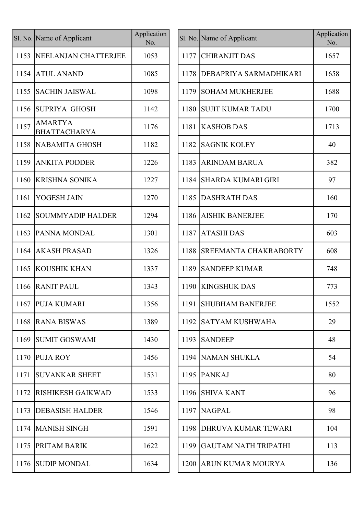|      | Sl. No. Name of Applicant             | Application<br>No. |      | Sl. No. Name of Applicant     | Applicat<br>No. |
|------|---------------------------------------|--------------------|------|-------------------------------|-----------------|
| 1153 | NEELANJAN CHATTERJEE                  | 1053               |      | 1177 CHIRANJIT DAS            | 1657            |
| 1154 | <b>ATUL ANAND</b>                     | 1085               | 1178 | <b>DEBAPRIYA SARMADHIKARI</b> | 1658            |
| 1155 | <b>SACHIN JAISWAL</b>                 | 1098               | 1179 | <b>SOHAM MUKHERJEE</b>        | 1688            |
| 1156 | <b>SUPRIYA GHOSH</b>                  | 1142               | 1180 | <b>SUJIT KUMAR TADU</b>       | 1700            |
| 1157 | <b>AMARTYA</b><br><b>BHATTACHARYA</b> | 1176               |      | 1181 KASHOB DAS               | 1713            |
| 1158 | NABAMITA GHOSH                        | 1182               | 1182 | <b>SAGNIK KOLEY</b>           | 40              |
| 1159 | <b>ANKITA PODDER</b>                  | 1226               | 1183 | <b>ARINDAM BARUA</b>          | 382             |
| 1160 | <b>KRISHNA SONIKA</b>                 | 1227               | 1184 | <b>SHARDA KUMARI GIRI</b>     | 97              |
| 1161 | YOGESH JAIN                           | 1270               | 1185 | <b>DASHRATH DAS</b>           | 160             |
| 1162 | SOUMMYADIP HALDER                     | 1294               |      | 1186 AISHIK BANERJEE          | 170             |
| 1163 | <b>PANNA MONDAL</b>                   | 1301               | 1187 | <b>ATASHIDAS</b>              | 603             |
| 1164 | <b>AKASH PRASAD</b>                   | 1326               |      | 1188 SREEMANTA CHAKRABORTY    | 608             |
| 1165 | <b>KOUSHIK KHAN</b>                   | 1337               | 1189 | <b>SANDEEP KUMAR</b>          | 748             |
| 1166 | <b>RANIT PAUL</b>                     | 1343               |      | 1190 KINGSHUK DAS             | 773             |
|      | 1167   PUJA KUMARI                    | 1356               |      | 1191 SHUBHAM BANERJEE         | 1552            |
| 1168 | <b>RANA BISWAS</b>                    | 1389               |      | 1192 SATYAM KUSHWAHA          | 29              |
| 1169 | SUMIT GOSWAMI                         | 1430               | 1193 | <b>SANDEEP</b>                | 48              |
| 1170 | <b>PUJA ROY</b>                       | 1456               |      | 1194 NAMAN SHUKLA             | 54              |
| 1171 | <b>SUVANKAR SHEET</b>                 | 1531               |      | 1195   PANKAJ                 | 80              |
| 1172 | RISHIKESH GAIKWAD                     | 1533               |      | 1196 SHIVA KANT               | 96              |
| 1173 | <b>DEBASISH HALDER</b>                | 1546               |      | 1197 NAGPAL                   | 98              |
| 1174 | <b>MANISH SINGH</b>                   | 1591               |      | 1198 DHRUVA KUMAR TEWARI      | 104             |
| 1175 | <b>PRITAM BARIK</b>                   | 1622               |      | 1199 GAUTAM NATH TRIPATHI     | 113             |
| 1176 | <b>SUDIP MONDAL</b>                   | 1634               |      | 1200 ARUN KUMAR MOURYA        | 136             |
|      |                                       |                    |      |                               |                 |

| lication<br>No. |      | Sl. No. Name of Applicant   | Application<br>No. |
|-----------------|------|-----------------------------|--------------------|
| 053             | 1177 | <b>CHIRANJIT DAS</b>        | 1657               |
| .085            | 1178 | DEBAPRIYA SARMADHIKARI      | 1658               |
| .098            | 1179 | <b>SOHAM MUKHERJEE</b>      | 1688               |
| 142             | 1180 | <b>SUJIT KUMAR TADU</b>     | 1700               |
| 176             | 1181 | <b>KASHOB DAS</b>           | 1713               |
| .182            | 1182 | <b>SAGNIK KOLEY</b>         | 40                 |
| 226             | 1183 | <b>ARINDAM BARUA</b>        | 382                |
| 227             | 1184 | <b>SHARDA KUMARI GIRI</b>   | 97                 |
| 270             | 1185 | <b>DASHRATH DAS</b>         | 160                |
| 294             | 1186 | <b>AISHIK BANERJEE</b>      | 170                |
| 301             | 1187 | <b>ATASHIDAS</b>            | 603                |
| 326             | 1188 | SREEMANTA CHAKRABORTY       | 608                |
| 337             | 1189 | <b>SANDEEP KUMAR</b>        | 748                |
| 343             | 1190 | <b>KINGSHUK DAS</b>         | 773                |
| 356             | 1191 | <b>SHUBHAM BANERJEE</b>     | 1552               |
| 389             | 1192 | <b>SATYAM KUSHWAHA</b>      | 29                 |
| 430             | 1193 | <b>SANDEEP</b>              | 48                 |
| 456             | 1194 | <b>NAMAN SHUKLA</b>         | 54                 |
| 531             | 1195 | <b>PANKAJ</b>               | 80                 |
| 533             | 1196 | <b>SHIVA KANT</b>           | 96                 |
| 546             | 1197 | <b>NAGPAL</b>               | 98                 |
| .591            | 1198 | DHRUVA KUMAR TEWARI         | 104                |
| 622             | 1199 | <b>GAUTAM NATH TRIPATHI</b> | 113                |
| 634             | 1200 | ARUN KUMAR MOURYA           | 136                |
|                 |      |                             |                    |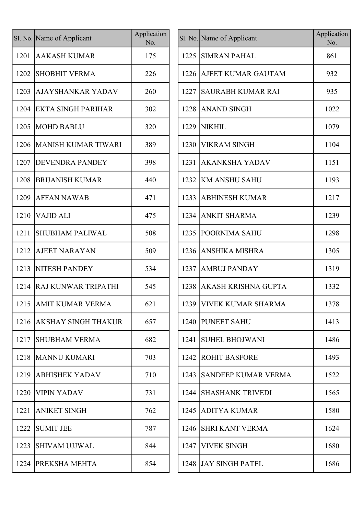|      | Sl. No. Name of Applicant  | Application<br>No. |
|------|----------------------------|--------------------|
| 1201 | AAKASH KUMAR               | 175                |
| 1202 | <b>SHOBHIT VERMA</b>       | 226                |
| 1203 | <b>AJAYSHANKAR YADAV</b>   | 260                |
| 1204 | <b>EKTA SINGH PARIHAR</b>  | 302                |
| 1205 | <b>MOHD BABLU</b>          | 320                |
| 1206 | <b>MANISH KUMAR TIWARI</b> | 389                |
| 1207 | <b>DEVENDRA PANDEY</b>     | 398                |
| 1208 | <b>BRIJANISH KUMAR</b>     | 440                |
| 1209 | <b>AFFAN NAWAB</b>         | 471                |
| 1210 | <b>VAJID ALI</b>           | 475                |
| 1211 | <b>SHUBHAM PALIWAL</b>     | 508                |
| 1212 | AJEET NARAYAN              | 509                |
| 1213 | <b>NITESH PANDEY</b>       | 534                |
| 1214 | IRAJ KUNWAR TRIPATHI       | 545                |
| 1215 | <b>AMIT KUMAR VERMA</b>    | 621                |
| 1216 | AKSHAY SINGH THAKUR        | 657                |
| 1217 | <b>SHUBHAM VERMA</b>       | 682                |
| 1218 | <b>MANNU KUMARI</b>        | 703                |
| 1219 | <b>ABHISHEK YADAV</b>      | 710                |
| 1220 | <b>VIPIN YADAV</b>         | 731                |
| 1221 | <b>ANIKET SINGH</b>        | 762                |
| 1222 | <b>SUMIT JEE</b>           | 787                |
| 1223 | <b>SHIVAM UJJWAL</b>       | 844                |
| 1224 | PREKSHA MEHTA              | 854                |

|      | I. No. Name of Applicant   | Application<br>No. |      | Sl. No. Name of Applicant     | Application<br>No. |
|------|----------------------------|--------------------|------|-------------------------------|--------------------|
| 1201 | <b>AAKASH KUMAR</b>        | 175                | 1225 | <b>SIMRAN PAHAL</b>           | 861                |
| 1202 | <b>SHOBHIT VERMA</b>       | 226                |      | 1226 AJEET KUMAR GAUTAM       | 932                |
| 1203 | <b>AJAYSHANKAR YADAV</b>   | 260                | 1227 | <b>SAURABH KUMAR RAI</b>      | 935                |
| 1204 | <b>EKTA SINGH PARIHAR</b>  | 302                | 1228 | <b>ANAND SINGH</b>            | 1022               |
| 1205 | <b>MOHD BABLU</b>          | 320                | 1229 | <b>NIKHIL</b>                 | 1079               |
| 1206 | <b>MANISH KUMAR TIWARI</b> | 389                | 1230 | <b>VIKRAM SINGH</b>           | 1104               |
| 1207 | <b>DEVENDRA PANDEY</b>     | 398                | 1231 | <b>AKANKSHA YADAV</b>         | 1151               |
| 1208 | <b>BRIJANISH KUMAR</b>     | 440                |      | 1232 KM ANSHU SAHU            | 1193               |
| 1209 | <b>AFFAN NAWAB</b>         | 471                | 1233 | <b>ABHINESH KUMAR</b>         | 1217               |
| 1210 | <b>VAJID ALI</b>           | 475                | 1234 | <b>ANKIT SHARMA</b>           | 1239               |
| 1211 | <b>SHUBHAM PALIWAL</b>     | 508                |      | 1235 POORNIMA SAHU            | 1298               |
| 1212 | <b>AJEET NARAYAN</b>       | 509                |      | 1236 ANSHIKA MISHRA           | 1305               |
| 1213 | <b>NITESH PANDEY</b>       | 534                | 1237 | <b>AMBUJ PANDAY</b>           | 1319               |
| 1214 | <b>RAJ KUNWAR TRIPATHI</b> | 545                | 1238 | AKASH KRISHNA GUPTA           | 1332               |
|      | 1215 AMIT KUMAR VERMA      | 621                |      | 1239   VIVEK KUMAR SHARMA     | 1378               |
|      | 1216 AKSHAY SINGH THAKUR   | 657                |      | 1240 PUNEET SAHU              | 1413               |
| 1217 | <b>SHUBHAM VERMA</b>       | 682                | 1241 | <b>SUHEL BHOJWANI</b>         | 1486               |
| 1218 | <b>MANNU KUMARI</b>        | 703                |      | <b>1242 ROHIT BASFORE</b>     | 1493               |
| 1219 | <b>ABHISHEK YADAV</b>      | 710                |      | 1243 SANDEEP KUMAR VERMA      | 1522               |
| 1220 | <b>VIPIN YADAV</b>         | 731                |      | <b>1244  SHASHANK TRIVEDI</b> | 1565               |
| 1221 | <b>ANIKET SINGH</b>        | 762                |      | 1245 ADITYA KUMAR             | 1580               |
| 1222 | <b>SUMIT JEE</b>           | 787                |      | 1246 SHRI KANT VERMA          | 1624               |
| 1223 | <b>SHIVAM UJJWAL</b>       | 844                | 1247 | <b>VIVEK SINGH</b>            | 1680               |
| 1224 | <b>PREKSHA MEHTA</b>       | 854                |      | 1248 JAY SINGH PATEL          | 1686               |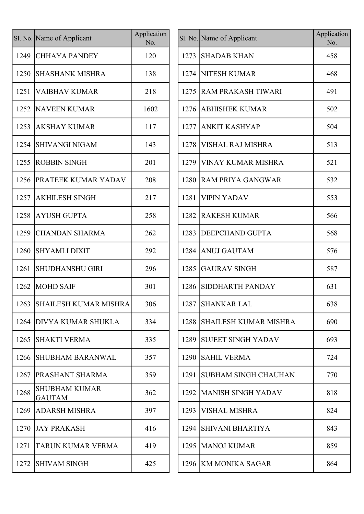|      | Sl. No. Name of Applicant             | Application<br>No. |
|------|---------------------------------------|--------------------|
| 1249 | CHHAYA PANDEY                         | 120                |
| 1250 | <b>SHASHANK MISHRA</b>                | 138                |
| 1251 | VAIBHAV KUMAR                         | 218                |
| 1252 | NAVEEN KUMAR                          | 1602               |
| 1253 | <b>AKSHAY KUMAR</b>                   | 117                |
| 1254 | <b>SHIVANGI NIGAM</b>                 | 143                |
| 1255 | <b>ROBBIN SINGH</b>                   | 201                |
| 1256 | <b>PRATEEK KUMAR YADAV</b>            | 208                |
| 1257 | <b>AKHILESH SINGH</b>                 | 217                |
| 1258 | <b>AYUSH GUPTA</b>                    | 258                |
| 1259 | <b>CHANDAN SHARMA</b>                 | 262                |
| 1260 | <b>SHYAMLI DIXIT</b>                  | 292                |
| 1261 | <b>SHUDHANSHU GIRI</b>                | 296                |
| 1262 | <b>MOHD SAIF</b>                      | 301                |
| 1263 | SHAILESH KUMAR MISHRA                 | 306                |
| 1264 | DIVYA KUMAR SHUKLA                    | 334                |
| 1265 | <b>SHAKTI VERMA</b>                   | 335                |
| 1266 | <b>SHUBHAM BARANWAL</b>               | 357                |
| 1267 | PRASHANT SHARMA                       | 359                |
| 1268 | <b>SHUBHAM KUMAR</b><br><b>GAUTAM</b> | 362                |
| 1269 | ADARSH MISHRA                         | 397                |
| 1270 | <b>JAY PRAKASH</b>                    | 416                |
| 1271 | TARUN KUMAR VERMA                     | 419                |
| 1272 | <b>SHIVAM SINGH</b>                   | 425                |

|      | I. No. Name of Applicant              | Application<br>No. |      | Sl. No. Name of Applicant   | Application<br>No. |
|------|---------------------------------------|--------------------|------|-----------------------------|--------------------|
| 1249 | <b>CHHAYA PANDEY</b>                  | 120                | 1273 | <b>SHADAB KHAN</b>          | 458                |
|      | 1250 SHASHANK MISHRA                  | 138                |      | 1274 NITESH KUMAR           | 468                |
| 1251 | <b>VAIBHAV KUMAR</b>                  | 218                | 1275 | <b>RAM PRAKASH TIWARI</b>   | 491                |
| 1252 | <b>NAVEEN KUMAR</b>                   | 1602               | 1276 | <b>ABHISHEK KUMAR</b>       | 502                |
| 1253 | <b>AKSHAY KUMAR</b>                   | 117                | 1277 | <b>ANKIT KASHYAP</b>        | 504                |
| 1254 | <b>SHIVANGI NIGAM</b>                 | 143                | 1278 | <b>VISHAL RAJ MISHRA</b>    | 513                |
| 1255 | <b>ROBBIN SINGH</b>                   | 201                | 1279 | <b>VINAY KUMAR MISHRA</b>   | 521                |
| 1256 | <b>PRATEEK KUMAR YADAV</b>            | 208                |      | 1280 RAM PRIYA GANGWAR      | 532                |
| 1257 | <b>AKHILESH SINGH</b>                 | 217                | 1281 | <b>VIPIN YADAV</b>          | 553                |
| 1258 | <b>AYUSH GUPTA</b>                    | 258                | 1282 | <b>RAKESH KUMAR</b>         | 566                |
| 1259 | <b>CHANDAN SHARMA</b>                 | 262                | 1283 | <b>DEEPCHAND GUPTA</b>      | 568                |
| 1260 | <b>SHYAMLI DIXIT</b>                  | 292                | 1284 | <b>ANUJ GAUTAM</b>          | 576                |
| 1261 | <b>SHUDHANSHU GIRI</b>                | 296                | 1285 | <b>GAURAV SINGH</b>         | 587                |
| 1262 | <b>MOHD SAIF</b>                      | 301                | 1286 | SIDDHARTH PANDAY            | 631                |
|      | 1263   SHAILESH KUMAR MISHRA          | 306                |      | 1287 SHANKAR LAL            | 638                |
|      | 1264 DIVYA KUMAR SHUKLA               | 334                |      | 1288 SHAILESH KUMAR MISHRA  | 690                |
| 1265 | <b>SHAKTI VERMA</b>                   | 335                |      | 1289 SUJEET SINGH YADAV     | 693                |
| 1266 | <b>SHUBHAM BARANWAL</b>               | 357                |      | 1290 SAHIL VERMA            | 724                |
| 1267 | <b>PRASHANT SHARMA</b>                | 359                | 1291 | <b>SUBHAM SINGH CHAUHAN</b> | 770                |
| 1268 | <b>SHUBHAM KUMAR</b><br><b>GAUTAM</b> | 362                |      | 1292 MANISH SINGH YADAV     | 818                |
| 1269 | <b>ADARSH MISHRA</b>                  | 397                | 1293 | <b>VISHAL MISHRA</b>        | 824                |
| 1270 | <b>JAY PRAKASH</b>                    | 416                | 1294 | <b>SHIVANI BHARTIYA</b>     | 843                |
| 1271 | <b>TARUN KUMAR VERMA</b>              | 419                |      | 1295   MANOJ KUMAR          | 859                |
| 1272 | <b>SHIVAM SINGH</b>                   | 425                |      | 1296 KM MONIKA SAGAR        | 864                |
|      |                                       |                    |      |                             |                    |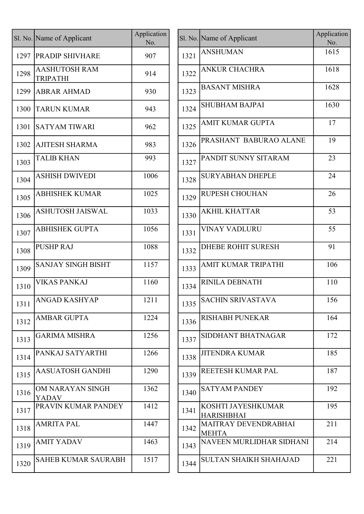|      | Sl. No. Name of Applicant               | Application<br>No. |      | Sl. No. Name of Applicant                   | Applicat<br>No. |
|------|-----------------------------------------|--------------------|------|---------------------------------------------|-----------------|
| 1297 | <b>PRADIP SHIVHARE</b>                  | 907                | 1321 | <b>ANSHUMAN</b>                             | 1615            |
| 1298 | <b>AASHUTOSH RAM</b><br><b>TRIPATHI</b> | 914                | 1322 | <b>ANKUR CHACHRA</b>                        | 1618            |
| 1299 | <b>ABRAR AHMAD</b>                      | 930                | 1323 | <b>BASANT MISHRA</b>                        | 1628            |
| 1300 | <b>TARUN KUMAR</b>                      | 943                | 1324 | <b>SHUBHAM BAJPAI</b>                       | 1630            |
| 1301 | <b>SATYAM TIWARI</b>                    | 962                | 1325 | AMIT KUMAR GUPTA                            | 17              |
| 1302 | AJITESH SHARMA                          | 983                | 1326 | PRASHANT BABURAO ALANE                      | 19              |
| 1303 | <b>TALIB KHAN</b>                       | 993                | 1327 | PANDIT SUNNY SITARAM                        | 23              |
| 1304 | <b>ASHISH DWIVEDI</b>                   | 1006               | 1328 | <b>SURYABHAN DHEPLE</b>                     | 24              |
| 1305 | <b>ABHISHEK KUMAR</b>                   | 1025               | 1329 | RUPESH CHOUHAN                              | 26              |
| 1306 | <b>ASHUTOSH JAISWAL</b>                 | 1033               | 1330 | <b>AKHIL KHATTAR</b>                        | 53              |
| 1307 | <b>ABHISHEK GUPTA</b>                   | 1056               | 1331 | <b>VINAY VADLURU</b>                        | 55              |
| 1308 | <b>PUSHP RAJ</b>                        | 1088               | 1332 | <b>DHEBE ROHIT SURESH</b>                   | 91              |
| 1309 | <b>SANJAY SINGH BISHT</b>               | 1157               | 1333 | AMIT KUMAR TRIPATHI                         | 106             |
| 1310 | <b>VIKAS PANKAJ</b>                     | 1160               | 1334 | RINILA DEBNATH                              | 110             |
| 1311 | <b>ANGAD KASHYAP</b>                    | 1211               | 1335 | <b>SACHIN SRIVASTAVA</b>                    | 156             |
| 1312 | <b>AMBAR GUPTA</b>                      | 1224               | 1336 | <b>RISHABH PUNEKAR</b>                      | 164             |
| 1313 | <b>GARIMA MISHRA</b>                    | 1256               | 1337 | SIDDHANT BHATNAGAR                          | 172             |
| 1314 | PANKAJ SATYARTHI                        | 1266               | 1338 | <b>JITENDRA KUMAR</b>                       | 185             |
| 1315 | <b>AASUATOSH GANDHI</b>                 | 1290               | 1339 | REETESH KUMAR PAL                           | 187             |
| 1316 | OM NARAYAN SINGH<br><b>YADAV</b>        | 1362               | 1340 | <b>SATYAM PANDEY</b>                        | 192             |
| 1317 | PRAVIN KUMAR PANDEY                     | 1412               | 1341 | KOSHTI JAYESHKUMAR<br><b>HARISHBHAI</b>     | 195             |
| 1318 | <b>AMRITA PAL</b>                       | 1447               | 1342 | <b>MAITRAY DEVENDRABHAI</b><br><b>MEHTA</b> | 211             |
| 1319 | <b>AMIT YADAV</b>                       | 1463               | 1343 | NAVEEN MURLIDHAR SIDHANI                    | 214             |
| 1320 | <b>SAHEB KUMAR SAURABH</b>              | 1517               | 1344 | <b>SULTAN SHAIKH SHAHAJAD</b>               | 221             |
|      |                                         |                    |      |                                             |                 |

| Name of Applicant                | Application<br>No. |      | Sl. No. Name of Applicant                   | Application<br>No. |
|----------------------------------|--------------------|------|---------------------------------------------|--------------------|
| PRADIP SHIVHARE                  | 907                | 1321 | <b>ANSHUMAN</b>                             | 1615               |
| <b>AASHUTOSH RAM</b><br>TRIPATHI | 914                | 1322 | <b>ANKUR CHACHRA</b>                        | 1618               |
| <b>ABRAR AHMAD</b>               | 930                | 1323 | <b>BASANT MISHRA</b>                        | 1628               |
| <b>TARUN KUMAR</b>               | 943                | 1324 | <b>SHUBHAM BAJPAI</b>                       | 1630               |
| <b>SATYAM TIWARI</b>             | 962                | 1325 | AMIT KUMAR GUPTA                            | 17                 |
| AJITESH SHARMA                   | 983                | 1326 | PRASHANT BABURAO ALANE                      | 19                 |
| <b>TALIB KHAN</b>                | 993                | 1327 | PANDIT SUNNY SITARAM                        | 23                 |
| <b>ASHISH DWIVEDI</b>            | 1006               | 1328 | <b>SURYABHAN DHEPLE</b>                     | 24                 |
| <b>ABHISHEK KUMAR</b>            | 1025               | 1329 | <b>RUPESH CHOUHAN</b>                       | 26                 |
| <b>ASHUTOSH JAISWAL</b>          | 1033               | 1330 | <b>AKHIL KHATTAR</b>                        | 53                 |
| <b>ABHISHEK GUPTA</b>            | 1056               | 1331 | <b>VINAY VADLURU</b>                        | 55                 |
| <b>PUSHP RAJ</b>                 | 1088               | 1332 | <b>DHEBE ROHIT SURESH</b>                   | 91                 |
| <b>SANJAY SINGH BISHT</b>        | 1157               | 1333 | AMIT KUMAR TRIPATHI                         | 106                |
| <b>VIKAS PANKAJ</b>              | 1160               | 1334 | RINILA DEBNATH                              | 110                |
| <b>ANGAD KASHYAP</b>             | 1211               | 1335 | <b>SACHIN SRIVASTAVA</b>                    | 156                |
| AMBAR GUPTA                      | 1224               | 1336 | <b>RISHABH PUNEKAR</b>                      | 164                |
| <b>GARIMA MISHRA</b>             | 1256               | 1337 | SIDDHANT BHATNAGAR                          | 172                |
| PANKAJ SATYARTHI                 | 1266               | 1338 | <b>JITENDRA KUMAR</b>                       | 185                |
| <b>AASUATOSH GANDHI</b>          | 1290               | 1339 | REETESH KUMAR PAL                           | 187                |
| OM NARAYAN SINGH<br>YADAV        | 1362               | 1340 | <b>SATYAM PANDEY</b>                        | 192                |
| PRAVIN KUMAR PANDEY              | 1412               | 1341 | KOSHTI JAYESHKUMAR<br><b>HARISHBHAI</b>     | 195                |
| AMRITA PAL                       | 1447               | 1342 | <b>MAITRAY DEVENDRABHAI</b><br><b>MEHTA</b> | 211                |
| AMIT YADAV                       | 1463               | 1343 | NAVEEN MURLIDHAR SIDHANI                    | 214                |
| <b>SAHEB KUMAR SAURABH</b>       | 1517               | 1344 | <b>SULTAN SHAIKH SHAHAJAD</b>               | 221                |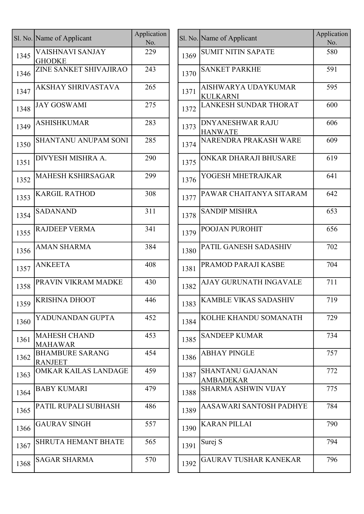|      | Sl. No. Name of Applicant                | Application<br>No. |      | Sl. No. Name of Applicant                   |
|------|------------------------------------------|--------------------|------|---------------------------------------------|
| 1345 | <b>VAISHNAVI SANJAY</b><br><b>GHODKE</b> | 229                | 1369 | <b>SUMIT NITIN SAPATE</b>                   |
| 1346 | ZINE SANKET SHIVAJIRAO                   | 243                | 1370 | <b>SANKET PARKHE</b>                        |
| 1347 | <b>AKSHAY SHRIVASTAVA</b>                | 265                | 1371 | AISHWARYA UDAYKUMAR<br><b>KULKARNI</b>      |
| 1348 | <b>JAY GOSWAMI</b>                       | 275                | 1372 | <b>LANKESH SUNDAR THORAT</b>                |
| 1349 | <b>ASHISHKUMAR</b>                       | 283                | 1373 | <b>DNYANESHWAR RAJU</b><br><b>HANWATE</b>   |
| 1350 | <b>SHANTANU ANUPAM SONI</b>              | 285                | 1374 | NARENDRA PRAKASH WARI                       |
| 1351 | DIVYESH MISHRA A.                        | 290                | 1375 | ONKAR DHARAJI BHUSARE                       |
| 1352 | <b>MAHESH KSHIRSAGAR</b>                 | 299                | 1376 | YOGESH MHETRAJKAR                           |
| 1353 | <b>KARGIL RATHOD</b>                     | 308                | 1377 | PAWAR CHAITANYA SITARA                      |
| 1354 | <b>SADANAND</b>                          | 311                | 1378 | <b>SANDIP MISHRA</b>                        |
| 1355 | <b>RAJDEEP VERMA</b>                     | 341                | 1379 | POOJAN PUROHIT                              |
| 1356 | <b>AMAN SHARMA</b>                       | 384                | 1380 | PATIL GANESH SADASHIV                       |
| 1357 | <b>ANKEETA</b>                           | 408                | 1381 | PRAMOD PARAJI KASBE                         |
| 1358 | PRAVIN VIKRAM MADKE                      | 430                | 1382 | AJAY GURUNATH INGAVAL                       |
| 1359 | <b>KRISHNA DHOOT</b>                     | 446                | 1383 | <b>KAMBLE VIKAS SADASHIV</b>                |
| 1360 | YADUNANDAN GUPTA                         | 452                | 1384 | KOLHE KHANDU SOMANAT                        |
| 1361 | <b>MAHESH CHAND</b><br><b>MAHAWAR</b>    | 453                | 1385 | <b>SANDEEP KUMAR</b>                        |
| 1362 | <b>BHAMBURE SARANG</b><br><b>RANJEET</b> | 454                | 1386 | <b>ABHAY PINGLE</b>                         |
| 1363 | <b>OMKAR KAILAS LANDAGE</b>              | 459                | 1387 | <b>SHANTANU GAJANAN</b><br><b>AMBADEKAR</b> |
| 1364 | <b>BABY KUMARI</b>                       | 479                | 1388 | <b>SHARMA ASHWIN VIJAY</b>                  |
| 1365 | PATIL RUPALI SUBHASH                     | 486                | 1389 | AASAWARI SANTOSH PADH                       |
| 1366 | <b>GAURAV SINGH</b>                      | 557                | 1390 | <b>KARAN PILLAI</b>                         |
| 1367 | <b>SHRUTA HEMANT BHATE</b>               | 565                | 1391 | Surej S                                     |
| 1368 | <b>SAGAR SHARMA</b>                      | 570                | 1392 | <b>GAURAV TUSHAR KANEKAI</b>                |
|      |                                          |                    |      |                                             |

|      | I. No. Name of Applicant                 | Application<br>No. |      | Sl. No. Name of Applicant                   | Application<br>No. |
|------|------------------------------------------|--------------------|------|---------------------------------------------|--------------------|
| 1345 | <b>VAISHNAVI SANJAY</b><br><b>GHODKE</b> | 229                | 1369 | <b>SUMIT NITIN SAPATE</b>                   | 580                |
| 1346 | ZINE SANKET SHIVAJIRAO                   | 243                | 1370 | <b>SANKET PARKHE</b>                        | 591                |
| 1347 | <b>AKSHAY SHRIVASTAVA</b>                | 265                | 1371 | AISHWARYA UDAYKUMAR<br><b>KULKARNI</b>      | 595                |
| 1348 | <b>JAY GOSWAMI</b>                       | 275                | 1372 | LANKESH SUNDAR THORAT                       | 600                |
| 1349 | <b>ASHISHKUMAR</b>                       | 283                | 1373 | <b>DNYANESHWAR RAJU</b><br><b>HANWATE</b>   | 606                |
| 1350 | <b>SHANTANU ANUPAM SONI</b>              | 285                | 1374 | NARENDRA PRAKASH WARE                       | 609                |
| 1351 | DIVYESH MISHRA A.                        | 290                | 1375 | ONKAR DHARAJI BHUSARE                       | 619                |
| 1352 | <b>MAHESH KSHIRSAGAR</b>                 | 299                | 1376 | YOGESH MHETRAJKAR                           | 641                |
| 1353 | <b>KARGIL RATHOD</b>                     | 308                | 1377 | PAWAR CHAITANYA SITARAM                     | 642                |
| 1354 | <b>SADANAND</b>                          | 311                | 1378 | <b>SANDIP MISHRA</b>                        | 653                |
| 1355 | <b>RAJDEEP VERMA</b>                     | 341                | 1379 | <b>POOJAN PUROHIT</b>                       | 656                |
| 1356 | <b>AMAN SHARMA</b>                       | 384                | 1380 | PATIL GANESH SADASHIV                       | 702                |
| 1357 | <b>ANKEETA</b>                           | 408                | 1381 | PRAMOD PARAJI KASBE                         | 704                |
| 1358 | PRAVIN VIKRAM MADKE                      | 430                | 1382 | AJAY GURUNATH INGAVALE                      | 711                |
| 1359 | <b>KRISHNA DHOOT</b>                     | 446                | 1383 | <b>KAMBLE VIKAS SADASHIV</b>                | 719                |
| 1360 | YADUNANDAN GUPTA                         | 452                | 1384 | KOLHE KHANDU SOMANATH                       | 729                |
| 1361 | <b>MAHESH CHAND</b><br><b>MAHAWAR</b>    | 453                | 1385 | <b>SANDEEP KUMAR</b>                        | 734                |
| 1362 | <b>BHAMBURE SARANG</b><br><b>RANJEET</b> | 454                | 1386 | <b>ABHAY PINGLE</b>                         | 757                |
| 1363 | <b>OMKAR KAILAS LANDAGE</b>              | 459                | 1387 | <b>SHANTANU GAJANAN</b><br><b>AMBADEKAR</b> | 772                |
| 1364 | <b>BABY KUMARI</b>                       | 479                | 1388 | <b>SHARMA ASHWIN VIJAY</b>                  | 775                |
| 1365 | PATIL RUPALI SUBHASH                     | 486                | 1389 | AASAWARI SANTOSH PADHYE                     | 784                |
| 1366 | <b>GAURAV SINGH</b>                      | 557                | 1390 | <b>KARAN PILLAI</b>                         | 790                |
| 1367 | <b>SHRUTA HEMANT BHATE</b>               | 565                | 1391 | Surej S                                     | 794                |
| 1368 | <b>SAGAR SHARMA</b>                      | 570                | 1392 | <b>GAURAV TUSHAR KANEKAR</b>                | 796                |
|      |                                          |                    |      |                                             |                    |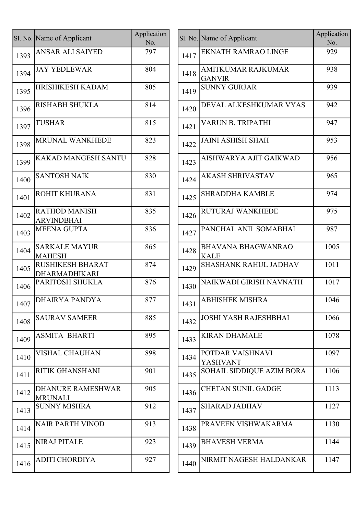|      | Sl. No. Name of Applicant                  | Application<br>No. |      | Sl. No. Name of Applicant                |
|------|--------------------------------------------|--------------------|------|------------------------------------------|
| 1393 | <b>ANSAR ALI SAIYED</b>                    | 797                | 1417 | <b>EKNATH RAMRAO LINGE</b>               |
| 1394 | <b>JAY YEDLEWAR</b>                        | 804                | 1418 | AMITKUMAR RAJKUMAR<br><b>GANVIR</b>      |
| 1395 | HRISHIKESH KADAM                           | 805                | 1419 | <b>SUNNY GURJAR</b>                      |
| 1396 | <b>RISHABH SHUKLA</b>                      | 814                | 1420 | DEVAL ALKESHKUMAR V                      |
| 1397 | <b>TUSHAR</b>                              | 815                | 1421 | VARUN B. TRIPATHI                        |
| 1398 | <b>MRUNAL WANKHEDE</b>                     | 823                | 1422 | <b>JAINI ASHISH SHAH</b>                 |
| 1399 | KAKAD MANGESH SANTU                        | 828                | 1423 | AISHWARYA AJIT GAIKWA                    |
| 1400 | <b>SANTOSH NAIK</b>                        | 830                | 1424 | <b>AKASH SHRIVASTAV</b>                  |
| 1401 | ROHIT KHURANA                              | 831                | 1425 | <b>SHRADDHA KAMBLE</b>                   |
| 1402 | <b>RATHOD MANISH</b><br><b>ARVINDBHAI</b>  | 835                | 1426 | RUTURAJ WANKHEDE                         |
| 1403 | <b>MEENA GUPTA</b>                         | 836                | 1427 | PANCHAL ANIL SOMABHA                     |
| 1404 | <b>SARKALE MAYUR</b><br><b>MAHESH</b>      | 865                | 1428 | <b>BHAVANA BHAGWANRAC</b><br><b>KALE</b> |
| 1405 | <b>RUSHIKESH BHARAT</b><br>DHARMADHIKARI   | 874                | 1429 | <b>SHASHANK RAHUL JADHA</b>              |
| 1406 | PARITOSH SHUKLA                            | 876                | 1430 | NAIKWADI GIRISH NAVNA                    |
| 1407 | <b>DHAIRYA PANDYA</b>                      | 877                | 1431 | <b>ABHISHEK MISHRA</b>                   |
| 1408 | <b>SAURAV SAMEER</b>                       | 885                | 1432 | <b>JOSHI YASH RAJESHBHAI</b>             |
| 1409 | <b>ASMITA BHARTI</b>                       | 895                | 1433 | <b>KIRAN DHAMALE</b>                     |
| 1410 | VISHAL CHAUHAN                             | 898                | 1434 | POTDAR VAISHNAVI<br><b>YASHVANT</b>      |
| 1411 | <b>RITIK GHANSHANI</b>                     | 901                | 1435 | <b>SOHAIL SIDDIQUE AZIM B</b>            |
| 1412 | <b>DHANURE RAMESHWAR</b><br><b>MRUNALI</b> | 905                | 1436 | CHETAN SUNIL GADGE                       |
| 1413 | <b>SUNNY MISHRA</b>                        | 912                | 1437 | <b>SHARAD JADHAV</b>                     |
| 1414 | <b>NAIR PARTH VINOD</b>                    | 913                | 1438 | PRAVEEN VISHWAKARMA                      |
| 1415 | <b>NIRAJ PITALE</b>                        | 923                | 1439 | <b>BHAVESH VERMA</b>                     |
| 1416 | <b>ADITI CHORDIYA</b>                      | 927                | 1440 | NIRMIT NAGESH HALDAN                     |
|      |                                            |                    |      |                                          |

|      | I. No. Name of Applicant                   | Application<br>No. |      | Sl. No. Name of Applicant                  | Application<br>No. |
|------|--------------------------------------------|--------------------|------|--------------------------------------------|--------------------|
| 1393 | <b>ANSAR ALI SAIYED</b>                    | 797                | 1417 | <b>EKNATH RAMRAO LINGE</b>                 | 929                |
| 1394 | <b>JAY YEDLEWAR</b>                        | 804                | 1418 | <b>AMITKUMAR RAJKUMAR</b><br><b>GANVIR</b> | 938                |
| 1395 | <b>HRISHIKESH KADAM</b>                    | 805                | 1419 | <b>SUNNY GURJAR</b>                        | 939                |
| 1396 | <b>RISHABH SHUKLA</b>                      | 814                | 1420 | DEVAL ALKESHKUMAR VYAS                     | 942                |
| 1397 | <b>TUSHAR</b>                              | 815                | 1421 | VARUN B. TRIPATHI                          | 947                |
| 1398 | MRUNAL WANKHEDE                            | 823                | 1422 | <b>JAINI ASHISH SHAH</b>                   | 953                |
| 1399 | <b>KAKAD MANGESH SANTU</b>                 | 828                | 1423 | AISHWARYA AJIT GAIKWAD                     | 956                |
| 1400 | <b>SANTOSH NAIK</b>                        | 830                | 1424 | <b>AKASH SHRIVASTAV</b>                    | 965                |
| 1401 | ROHIT KHURANA                              | 831                | 1425 | <b>SHRADDHA KAMBLE</b>                     | 974                |
| 1402 | <b>RATHOD MANISH</b><br><b>ARVINDBHAI</b>  | 835                | 1426 | RUTURAJ WANKHEDE                           | 975                |
| 1403 | <b>MEENA GUPTA</b>                         | 836                | 1427 | PANCHAL ANIL SOMABHAI                      | 987                |
| 1404 | <b>SARKALE MAYUR</b><br><b>MAHESH</b>      | 865                | 1428 | <b>BHAVANA BHAGWANRAO</b><br><b>KALE</b>   | 1005               |
| 1405 | <b>RUSHIKESH BHARAT</b><br>DHARMADHIKARI   | 874                | 1429 | SHASHANK RAHUL JADHAV                      | 1011               |
| 1406 | PARITOSH SHUKLA                            | 876                | 1430 | NAIKWADI GIRISH NAVNATH                    | 1017               |
| 1407 | DHAIRYA PANDYA                             | 877                | 1431 | <b>ABHISHEK MISHRA</b>                     | 1046               |
| 1408 | <b>SAURAV SAMEER</b>                       | 885                | 1432 | <b>JOSHI YASH RAJESHBHAI</b>               | 1066               |
| 1409 | <b>ASMITA BHARTI</b>                       | 895                | 1433 | <b>KIRAN DHAMALE</b>                       | 1078               |
| 1410 | <b>VISHAL CHAUHAN</b>                      | 898                | 1434 | POTDAR VAISHNAVI<br><b>YASHVANT</b>        | 1097               |
| 1411 | <b>RITIK GHANSHANI</b>                     | 901                | 1435 | SOHAIL SIDDIQUE AZIM BORA                  | 1106               |
| 1412 | <b>DHANURE RAMESHWAR</b><br><b>MRUNALI</b> | 905                | 1436 | <b>CHETAN SUNIL GADGE</b>                  | 1113               |
| 1413 | <b>SUNNY MISHRA</b>                        | 912                | 1437 | <b>SHARAD JADHAV</b>                       | 1127               |
| 1414 | <b>NAIR PARTH VINOD</b>                    | 913                | 1438 | PRAVEEN VISHWAKARMA                        | 1130               |
| 1415 | <b>NIRAJ PITALE</b>                        | 923                | 1439 | <b>BHAVESH VERMA</b>                       | 1144               |
| 1416 | <b>ADITI CHORDIYA</b>                      | 927                | 1440 | NIRMIT NAGESH HALDANKAR                    | 1147               |
|      |                                            |                    |      |                                            |                    |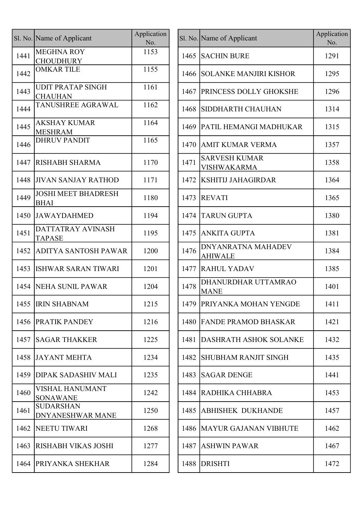|      | Sl. No. Name of Applicant                   | Application<br>No. |      | Sl. No. Name of Applicant                   |
|------|---------------------------------------------|--------------------|------|---------------------------------------------|
| 1441 | <b>MEGHNA ROY</b><br><b>CHOUDHURY</b>       | 1153               | 1465 | <b>SACHIN BURE</b>                          |
| 1442 | <b>OMKAR TILE</b>                           | 1155               | 1466 | <b>SOLANKE MANJIRI KISHOR</b>               |
| 1443 | <b>UDIT PRATAP SINGH</b><br><b>CHAUHAN</b>  | 1161               |      | 1467 PRINCESS DOLLY GHOKSHE                 |
| 1444 | TANUSHREE AGRAWAL                           | 1162               | 1468 | SIDDHARTH CHAUHAN                           |
| 1445 | <b>AKSHAY KUMAR</b><br><b>MESHRAM</b>       | 1164               | 1469 | PATIL HEMANGI MADHUKA                       |
| 1446 | <b>DHRUV PANDIT</b>                         | 1165               | 1470 | <b>AMIT KUMAR VERMA</b>                     |
| 1447 | <b>RISHABH SHARMA</b>                       | 1170               | 1471 | <b>SARVESH KUMAR</b><br><b>VISHWAKARMA</b>  |
| 1448 | <b>JIVAN SANJAY RATHOD</b>                  | 1171               | 1472 | <b>KSHITIJ JAHAGIRDAR</b>                   |
| 1449 | <b>JOSHI MEET BHADRESH</b><br><b>BHAI</b>   | 1180               | 1473 | <b>REVATI</b>                               |
| 1450 | <b>JAWAYDAHMED</b>                          | 1194               | 1474 | <b>TARUN GUPTA</b>                          |
| 1451 | <b>DATTATRAY AVINASH</b><br><b>TAPASE</b>   | 1195               | 1475 | <b>ANKITA GUPTA</b>                         |
| 1452 | ADITYA SANTOSH PAWAR                        | 1200               | 1476 | <b>DNYANRATNA MAHADEV</b><br><b>AHIWALE</b> |
| 1453 | <b>ISHWAR SARAN TIWARI</b>                  | 1201               | 1477 | <b>RAHUL YADAV</b>                          |
| 1454 | NEHA SUNIL PAWAR                            | 1204               | 1478 | DHANURDHAR UTTAMRAO<br><b>MANE</b>          |
|      | 1455 <b>IRIN SHABNAM</b>                    | 1215               |      | 1479 PRIYANKA MOHAN YENGDE                  |
| 1456 | <b>PRATIK PANDEY</b>                        | 1216               |      | 1480 [FANDE PRAMOD BHASKAR]                 |
| 1457 | <b>SAGAR THAKKER</b>                        | 1225               | 1481 | <b>DASHRATH ASHOK SOLANK</b>                |
| 1458 | <b>JAYANT MEHTA</b>                         | 1234               | 1482 | <b>SHUBHAM RANJIT SINGH</b>                 |
| 1459 | <b>DIPAK SADASHIV MALI</b>                  | 1235               | 1483 | <b>SAGAR DENGE</b>                          |
| 1460 | <b>VISHAL HANUMANT</b><br><b>SONAWANE</b>   | 1242               | 1484 | RADHIKA CHHABRA                             |
| 1461 | <b>SUDARSHAN</b><br><b>DNYANESHWAR MANE</b> | 1250               | 1485 | <b>ABHISHEK DUKHANDE</b>                    |
| 1462 | <b>NEETU TIWARI</b>                         | 1268               |      | 1486   MAYUR GAJANAN VIBHUTE                |
| 1463 | <b>RISHABH VIKAS JOSHI</b>                  | 1277               | 1487 | <b>ASHWIN PAWAR</b>                         |
| 1464 | <b>PRIYANKA SHEKHAR</b>                     | 1284               | 1488 | <b>DRISHTI</b>                              |
|      |                                             |                    |      |                                             |

|      | Sl. No. Name of Applicant                   | Application<br>No. |      | Sl. No. Name of Applicant                   | Application<br>No. |
|------|---------------------------------------------|--------------------|------|---------------------------------------------|--------------------|
| 1441 | <b>MEGHNA ROY</b><br><b>CHOUDHURY</b>       | 1153               | 1465 | <b>SACHIN BURE</b>                          | 1291               |
| 1442 | <b>OMKAR TILE</b>                           | 1155               | 1466 | <b>SOLANKE MANJIRI KISHOR</b>               | 1295               |
| 1443 | <b>UDIT PRATAP SINGH</b><br><b>CHAUHAN</b>  | 1161               | 1467 | <b>PRINCESS DOLLY GHOKSHE</b>               | 1296               |
| 1444 | TANUSHREE AGRAWAL                           | 1162               | 1468 | <b>SIDDHARTH CHAUHAN</b>                    | 1314               |
| 1445 | <b>AKSHAY KUMAR</b><br><b>MESHRAM</b>       | 1164               | 1469 | PATIL HEMANGI MADHUKAR                      | 1315               |
| 1446 | <b>DHRUV PANDIT</b>                         | 1165               | 1470 | <b>AMIT KUMAR VERMA</b>                     | 1357               |
| 1447 | <b>RISHABH SHARMA</b>                       | 1170               | 1471 | <b>SARVESH KUMAR</b><br>VISHWAKARMA         | 1358               |
| 1448 | <b>JIVAN SANJAY RATHOD</b>                  | 1171               | 1472 | <b>KSHITIJ JAHAGIRDAR</b>                   | 1364               |
| 1449 | <b>JOSHI MEET BHADRESH</b><br><b>BHAI</b>   | 1180               | 1473 | <b>REVATI</b>                               | 1365               |
| 1450 | <b>JAWAYDAHMED</b>                          | 1194               | 1474 | <b>TARUN GUPTA</b>                          | 1380               |
| 1451 | DATTATRAY AVINASH<br><b>TAPASE</b>          | 1195               | 1475 | <b>ANKITA GUPTA</b>                         | 1381               |
| 1452 | <b>ADITYA SANTOSH PAWAR</b>                 | 1200               | 1476 | <b>DNYANRATNA MAHADEV</b><br><b>AHIWALE</b> | 1384               |
| 1453 | <b>ISHWAR SARAN TIWARI</b>                  | 1201               | 1477 | <b>RAHUL YADAV</b>                          | 1385               |
| 1454 | NEHA SUNIL PAWAR                            | 1204               | 1478 | DHANURDHAR UTTAMRAO<br><b>MANE</b>          | 1401               |
|      | 1455 IRIN SHABNAM                           | 1215               |      | 1479 PRIYANKA MOHAN YENGDE                  | 1411               |
|      | <b>1456 PRATIK PANDEY</b>                   | 1216               | 1480 | <b>FANDE PRAMOD BHASKAR</b>                 | 1421               |
| 1457 | <b>SAGAR THAKKER</b>                        | 1225               | 1481 | <b>DASHRATH ASHOK SOLANKE</b>               | 1432               |
| 1458 | <b>JAYANT MEHTA</b>                         | 1234               | 1482 | <b>SHUBHAM RANJIT SINGH</b>                 | 1435               |
| 1459 | <b>DIPAK SADASHIV MALI</b>                  | 1235               | 1483 | <b>SAGAR DENGE</b>                          | 1441               |
| 1460 | <b>VISHAL HANUMANT</b><br><b>SONAWANE</b>   | 1242               | 1484 | RADHIKA CHHABRA                             | 1453               |
| 1461 | <b>SUDARSHAN</b><br><b>DNYANESHWAR MANE</b> | 1250               | 1485 | <b>ABHISHEK DUKHANDE</b>                    | 1457               |
| 1462 | NEETU TIWARI                                | 1268               |      | 1486 MAYUR GAJANAN VIBHUTE                  | 1462               |
| 1463 | RISHABH VIKAS JOSHI                         | 1277               | 1487 | ASHWIN PAWAR                                | 1467               |
| 1464 | <b>PRIYANKA SHEKHAR</b>                     | 1284               | 1488 | DRISHTI                                     | 1472               |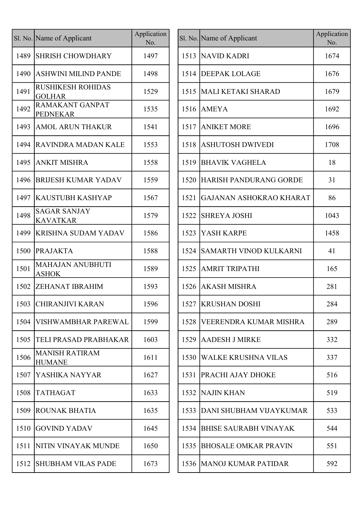|      | Sl. No. Name of Applicant                 | Application<br>No. |
|------|-------------------------------------------|--------------------|
| 1489 | <b>SHRISH CHOWDHARY</b>                   | 1497               |
| 1490 | <b>ASHWINI MILIND PANDE</b>               | 1498               |
| 1491 | <b>RUSHIKESH ROHIDAS</b><br><b>GOLHAR</b> | 1529               |
| 1492 | <b>RAMAKANT GANPAT</b><br><b>PEDNEKAR</b> | 1535               |
| 1493 | <b>AMOL ARUN THAKUR</b>                   | 1541               |
| 1494 | <b>RAVINDRA MADAN KALE</b>                | 1553               |
| 1495 | <b>ANKIT MISHRA</b>                       | 1558               |
| 1496 | <b>BRIJESH KUMAR YADAV</b>                | 1559               |
| 1497 | <b>KAUSTUBH KASHYAP</b>                   | 1567               |
| 1498 | <b>SAGAR SANJAY</b><br>KAVATKAR           | 1579               |
| 1499 | <b>KRISHNA SUDAM YADAV</b>                | 1586               |
| 1500 | <b>PRAJAKTA</b>                           | 1588               |
| 1501 | <b>MAHAJAN ANUBHUTI</b><br><b>ASHOK</b>   | 1589               |
| 1502 | <b>ZEHANAT IBRAHIM</b>                    | 1593               |
| 1503 | <b>CHIRANJIVI KARAN</b>                   | 1596               |
| 1504 | <b>VISHWAMBHAR PAREWAL</b>                | 1599               |
| 1505 | TELI PRASAD PRABHAKAR                     | 1603               |
| 1506 | <b>MANISH RATIRAM</b><br><b>HUMANE</b>    | 1611               |
| 1507 | YASHIKA NAYYAR                            | 1627               |
| 1508 | <b>TATHAGAT</b>                           | 1633               |
| 1509 | <b>ROUNAK BHATIA</b>                      | 1635               |
| 1510 | <b>GOVIND YADAV</b>                       | 1645               |
| 1511 | NITIN VINAYAK MUNDE                       | 1650               |
| 1512 | <b>SHUBHAM VILAS PADE</b>                 | 1673               |

|      | I. No. Name of Applicant                  | Application<br>No. |      | Sl. No. Name of Applicant      | Application<br>No. |
|------|-------------------------------------------|--------------------|------|--------------------------------|--------------------|
| 1489 | <b>SHRISH CHOWDHARY</b>                   | 1497               | 1513 | NAVID KADRI                    | 1674               |
| 1490 | <b>ASHWINI MILIND PANDE</b>               | 1498               | 1514 | <b>DEEPAK LOLAGE</b>           | 1676               |
| 1491 | <b>RUSHIKESH ROHIDAS</b><br><b>GOLHAR</b> | 1529               | 1515 | MALI KETAKI SHARAD             | 1679               |
| 1492 | <b>RAMAKANT GANPAT</b><br><b>PEDNEKAR</b> | 1535               | 1516 | <b>AMEYA</b>                   | 1692               |
| 1493 | <b>AMOL ARUN THAKUR</b>                   | 1541               | 1517 | <b>ANIKET MORE</b>             | 1696               |
| 1494 | <b>RAVINDRA MADAN KALE</b>                | 1553               | 1518 | ASHUTOSH DWIVEDI               | 1708               |
| 1495 | <b>ANKIT MISHRA</b>                       | 1558               | 1519 | <b>BHAVIK VAGHELA</b>          | 18                 |
| 1496 | <b>BRIJESH KUMAR YADAV</b>                | 1559               | 1520 | <b>HARISH PANDURANG GORDE</b>  | 31                 |
| 1497 | <b>KAUSTUBH KASHYAP</b>                   | 1567               | 1521 | <b>GAJANAN ASHOKRAO KHARAT</b> | 86                 |
| 1498 | <b>SAGAR SANJAY</b><br><b>KAVATKAR</b>    | 1579               | 1522 | <b>SHREYA JOSHI</b>            | 1043               |
| 1499 | <b>KRISHNA SUDAM YADAV</b>                | 1586               | 1523 | YASH KARPE                     | 1458               |
| 1500 | <b>PRAJAKTA</b>                           | 1588               | 1524 | SAMARTH VINOD KULKARNI         | 41                 |
| 1501 | <b>MAHAJAN ANUBHUTI</b><br><b>ASHOK</b>   | 1589               | 1525 | <b>AMRIT TRIPATHI</b>          | 165                |
| 1502 | <b>ZEHANAT IBRAHIM</b>                    | 1593               | 1526 | <b>AKASH MISHRA</b>            | 281                |
|      | 1503 CHIRANJIVI KARAN                     | 1596               |      | 1527 KRUSHAN DOSHI             | 284                |
| 1504 | <b> VISHWAMBHAR PAREWAL</b>               | 1599               | 1528 | VEERENDRA KUMAR MISHRA         | 289                |
| 1505 | <b>TELI PRASAD PRABHAKAR</b>              | 1603               | 1529 | AADESH J MIRKE                 | 332                |
| 1506 | <b>MANISH RATIRAM</b><br><b>HUMANE</b>    | 1611               | 1530 | <b>WALKE KRUSHNA VILAS</b>     | 337                |
| 1507 | <b>YASHIKA NAYYAR</b>                     | 1627               | 1531 | PRACHI AJAY DHOKE              | 516                |
| 1508 | <b>TATHAGAT</b>                           | 1633               | 1532 | NAJIN KHAN                     | 519                |
| 1509 | <b>ROUNAK BHATIA</b>                      | 1635               | 1533 | DANI SHUBHAM VIJAYKUMAR        | 533                |
| 1510 | GOVIND YADAV                              | 1645               | 1534 | <b>BHISE SAURABH VINAYAK</b>   | 544                |
| 1511 | <b>NITIN VINAYAK MUNDE</b>                | 1650               | 1535 | <b>BHOSALE OMKAR PRAVIN</b>    | 551                |
| 1512 | <b>SHUBHAM VILAS PADE</b>                 | 1673               |      | 1536 MANOJ KUMAR PATIDAR       | 592                |
|      |                                           |                    |      |                                |                    |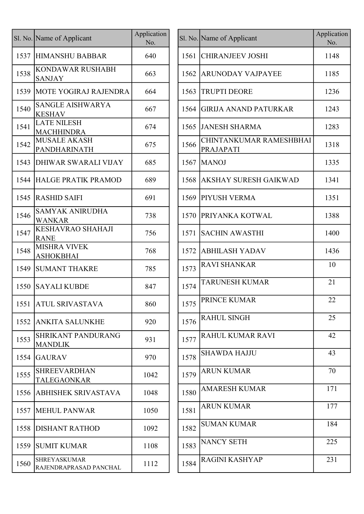|      | Sl. No. Name of Applicant                     | Application<br>No. |      | Sl. No. Name of Applicant            |
|------|-----------------------------------------------|--------------------|------|--------------------------------------|
| 1537 | <b>HIMANSHU BABBAR</b>                        | 640                | 1561 | <b>CHIRANJEEV JOSHI</b>              |
| 1538 | <b>KONDAWAR RUSHABH</b><br><b>SANJAY</b>      | 663                | 1562 | <b>ARUNODAY VAJPAYEE</b>             |
| 1539 | <b>MOTE YOGIRAJ RAJENDRA</b>                  | 664                | 1563 | <b>TRUPTI DEORE</b>                  |
| 1540 | SANGLE AISHWARYA<br><b>KESHAV</b>             | 667                | 1564 | <b>GIRIJA ANAND PATURKAR</b>         |
| 1541 | <b>LATE NILESH</b><br><b>MACHHINDRA</b>       | 674                | 1565 | <b>JANESH SHARMA</b>                 |
| 1542 | <b>MUSALE AKASH</b><br>PANDHARINATH           | 675                | 1566 | CHINTANKUMAR RAMESHBHAI<br>PRAJAPATI |
| 1543 | <b>DHIWAR SWARALI VIJAY</b>                   | 685                | 1567 | <b>MANOJ</b>                         |
|      | <b>1544 HALGE PRATIK PRAMOD</b>               | 689                | 1568 | <b>AKSHAY SURESH GAIKWAD</b>         |
| 1545 | <b>RASHID SAIFI</b>                           | 691                | 1569 | PIYUSH VERMA                         |
| 1546 | <b>SAMYAK ANIRUDHA</b><br><b>WANKAR</b>       | 738                | 1570 | <b>PRIYANKA KOTWAL</b>               |
| 1547 | KESHAVRAO SHAHAJI<br><b>RANE</b>              | 756                | 1571 | <b>SACHIN AWASTHI</b>                |
| 1548 | <b>MISHRA VIVEK</b><br><b>ASHOKBHAI</b>       | 768                | 1572 | <b>ABHILASH YADAV</b>                |
| 1549 | <b>SUMANT THAKRE</b>                          | 785                | 1573 | <b>RAVI SHANKAR</b>                  |
| 1550 | <b>SAYALI KUBDE</b>                           | 847                | 1574 | <b>TARUNESH KUMAR</b>                |
|      | 1551 ATUL SRIVASTAVA                          | 860                | 1575 | <b>PRINCE KUMAR</b>                  |
| 1552 | <b>ANKITA SALUNKHE</b>                        | 920                | 1576 | <b>RAHUL SINGH</b>                   |
| 1553 | <b>SHRIKANT PANDURANG</b><br><b>MANDLIK</b>   | 931                | 1577 | <b>RAHUL KUMAR RAVI</b>              |
| 1554 | <b>GAURAV</b>                                 | 970                | 1578 | <b>SHAWDA HAJJU</b>                  |
| 1555 | <b>SHREEVARDHAN</b><br><b>TALEGAONKAR</b>     | 1042               | 1579 | <b>ARUN KUMAR</b>                    |
| 1556 | <b>ABHISHEK SRIVASTAVA</b>                    | 1048               | 1580 | <b>AMARESH KUMAR</b>                 |
| 1557 | <b>MEHUL PANWAR</b>                           | 1050               | 1581 | <b>ARUN KUMAR</b>                    |
| 1558 | <b>DISHANT RATHOD</b>                         | 1092               | 1582 | <b>SUMAN KUMAR</b>                   |
| 1559 | <b>SUMIT KUMAR</b>                            | 1108               | 1583 | <b>NANCY SETH</b>                    |
| 1560 | <b>SHREYASKUMAR</b><br>RAJENDRAPRASAD PANCHAL | 1112               | 1584 | <b>RAGINI KASHYAP</b>                |

|      | I. No. Name of Applicant                      | Application<br>No. |      | Sl. No. Name of Applicant                   | Application<br>No. |
|------|-----------------------------------------------|--------------------|------|---------------------------------------------|--------------------|
| 1537 | <b>HIMANSHU BABBAR</b>                        | 640                | 1561 | <b>CHIRANJEEV JOSHI</b>                     | 1148               |
| 1538 | <b>KONDAWAR RUSHABH</b><br><b>SANJAY</b>      | 663                | 1562 | <b>ARUNODAY VAJPAYEE</b>                    | 1185               |
| 1539 | MOTE YOGIRAJ RAJENDRA                         | 664                | 1563 | <b>TRUPTI DEORE</b>                         | 1236               |
| 1540 | <b>SANGLE AISHWARYA</b><br><b>KESHAV</b>      | 667                | 1564 | <b>GIRIJA ANAND PATURKAR</b>                | 1243               |
| 1541 | <b>LATE NILESH</b><br><b>MACHHINDRA</b>       | 674                | 1565 | <b>JANESH SHARMA</b>                        | 1283               |
| 1542 | <b>MUSALE AKASH</b><br>PANDHARINATH           | 675                | 1566 | CHINTANKUMAR RAMESHBHAI<br><b>PRAJAPATI</b> | 1318               |
| 1543 | <b>DHIWAR SWARALI VIJAY</b>                   | 685                | 1567 | <b>MANOJ</b>                                | 1335               |
| 1544 | HALGE PRATIK PRAMOD                           | 689                | 1568 | AKSHAY SURESH GAIKWAD                       | 1341               |
|      | 1545 RASHID SAIFI                             | 691                | 1569 | <b>PIYUSH VERMA</b>                         | 1351               |
| 1546 | <b>SAMYAK ANIRUDHA</b><br><b>WANKAR</b>       | 738                | 1570 | <b>PRIYANKA KOTWAL</b>                      | 1388               |
| 1547 | <b>KESHAVRAO SHAHAJI</b><br><b>RANE</b>       | 756                | 1571 | <b>SACHIN AWASTHI</b>                       | 1400               |
| 1548 | <b>MISHRA VIVEK</b><br><b>ASHOKBHAI</b>       | 768                | 1572 | <b>ABHILASH YADAV</b>                       | 1436               |
| 1549 | <b>SUMANT THAKRE</b>                          | 785                | 1573 | <b>RAVI SHANKAR</b>                         | 10                 |
| 1550 | <b>SAYALI KUBDE</b>                           | 847                | 1574 | <b>TARUNESH KUMAR</b>                       | 21                 |
|      | 1551   ATUL SRIVASTAVA                        | 860                | 1575 | PRINCE KUMAR                                | 22                 |
| 1552 | <b>ANKITA SALUNKHE</b>                        | 920                | 1576 | <b>RAHUL SINGH</b>                          | 25                 |
| 1553 | <b>SHRIKANT PANDURANG</b><br><b>MANDLIK</b>   | 931                | 1577 | RAHUL KUMAR RAVI                            | 42                 |
| 1554 | <b>GAURAV</b>                                 | 970                | 1578 | <b>SHAWDA HAJJU</b>                         | 43                 |
| 1555 | <b>SHREEVARDHAN</b><br><b>TALEGAONKAR</b>     | 1042               | 1579 | <b>ARUN KUMAR</b>                           | 70                 |
| 1556 | <b>ABHISHEK SRIVASTAVA</b>                    | 1048               | 1580 | <b>AMARESH KUMAR</b>                        | 171                |
| 1557 | <b>MEHUL PANWAR</b>                           | 1050               | 1581 | <b>ARUN KUMAR</b>                           | 177                |
| 1558 | <b>DISHANT RATHOD</b>                         | 1092               | 1582 | <b>SUMAN KUMAR</b>                          | 184                |
| 1559 | <b>SUMIT KUMAR</b>                            | 1108               | 1583 | <b>NANCY SETH</b>                           | 225                |
| 1560 | <b>SHREYASKUMAR</b><br>RAJENDRAPRASAD PANCHAL | 1112               | 1584 | RAGINI KASHYAP                              | 231                |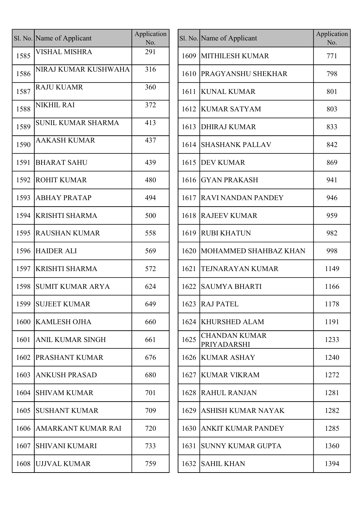|      | Sl. No. Name of Applicant | Application<br>No. |      | Sl. No. Name of Applicant           |
|------|---------------------------|--------------------|------|-------------------------------------|
| 1585 | <b>VISHAL MISHRA</b>      | 291                | 1609 | <b>MITHILESH KUMAR</b>              |
| 1586 | NIRAJ KUMAR KUSHWAHA      | 316                | 1610 | <b>PRAGYANSHU SHEI</b>              |
| 1587 | <b>RAJU KUAMR</b>         | 360                | 1611 | <b>KUNAL KUMAR</b>                  |
| 1588 | <b>NIKHIL RAI</b>         | 372                | 1612 | <b>KUMAR SATYAM</b>                 |
| 1589 | SUNIL KUMAR SHARMA        | 413                | 1613 | <b>DHIRAJ KUMAR</b>                 |
| 1590 | <b>AAKASH KUMAR</b>       | 437                | 1614 | <b>SHASHANK PALLAV</b>              |
| 1591 | <b>BHARAT SAHU</b>        | 439                | 1615 | <b>DEV KUMAR</b>                    |
| 1592 | <b>ROHIT KUMAR</b>        | 480                | 1616 | <b>GYAN PRAKASH</b>                 |
| 1593 | <b>ABHAY PRATAP</b>       | 494                | 1617 | <b>RAVI NANDAN PAN</b>              |
| 1594 | <b>KRISHTI SHARMA</b>     | 500                | 1618 | <b>RAJEEV KUMAR</b>                 |
| 1595 | <b>RAUSHAN KUMAR</b>      | 558                | 1619 | <b>RUBI KHATUN</b>                  |
| 1596 | <b>HAIDER ALI</b>         | 569                | 1620 | <b>MOHAMMED SHAH</b>                |
| 1597 | <b>KRISHTI SHARMA</b>     | 572                | 1621 | <b>TEJNARAYAN KUM</b>               |
| 1598 | <b>SUMIT KUMAR ARYA</b>   | 624                | 1622 | <b>SAUMYA BHARTI</b>                |
| 1599 | <b>SUJEET KUMAR</b>       | 649                | 1623 | <b>RAJ PATEL</b>                    |
| 1600 | <b>KAMLESH OJHA</b>       | 660                | 1624 | <b>KHURSHED ALAM</b>                |
| 1601 | <b>ANIL KUMAR SINGH</b>   | 661                | 1625 | <b>CHANDAN KUMAR</b><br>PRIYADARSHI |
| 1602 | PRASHANT KUMAR            | 676                | 1626 | <b>KUMAR ASHAY</b>                  |
| 1603 | <b>ANKUSH PRASAD</b>      | 680                | 1627 | <b>KUMAR VIKRAM</b>                 |
| 1604 | <b>SHIVAM KUMAR</b>       | 701                | 1628 | <b>RAHUL RANJAN</b>                 |
| 1605 | <b>SUSHANT KUMAR</b>      | 709                | 1629 | <b>ASHISH KUMAR NA</b>              |
| 1606 | AMARKANT KUMAR RAI        | 720                | 1630 | <b>ANKIT KUMAR PAN</b>              |
| 1607 | <b>SHIVANI KUMARI</b>     | 733                | 1631 | <b>SUNNY KUMAR GUI</b>              |
| 1608 | UJJVAL KUMAR              | 759                | 1632 | <b>SAHIL KHAN</b>                   |
|      |                           |                    |      |                                     |

|      | I. No. Name of Applicant  | Application<br>No. |      | Sl. No. Name of Applicant           | Application<br>No. |
|------|---------------------------|--------------------|------|-------------------------------------|--------------------|
| 1585 | <b>VISHAL MISHRA</b>      | 291                |      | 1609 MITHILESH KUMAR                | 771                |
| 1586 | NIRAJ KUMAR KUSHWAHA      | 316                | 1610 | <b>PRAGYANSHU SHEKHAR</b>           | 798                |
| 1587 | <b>RAJU KUAMR</b>         | 360                | 1611 | <b>KUNAL KUMAR</b>                  | 801                |
| 1588 | <b>NIKHIL RAI</b>         | 372                | 1612 | <b>KUMAR SATYAM</b>                 | 803                |
| 1589 | <b>SUNIL KUMAR SHARMA</b> | 413                | 1613 | <b>DHIRAJ KUMAR</b>                 | 833                |
| 1590 | <b>AAKASH KUMAR</b>       | 437                | 1614 | <b>SHASHANK PALLAV</b>              | 842                |
| 1591 | <b>BHARAT SAHU</b>        | 439                | 1615 | <b>DEV KUMAR</b>                    | 869                |
| 1592 | <b>ROHIT KUMAR</b>        | 480                |      | 1616 GYAN PRAKASH                   | 941                |
| 1593 | <b>ABHAY PRATAP</b>       | 494                | 1617 | <b>RAVI NANDAN PANDEY</b>           | 946                |
| 1594 | <b>KRISHTI SHARMA</b>     | 500                |      | 1618 RAJEEV KUMAR                   | 959                |
| 1595 | <b>RAUSHAN KUMAR</b>      | 558                |      | 1619 RUBI KHATUN                    | 982                |
| 1596 | <b>HAIDER ALI</b>         | 569                |      | 1620   MOHAMMED SHAHBAZ KHAN        | 998                |
| 1597 | <b>KRISHTI SHARMA</b>     | 572                | 1621 | <b>TEJNARAYAN KUMAR</b>             | 1149               |
| 1598 | <b>SUMIT KUMAR ARYA</b>   | 624                | 1622 | SAUMYA BHARTI                       | 1166               |
|      | 1599 SUJEET KUMAR         | 649                |      | 1623 RAJ PATEL                      | 1178               |
| 1600 | <b>KAMLESH OJHA</b>       | 660                | 1624 | <b>KHURSHED ALAM</b>                | 1191               |
| 1601 | <b>ANIL KUMAR SINGH</b>   | 661                | 1625 | <b>CHANDAN KUMAR</b><br>PRIYADARSHI | 1233               |
| 1602 | <b>PRASHANT KUMAR</b>     | 676                |      | 1626 KUMAR ASHAY                    | 1240               |
| 1603 | <b>ANKUSH PRASAD</b>      | 680                | 1627 | <b>KUMAR VIKRAM</b>                 | 1272               |
| 1604 | <b>SHIVAM KUMAR</b>       | 701                |      | 1628 RAHUL RANJAN                   | 1281               |
| 1605 | <b>SUSHANT KUMAR</b>      | 709                | 1629 | ASHISH KUMAR NAYAK                  | 1282               |
| 1606 | <b>AMARKANT KUMAR RAI</b> | 720                | 1630 | ANKIT KUMAR PANDEY                  | 1285               |
| 1607 | SHIVANI KUMARI            | 733                | 1631 | SUNNY KUMAR GUPTA                   | 1360               |
| 1608 | UJJVAL KUMAR              | 759                | 1632 | <b>SAHIL KHAN</b>                   | 1394               |
|      |                           |                    |      |                                     |                    |